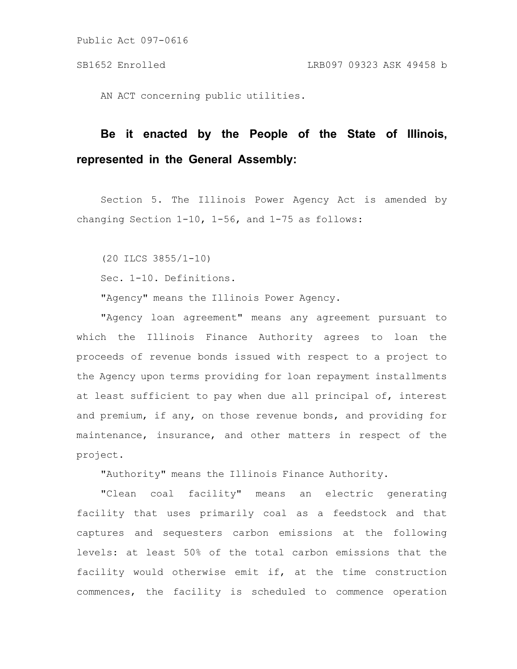Public Act 097-0616

AN ACT concerning public utilities.

## **Be it enacted by the People of the State of Illinois, represented in the General Assembly:**

Section 5. The Illinois Power Agency Act is amended by changing Section 1-10, 1-56, and 1-75 as follows:

(20 ILCS 3855/1-10)

Sec. 1-10. Definitions.

"Agency" means the Illinois Power Agency.

"Agency loan agreement" means any agreement pursuant to which the Illinois Finance Authority agrees to loan the proceeds of revenue bonds issued with respect to a project to the Agency upon terms providing for loan repayment installments at least sufficient to pay when due all principal of, interest and premium, if any, on those revenue bonds, and providing for maintenance, insurance, and other matters in respect of the project.

"Authority" means the Illinois Finance Authority.

"Clean coal facility" means an electric generating facility that uses primarily coal as a feedstock and that captures and sequesters carbon emissions at the following levels: at least 50% of the total carbon emissions that the facility would otherwise emit if, at the time construction commences, the facility is scheduled to commence operation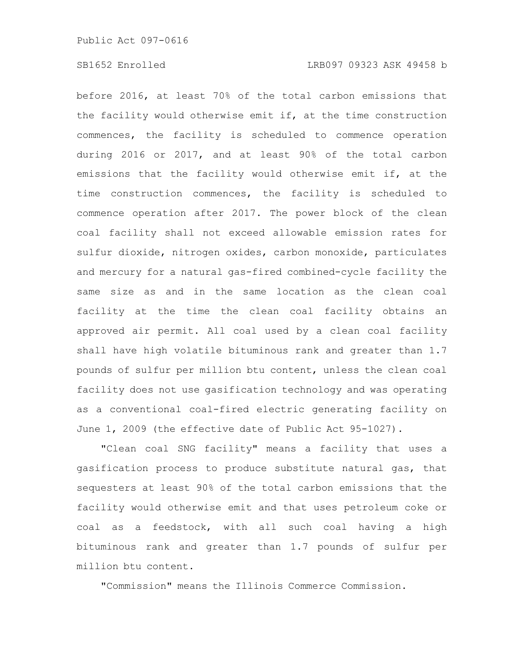before 2016, at least 70% of the total carbon emissions that the facility would otherwise emit if, at the time construction commences, the facility is scheduled to commence operation during 2016 or 2017, and at least 90% of the total carbon emissions that the facility would otherwise emit if, at the time construction commences, the facility is scheduled to commence operation after 2017. The power block of the clean coal facility shall not exceed allowable emission rates for sulfur dioxide, nitrogen oxides, carbon monoxide, particulates and mercury for a natural gas-fired combined-cycle facility the same size as and in the same location as the clean coal facility at the time the clean coal facility obtains an approved air permit. All coal used by a clean coal facility shall have high volatile bituminous rank and greater than 1.7 pounds of sulfur per million btu content, unless the clean coal facility does not use gasification technology and was operating as a conventional coal-fired electric generating facility on June 1, 2009 (the effective date of Public Act 95-1027).

"Clean coal SNG facility" means a facility that uses a gasification process to produce substitute natural gas, that sequesters at least 90% of the total carbon emissions that the facility would otherwise emit and that uses petroleum coke or coal as a feedstock, with all such coal having a high bituminous rank and greater than 1.7 pounds of sulfur per million btu content.

"Commission" means the Illinois Commerce Commission.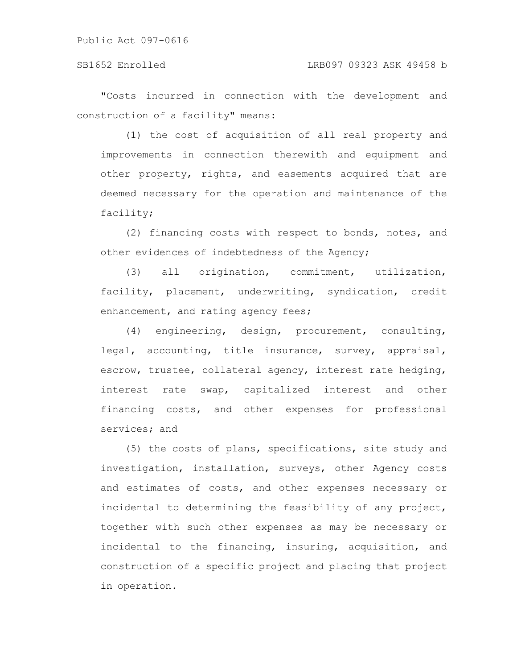Public Act 097-0616

"Costs incurred in connection with the development and construction of a facility" means:

(1) the cost of acquisition of all real property and improvements in connection therewith and equipment and other property, rights, and easements acquired that are deemed necessary for the operation and maintenance of the facility;

(2) financing costs with respect to bonds, notes, and other evidences of indebtedness of the Agency;

(3) all origination, commitment, utilization, facility, placement, underwriting, syndication, credit enhancement, and rating agency fees;

(4) engineering, design, procurement, consulting, legal, accounting, title insurance, survey, appraisal, escrow, trustee, collateral agency, interest rate hedging, interest rate swap, capitalized interest and other financing costs, and other expenses for professional services; and

(5) the costs of plans, specifications, site study and investigation, installation, surveys, other Agency costs and estimates of costs, and other expenses necessary or incidental to determining the feasibility of any project, together with such other expenses as may be necessary or incidental to the financing, insuring, acquisition, and construction of a specific project and placing that project in operation.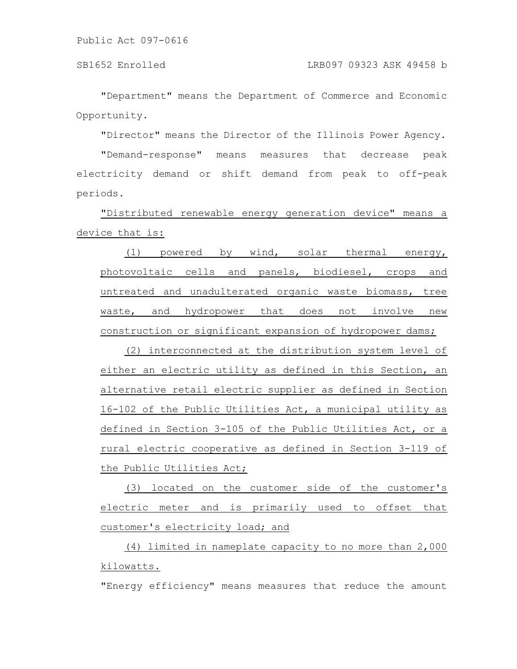"Department" means the Department of Commerce and Economic Opportunity.

"Director" means the Director of the Illinois Power Agency.

"Demand-response" means measures that decrease peak electricity demand or shift demand from peak to off-peak periods.

"Distributed renewable energy generation device" means a device that is:

(1) powered by wind, solar thermal energy, photovoltaic cells and panels, biodiesel, crops and untreated and unadulterated organic waste biomass, tree waste, and hydropower that does not involve new construction or significant expansion of hydropower dams;

(2) interconnected at the distribution system level of either an electric utility as defined in this Section, an alternative retail electric supplier as defined in Section 16-102 of the Public Utilities Act, a municipal utility as defined in Section 3-105 of the Public Utilities Act, or a rural electric cooperative as defined in Section 3-119 of the Public Utilities Act;

(3) located on the customer side of the customer's electric meter and is primarily used to offset that customer's electricity load; and

(4) limited in nameplate capacity to no more than 2,000 kilowatts.

"Energy efficiency" means measures that reduce the amount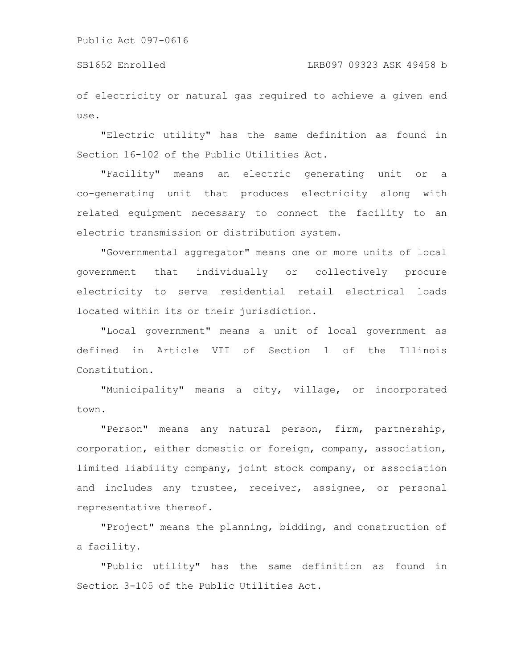of electricity or natural gas required to achieve a given end use.

"Electric utility" has the same definition as found in Section 16-102 of the Public Utilities Act.

"Facility" means an electric generating unit or a co-generating unit that produces electricity along with related equipment necessary to connect the facility to an electric transmission or distribution system.

"Governmental aggregator" means one or more units of local government that individually or collectively procure electricity to serve residential retail electrical loads located within its or their jurisdiction.

"Local government" means a unit of local government as defined in Article VII of Section 1 of the Illinois Constitution.

"Municipality" means a city, village, or incorporated town.

"Person" means any natural person, firm, partnership, corporation, either domestic or foreign, company, association, limited liability company, joint stock company, or association and includes any trustee, receiver, assignee, or personal representative thereof.

"Project" means the planning, bidding, and construction of a facility.

"Public utility" has the same definition as found in Section 3-105 of the Public Utilities Act.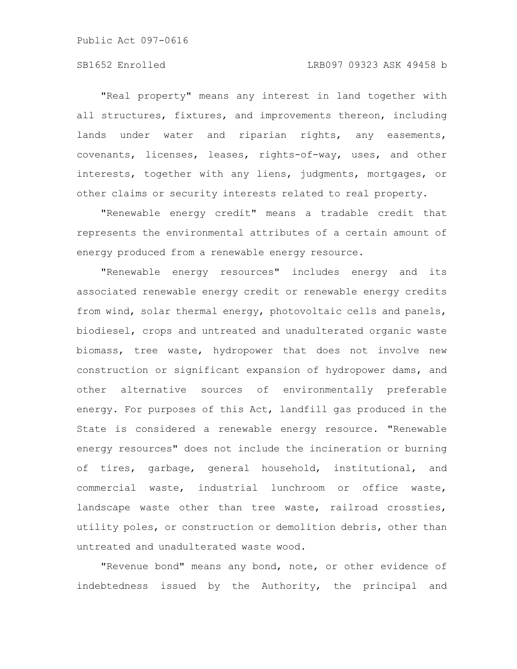"Real property" means any interest in land together with all structures, fixtures, and improvements thereon, including lands under water and riparian rights, any easements, covenants, licenses, leases, rights-of-way, uses, and other interests, together with any liens, judgments, mortgages, or other claims or security interests related to real property.

"Renewable energy credit" means a tradable credit that represents the environmental attributes of a certain amount of energy produced from a renewable energy resource.

"Renewable energy resources" includes energy and its associated renewable energy credit or renewable energy credits from wind, solar thermal energy, photovoltaic cells and panels, biodiesel, crops and untreated and unadulterated organic waste biomass, tree waste, hydropower that does not involve new construction or significant expansion of hydropower dams, and other alternative sources of environmentally preferable energy. For purposes of this Act, landfill gas produced in the State is considered a renewable energy resource. "Renewable energy resources" does not include the incineration or burning of tires, garbage, general household, institutional, and commercial waste, industrial lunchroom or office waste, landscape waste other than tree waste, railroad crossties, utility poles, or construction or demolition debris, other than untreated and unadulterated waste wood.

"Revenue bond" means any bond, note, or other evidence of indebtedness issued by the Authority, the principal and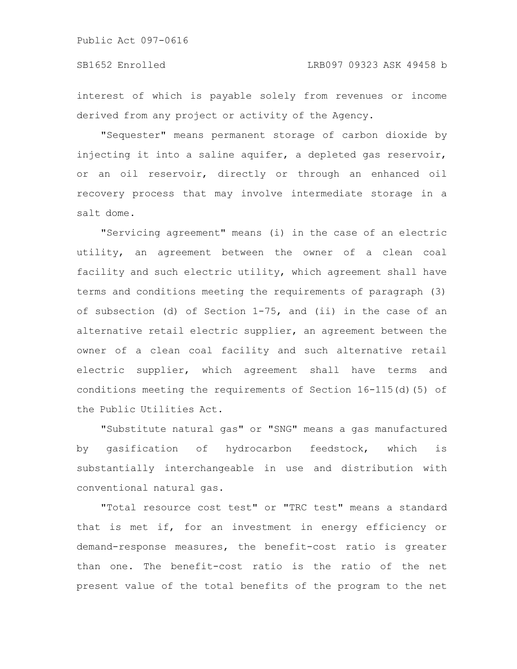interest of which is payable solely from revenues or income derived from any project or activity of the Agency.

"Sequester" means permanent storage of carbon dioxide by injecting it into a saline aquifer, a depleted gas reservoir, or an oil reservoir, directly or through an enhanced oil recovery process that may involve intermediate storage in a salt dome.

"Servicing agreement" means (i) in the case of an electric utility, an agreement between the owner of a clean coal facility and such electric utility, which agreement shall have terms and conditions meeting the requirements of paragraph (3) of subsection (d) of Section 1-75, and (ii) in the case of an alternative retail electric supplier, an agreement between the owner of a clean coal facility and such alternative retail electric supplier, which agreement shall have terms and conditions meeting the requirements of Section 16-115(d)(5) of the Public Utilities Act.

"Substitute natural gas" or "SNG" means a gas manufactured by gasification of hydrocarbon feedstock, which is substantially interchangeable in use and distribution with conventional natural gas.

"Total resource cost test" or "TRC test" means a standard that is met if, for an investment in energy efficiency or demand-response measures, the benefit-cost ratio is greater than one. The benefit-cost ratio is the ratio of the net present value of the total benefits of the program to the net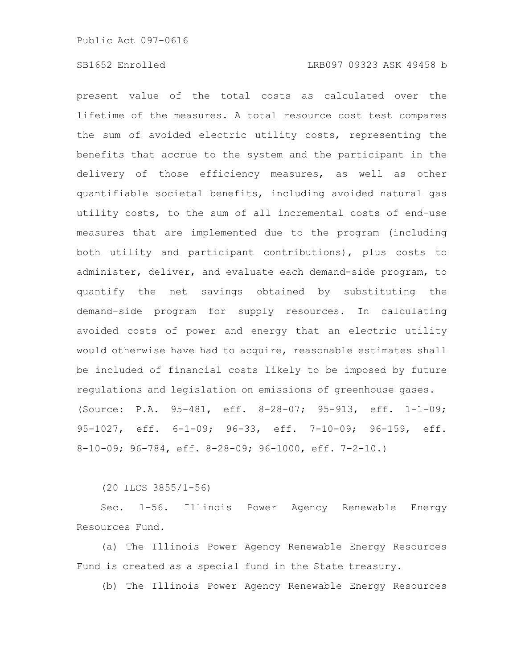present value of the total costs as calculated over the lifetime of the measures. A total resource cost test compares the sum of avoided electric utility costs, representing the benefits that accrue to the system and the participant in the delivery of those efficiency measures, as well as other quantifiable societal benefits, including avoided natural gas utility costs, to the sum of all incremental costs of end-use measures that are implemented due to the program (including both utility and participant contributions), plus costs to administer, deliver, and evaluate each demand-side program, to quantify the net savings obtained by substituting the demand-side program for supply resources. In calculating avoided costs of power and energy that an electric utility would otherwise have had to acquire, reasonable estimates shall be included of financial costs likely to be imposed by future regulations and legislation on emissions of greenhouse gases. (Source: P.A. 95-481, eff. 8-28-07; 95-913, eff. 1-1-09; 95-1027, eff. 6-1-09; 96-33, eff. 7-10-09; 96-159, eff. 8-10-09; 96-784, eff. 8-28-09; 96-1000, eff. 7-2-10.)

(20 ILCS 3855/1-56)

Sec. 1-56. Illinois Power Agency Renewable Energy Resources Fund.

(a) The Illinois Power Agency Renewable Energy Resources Fund is created as a special fund in the State treasury.

(b) The Illinois Power Agency Renewable Energy Resources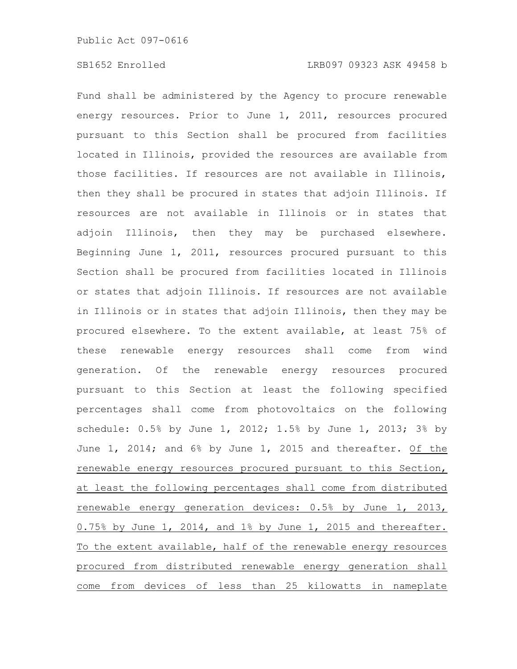Fund shall be administered by the Agency to procure renewable energy resources. Prior to June 1, 2011, resources procured pursuant to this Section shall be procured from facilities located in Illinois, provided the resources are available from those facilities. If resources are not available in Illinois, then they shall be procured in states that adjoin Illinois. If resources are not available in Illinois or in states that adjoin Illinois, then they may be purchased elsewhere. Beginning June 1, 2011, resources procured pursuant to this Section shall be procured from facilities located in Illinois or states that adjoin Illinois. If resources are not available in Illinois or in states that adjoin Illinois, then they may be procured elsewhere. To the extent available, at least 75% of these renewable energy resources shall come from wind generation. Of the renewable energy resources procured pursuant to this Section at least the following specified percentages shall come from photovoltaics on the following schedule: 0.5% by June 1, 2012; 1.5% by June 1, 2013; 3% by June 1, 2014; and 6% by June 1, 2015 and thereafter. Of the renewable energy resources procured pursuant to this Section, at least the following percentages shall come from distributed renewable energy generation devices: 0.5% by June 1, 2013, 0.75% by June 1, 2014, and 1% by June 1, 2015 and thereafter. To the extent available, half of the renewable energy resources procured from distributed renewable energy generation shall come from devices of less than 25 kilowatts in nameplate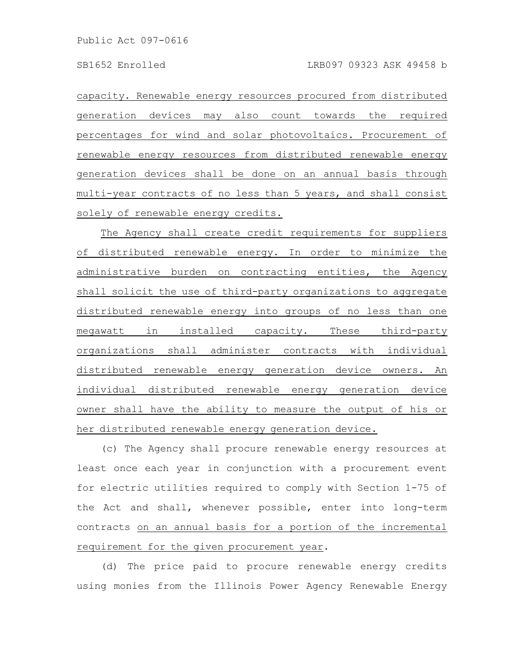capacity. Renewable energy resources procured from distributed generation devices may also count towards the required percentages for wind and solar photovoltaics. Procurement of renewable energy resources from distributed renewable energy generation devices shall be done on an annual basis through multi-year contracts of no less than 5 years, and shall consist solely of renewable energy credits.

The Agency shall create credit requirements for suppliers of distributed renewable energy. In order to minimize the administrative burden on contracting entities, the Agency shall solicit the use of third-party organizations to aggregate distributed renewable energy into groups of no less than one megawatt in installed capacity. These third-party organizations shall administer contracts with individual distributed renewable energy generation device owners. An individual distributed renewable energy generation device owner shall have the ability to measure the output of his or her distributed renewable energy generation device.

(c) The Agency shall procure renewable energy resources at least once each year in conjunction with a procurement event for electric utilities required to comply with Section 1-75 of the Act and shall, whenever possible, enter into long-term contracts on an annual basis for a portion of the incremental requirement for the given procurement year.

(d) The price paid to procure renewable energy credits using monies from the Illinois Power Agency Renewable Energy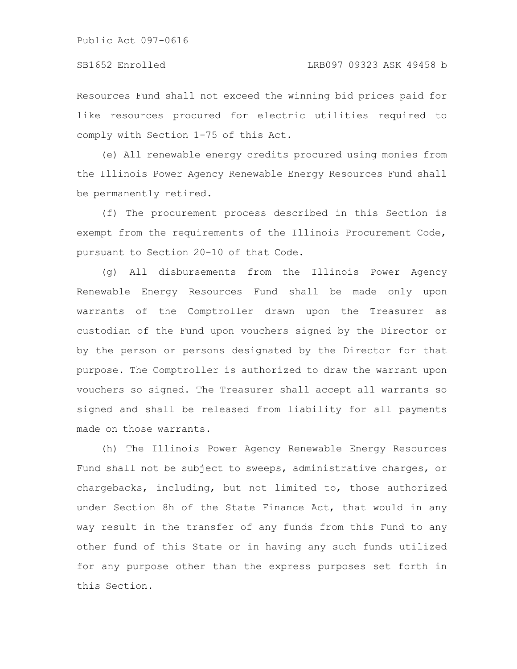Public Act 097-0616

#### SB1652 Enrolled LRB097 09323 ASK 49458 b

Resources Fund shall not exceed the winning bid prices paid for like resources procured for electric utilities required to comply with Section 1-75 of this Act.

(e) All renewable energy credits procured using monies from the Illinois Power Agency Renewable Energy Resources Fund shall be permanently retired.

(f) The procurement process described in this Section is exempt from the requirements of the Illinois Procurement Code, pursuant to Section 20-10 of that Code.

(g) All disbursements from the Illinois Power Agency Renewable Energy Resources Fund shall be made only upon warrants of the Comptroller drawn upon the Treasurer as custodian of the Fund upon vouchers signed by the Director or by the person or persons designated by the Director for that purpose. The Comptroller is authorized to draw the warrant upon vouchers so signed. The Treasurer shall accept all warrants so signed and shall be released from liability for all payments made on those warrants.

(h) The Illinois Power Agency Renewable Energy Resources Fund shall not be subject to sweeps, administrative charges, or chargebacks, including, but not limited to, those authorized under Section 8h of the State Finance Act, that would in any way result in the transfer of any funds from this Fund to any other fund of this State or in having any such funds utilized for any purpose other than the express purposes set forth in this Section.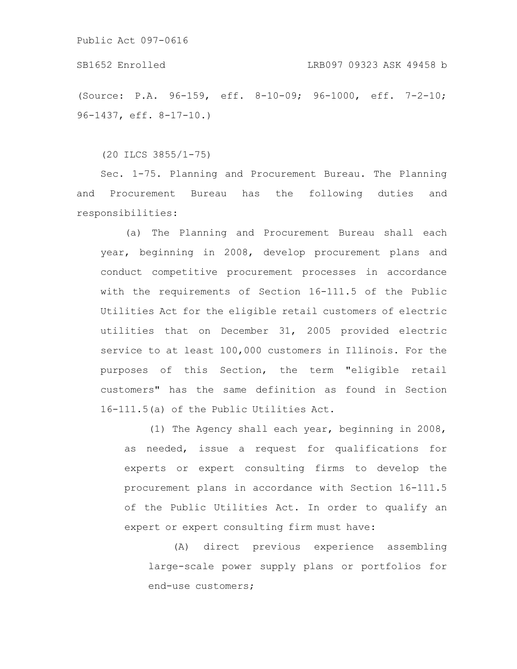Public Act 097-0616

# SB1652 Enrolled LRB097 09323 ASK 49458 b

(Source: P.A. 96-159, eff. 8-10-09; 96-1000, eff. 7-2-10; 96-1437, eff. 8-17-10.)

(20 ILCS 3855/1-75)

Sec. 1-75. Planning and Procurement Bureau. The Planning and Procurement Bureau has the following duties and responsibilities:

(a) The Planning and Procurement Bureau shall each year, beginning in 2008, develop procurement plans and conduct competitive procurement processes in accordance with the requirements of Section 16-111.5 of the Public Utilities Act for the eligible retail customers of electric utilities that on December 31, 2005 provided electric service to at least 100,000 customers in Illinois. For the purposes of this Section, the term "eligible retail customers" has the same definition as found in Section 16-111.5(a) of the Public Utilities Act.

(1) The Agency shall each year, beginning in 2008, as needed, issue a request for qualifications for experts or expert consulting firms to develop the procurement plans in accordance with Section 16-111.5 of the Public Utilities Act. In order to qualify an expert or expert consulting firm must have:

(A) direct previous experience assembling large-scale power supply plans or portfolios for end-use customers;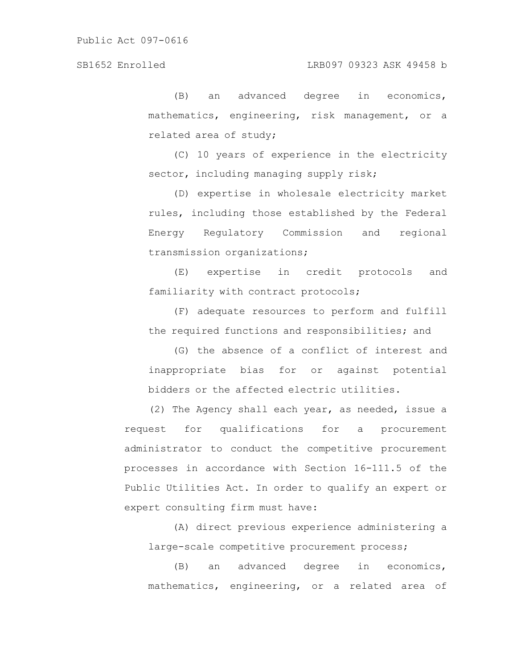(B) an advanced degree in economics, mathematics, engineering, risk management, or a related area of study;

(C) 10 years of experience in the electricity sector, including managing supply risk;

(D) expertise in wholesale electricity market rules, including those established by the Federal Energy Regulatory Commission and regional transmission organizations;

(E) expertise in credit protocols and familiarity with contract protocols;

(F) adequate resources to perform and fulfill the required functions and responsibilities; and

(G) the absence of a conflict of interest and inappropriate bias for or against potential bidders or the affected electric utilities.

(2) The Agency shall each year, as needed, issue a request for qualifications for a procurement administrator to conduct the competitive procurement processes in accordance with Section 16-111.5 of the Public Utilities Act. In order to qualify an expert or expert consulting firm must have:

(A) direct previous experience administering a large-scale competitive procurement process;

(B) an advanced degree in economics, mathematics, engineering, or a related area of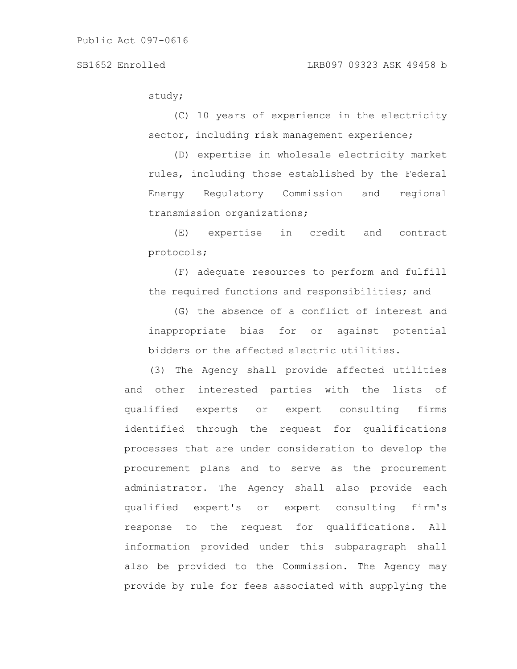study;

(C) 10 years of experience in the electricity sector, including risk management experience;

(D) expertise in wholesale electricity market rules, including those established by the Federal Energy Regulatory Commission and regional transmission organizations;

(E) expertise in credit and contract protocols;

(F) adequate resources to perform and fulfill the required functions and responsibilities; and

(G) the absence of a conflict of interest and inappropriate bias for or against potential bidders or the affected electric utilities.

(3) The Agency shall provide affected utilities and other interested parties with the lists of qualified experts or expert consulting firms identified through the request for qualifications processes that are under consideration to develop the procurement plans and to serve as the procurement administrator. The Agency shall also provide each qualified expert's or expert consulting firm's response to the request for qualifications. All information provided under this subparagraph shall also be provided to the Commission. The Agency may provide by rule for fees associated with supplying the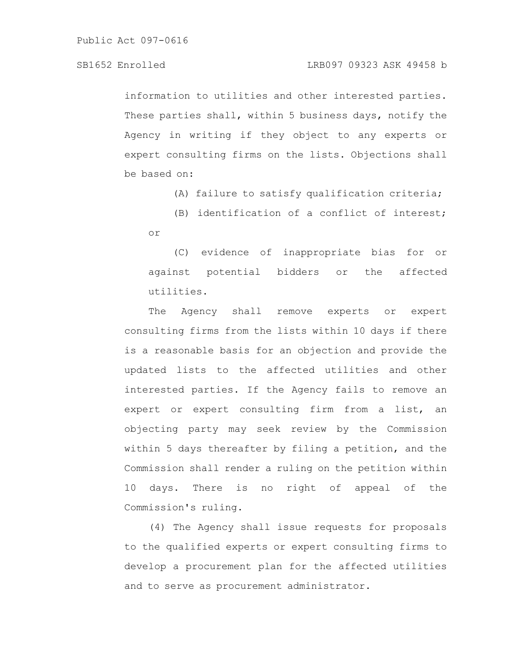information to utilities and other interested parties. These parties shall, within 5 business days, notify the Agency in writing if they object to any experts or expert consulting firms on the lists. Objections shall be based on:

(A) failure to satisfy qualification criteria;

(B) identification of a conflict of interest; or

(C) evidence of inappropriate bias for or against potential bidders or the affected utilities.

The Agency shall remove experts or expert consulting firms from the lists within 10 days if there is a reasonable basis for an objection and provide the updated lists to the affected utilities and other interested parties. If the Agency fails to remove an expert or expert consulting firm from a list, an objecting party may seek review by the Commission within 5 days thereafter by filing a petition, and the Commission shall render a ruling on the petition within 10 days. There is no right of appeal of the Commission's ruling.

(4) The Agency shall issue requests for proposals to the qualified experts or expert consulting firms to develop a procurement plan for the affected utilities and to serve as procurement administrator.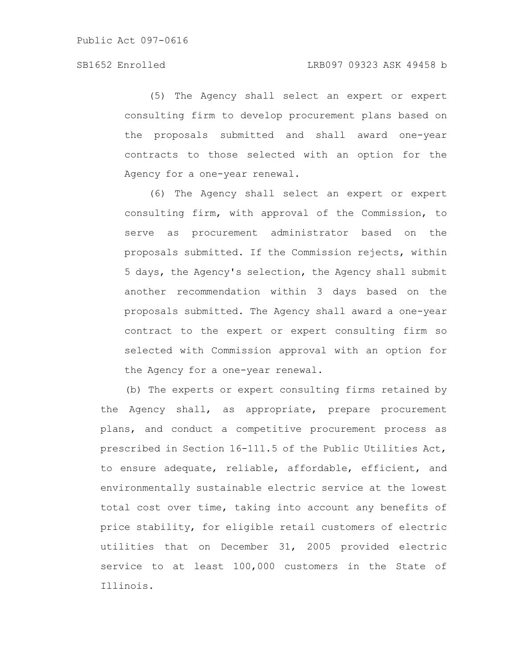(5) The Agency shall select an expert or expert consulting firm to develop procurement plans based on the proposals submitted and shall award one-year contracts to those selected with an option for the Agency for a one-year renewal.

(6) The Agency shall select an expert or expert consulting firm, with approval of the Commission, to serve as procurement administrator based on the proposals submitted. If the Commission rejects, within 5 days, the Agency's selection, the Agency shall submit another recommendation within 3 days based on the proposals submitted. The Agency shall award a one-year contract to the expert or expert consulting firm so selected with Commission approval with an option for the Agency for a one-year renewal.

(b) The experts or expert consulting firms retained by the Agency shall, as appropriate, prepare procurement plans, and conduct a competitive procurement process as prescribed in Section 16-111.5 of the Public Utilities Act, to ensure adequate, reliable, affordable, efficient, and environmentally sustainable electric service at the lowest total cost over time, taking into account any benefits of price stability, for eligible retail customers of electric utilities that on December 31, 2005 provided electric service to at least 100,000 customers in the State of Illinois.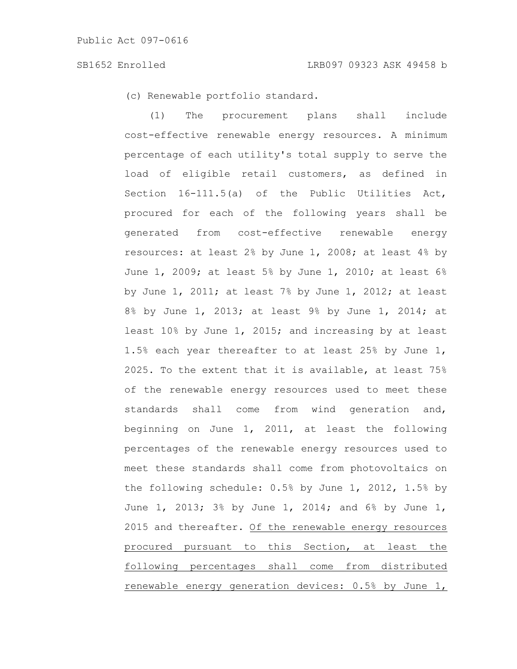(c) Renewable portfolio standard.

(1) The procurement plans shall include cost-effective renewable energy resources. A minimum percentage of each utility's total supply to serve the load of eligible retail customers, as defined in Section 16-111.5(a) of the Public Utilities Act, procured for each of the following years shall be generated from cost-effective renewable energy resources: at least 2% by June 1, 2008; at least 4% by June 1, 2009; at least 5% by June 1, 2010; at least  $6\%$ by June  $1$ , 2011; at least 7% by June  $1$ , 2012; at least 8% by June 1, 2013; at least 9% by June 1, 2014; at least 10% by June 1, 2015; and increasing by at least 1.5% each year thereafter to at least 25% by June 1, 2025. To the extent that it is available, at least 75% of the renewable energy resources used to meet these standards shall come from wind generation and, beginning on June 1, 2011, at least the following percentages of the renewable energy resources used to meet these standards shall come from photovoltaics on the following schedule: 0.5% by June 1, 2012, 1.5% by June 1, 2013; 3% by June 1, 2014; and 6% by June 1, 2015 and thereafter. Of the renewable energy resources procured pursuant to this Section, at least the following percentages shall come from distributed renewable energy generation devices: 0.5% by June 1,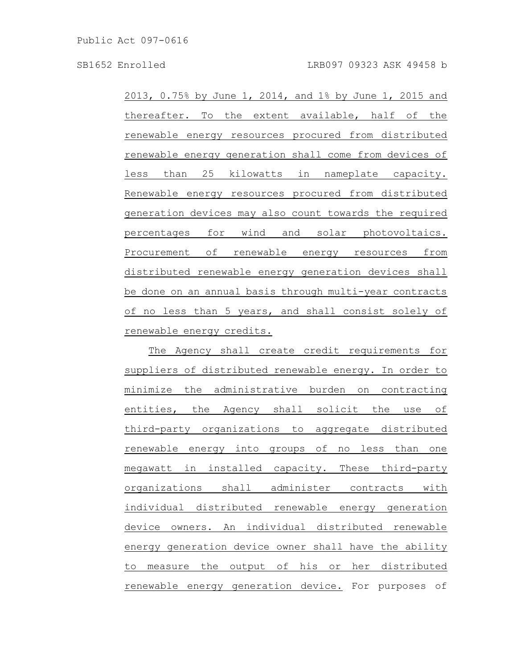2013, 0.75% by June 1, 2014, and 1% by June 1, 2015 and thereafter. To the extent available, half of the renewable energy resources procured from distributed renewable energy generation shall come from devices of less than 25 kilowatts in nameplate capacity. Renewable energy resources procured from distributed generation devices may also count towards the required percentages for wind and solar photovoltaics. Procurement of renewable energy resources from distributed renewable energy generation devices shall be done on an annual basis through multi-year contracts of no less than 5 years, and shall consist solely of renewable energy credits.

The Agency shall create credit requirements for suppliers of distributed renewable energy. In order to minimize the administrative burden on contracting entities, the Agency shall solicit the use of third-party organizations to aggregate distributed renewable energy into groups of no less than one megawatt in installed capacity. These third-party organizations shall administer contracts with individual distributed renewable energy generation device owners. An individual distributed renewable energy generation device owner shall have the ability to measure the output of his or her distributed renewable energy generation device. For purposes of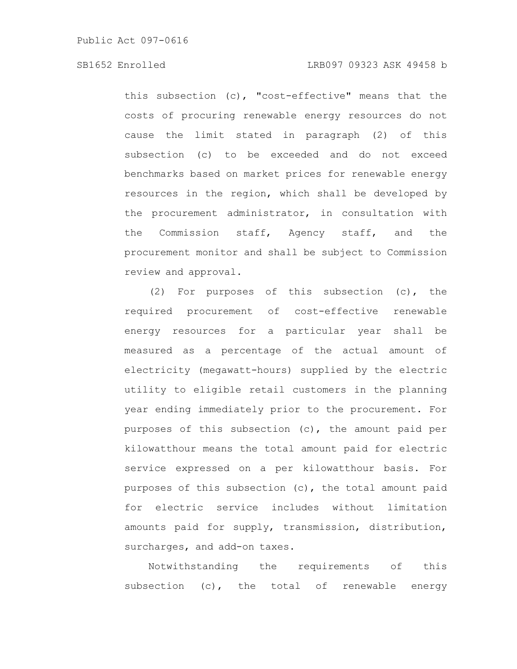this subsection (c), "cost-effective" means that the costs of procuring renewable energy resources do not cause the limit stated in paragraph (2) of this subsection (c) to be exceeded and do not exceed benchmarks based on market prices for renewable energy resources in the region, which shall be developed by the procurement administrator, in consultation with the Commission staff, Agency staff, and the procurement monitor and shall be subject to Commission review and approval.

(2) For purposes of this subsection (c), the required procurement of cost-effective renewable energy resources for a particular year shall be measured as a percentage of the actual amount of electricity (megawatt-hours) supplied by the electric utility to eligible retail customers in the planning year ending immediately prior to the procurement. For purposes of this subsection (c), the amount paid per kilowatthour means the total amount paid for electric service expressed on a per kilowatthour basis. For purposes of this subsection (c), the total amount paid for electric service includes without limitation amounts paid for supply, transmission, distribution, surcharges, and add-on taxes.

Notwithstanding the requirements of this subsection (c), the total of renewable energy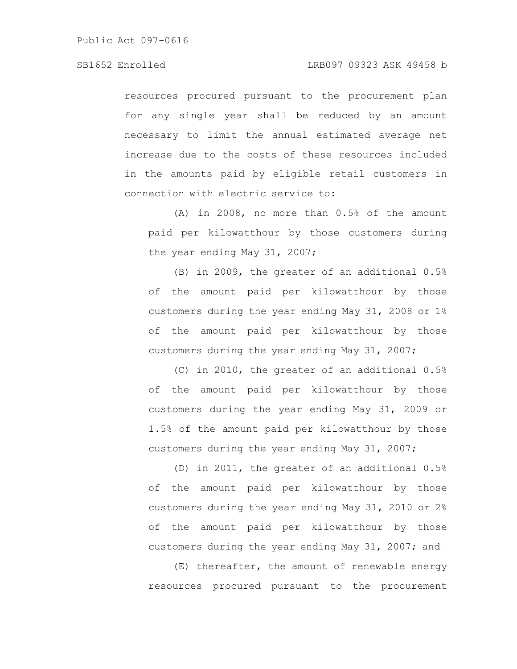resources procured pursuant to the procurement plan for any single year shall be reduced by an amount necessary to limit the annual estimated average net increase due to the costs of these resources included in the amounts paid by eligible retail customers in connection with electric service to:

(A) in 2008, no more than 0.5% of the amount paid per kilowatthour by those customers during the year ending May 31, 2007;

(B) in 2009, the greater of an additional 0.5% of the amount paid per kilowatthour by those customers during the year ending May 31, 2008 or 1% of the amount paid per kilowatthour by those customers during the year ending May 31, 2007;

(C) in 2010, the greater of an additional 0.5% of the amount paid per kilowatthour by those customers during the year ending May 31, 2009 or 1.5% of the amount paid per kilowatthour by those customers during the year ending May 31, 2007;

(D) in 2011, the greater of an additional 0.5% of the amount paid per kilowatthour by those customers during the year ending May 31, 2010 or 2% of the amount paid per kilowatthour by those customers during the year ending May 31, 2007; and

(E) thereafter, the amount of renewable energy resources procured pursuant to the procurement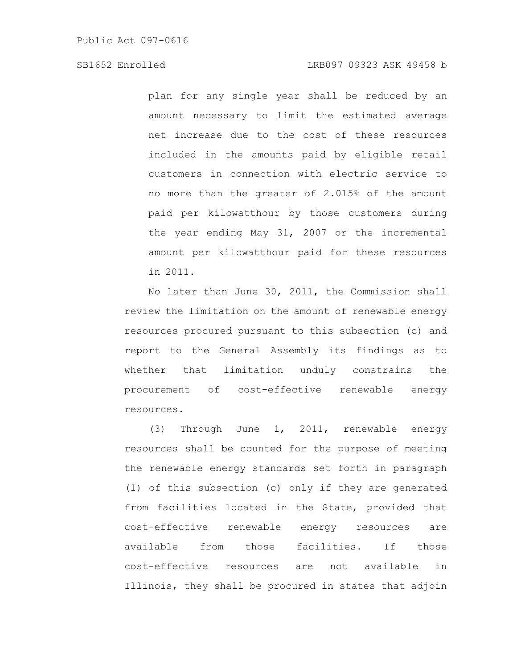plan for any single year shall be reduced by an amount necessary to limit the estimated average net increase due to the cost of these resources included in the amounts paid by eligible retail customers in connection with electric service to no more than the greater of 2.015% of the amount paid per kilowatthour by those customers during the year ending May 31, 2007 or the incremental amount per kilowatthour paid for these resources in 2011.

No later than June 30, 2011, the Commission shall review the limitation on the amount of renewable energy resources procured pursuant to this subsection (c) and report to the General Assembly its findings as to whether that limitation unduly constrains the procurement of cost-effective renewable energy resources.

(3) Through June 1, 2011, renewable energy resources shall be counted for the purpose of meeting the renewable energy standards set forth in paragraph (1) of this subsection (c) only if they are generated from facilities located in the State, provided that cost-effective renewable energy resources are available from those facilities. If those cost-effective resources are not available in Illinois, they shall be procured in states that adjoin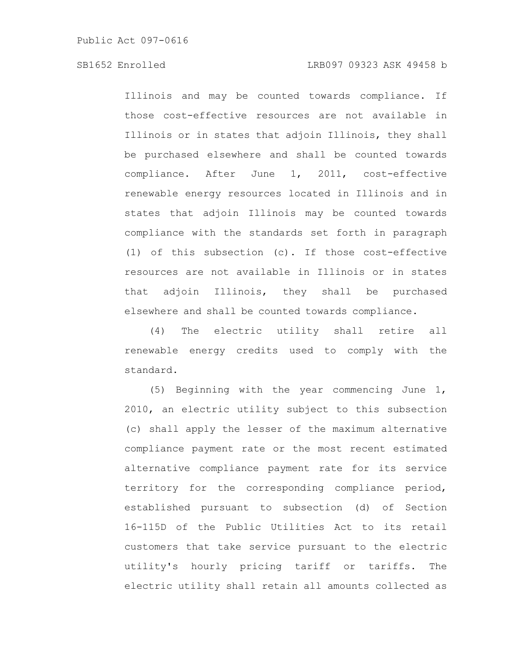Illinois and may be counted towards compliance. If those cost-effective resources are not available in Illinois or in states that adjoin Illinois, they shall be purchased elsewhere and shall be counted towards compliance. After June 1, 2011, cost-effective renewable energy resources located in Illinois and in states that adjoin Illinois may be counted towards compliance with the standards set forth in paragraph (1) of this subsection (c). If those cost-effective resources are not available in Illinois or in states that adjoin Illinois, they shall be purchased elsewhere and shall be counted towards compliance.

(4) The electric utility shall retire all renewable energy credits used to comply with the standard.

(5) Beginning with the year commencing June 1, 2010, an electric utility subject to this subsection (c) shall apply the lesser of the maximum alternative compliance payment rate or the most recent estimated alternative compliance payment rate for its service territory for the corresponding compliance period, established pursuant to subsection (d) of Section 16-115D of the Public Utilities Act to its retail customers that take service pursuant to the electric utility's hourly pricing tariff or tariffs. The electric utility shall retain all amounts collected as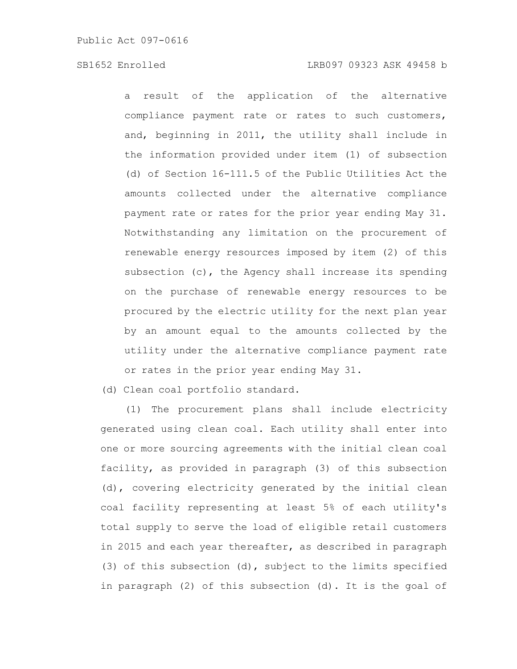a result of the application of the alternative compliance payment rate or rates to such customers, and, beginning in 2011, the utility shall include in the information provided under item (1) of subsection (d) of Section 16-111.5 of the Public Utilities Act the amounts collected under the alternative compliance payment rate or rates for the prior year ending May 31. Notwithstanding any limitation on the procurement of renewable energy resources imposed by item (2) of this subsection (c), the Agency shall increase its spending on the purchase of renewable energy resources to be procured by the electric utility for the next plan year by an amount equal to the amounts collected by the utility under the alternative compliance payment rate or rates in the prior year ending May 31.

(d) Clean coal portfolio standard.

(1) The procurement plans shall include electricity generated using clean coal. Each utility shall enter into one or more sourcing agreements with the initial clean coal facility, as provided in paragraph (3) of this subsection (d), covering electricity generated by the initial clean coal facility representing at least 5% of each utility's total supply to serve the load of eligible retail customers in 2015 and each year thereafter, as described in paragraph (3) of this subsection (d), subject to the limits specified in paragraph (2) of this subsection (d). It is the goal of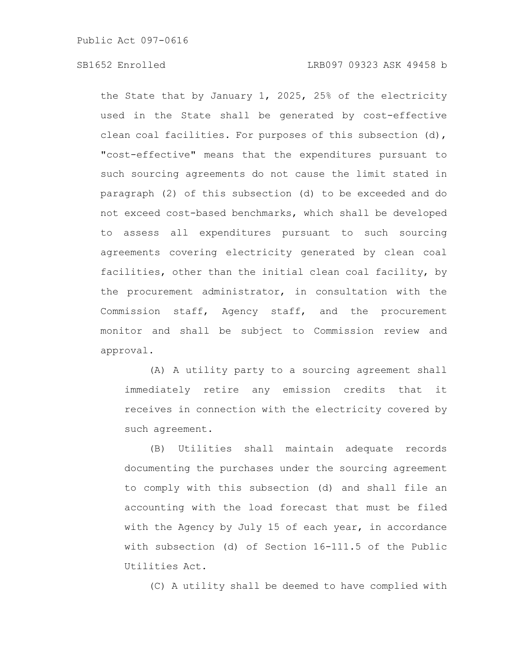the State that by January 1, 2025, 25% of the electricity used in the State shall be generated by cost-effective clean coal facilities. For purposes of this subsection (d), "cost-effective" means that the expenditures pursuant to such sourcing agreements do not cause the limit stated in paragraph (2) of this subsection (d) to be exceeded and do not exceed cost-based benchmarks, which shall be developed to assess all expenditures pursuant to such sourcing agreements covering electricity generated by clean coal facilities, other than the initial clean coal facility, by the procurement administrator, in consultation with the Commission staff, Agency staff, and the procurement monitor and shall be subject to Commission review and approval.

(A) A utility party to a sourcing agreement shall immediately retire any emission credits that it receives in connection with the electricity covered by such agreement.

(B) Utilities shall maintain adequate records documenting the purchases under the sourcing agreement to comply with this subsection (d) and shall file an accounting with the load forecast that must be filed with the Agency by July 15 of each year, in accordance with subsection (d) of Section 16-111.5 of the Public Utilities Act.

(C) A utility shall be deemed to have complied with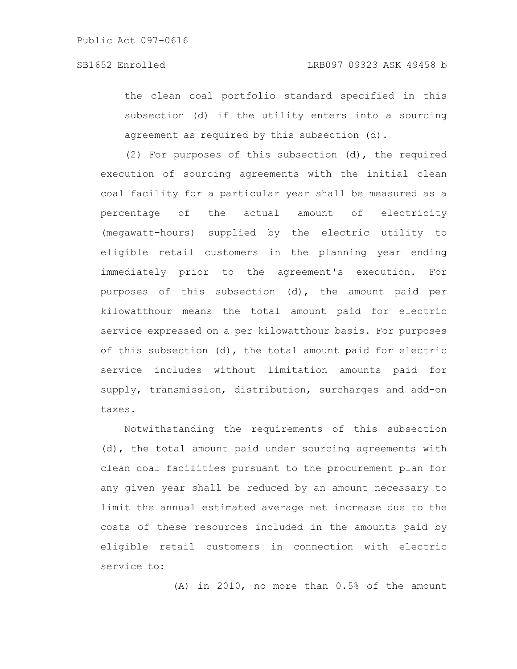the clean coal portfolio standard specified in this subsection (d) if the utility enters into a sourcing agreement as required by this subsection (d).

(2) For purposes of this subsection (d), the required execution of sourcing agreements with the initial clean coal facility for a particular year shall be measured as a percentage of the actual amount of electricity (megawatt-hours) supplied by the electric utility to eligible retail customers in the planning year ending immediately prior to the agreement's execution. For purposes of this subsection (d), the amount paid per kilowatthour means the total amount paid for electric service expressed on a per kilowatthour basis. For purposes of this subsection (d), the total amount paid for electric service includes without limitation amounts paid for supply, transmission, distribution, surcharges and add-on taxes.

Notwithstanding the requirements of this subsection (d), the total amount paid under sourcing agreements with clean coal facilities pursuant to the procurement plan for any given year shall be reduced by an amount necessary to limit the annual estimated average net increase due to the costs of these resources included in the amounts paid by eligible retail customers in connection with electric service to:

(A) in 2010, no more than 0.5% of the amount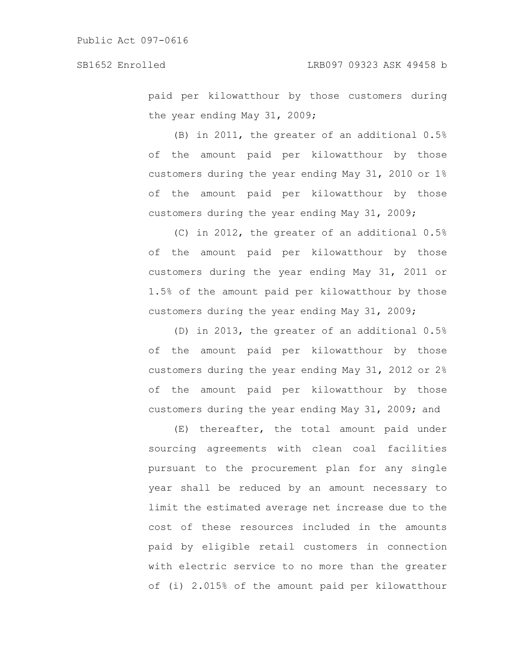paid per kilowatthour by those customers during the year ending May 31, 2009;

(B) in 2011, the greater of an additional 0.5% of the amount paid per kilowatthour by those customers during the year ending May 31, 2010 or 1% of the amount paid per kilowatthour by those customers during the year ending May 31, 2009;

(C) in 2012, the greater of an additional 0.5% of the amount paid per kilowatthour by those customers during the year ending May 31, 2011 or 1.5% of the amount paid per kilowatthour by those customers during the year ending May 31, 2009;

(D) in 2013, the greater of an additional 0.5% of the amount paid per kilowatthour by those customers during the year ending May 31, 2012 or 2% of the amount paid per kilowatthour by those customers during the year ending May 31, 2009; and

(E) thereafter, the total amount paid under sourcing agreements with clean coal facilities pursuant to the procurement plan for any single year shall be reduced by an amount necessary to limit the estimated average net increase due to the cost of these resources included in the amounts paid by eligible retail customers in connection with electric service to no more than the greater of (i) 2.015% of the amount paid per kilowatthour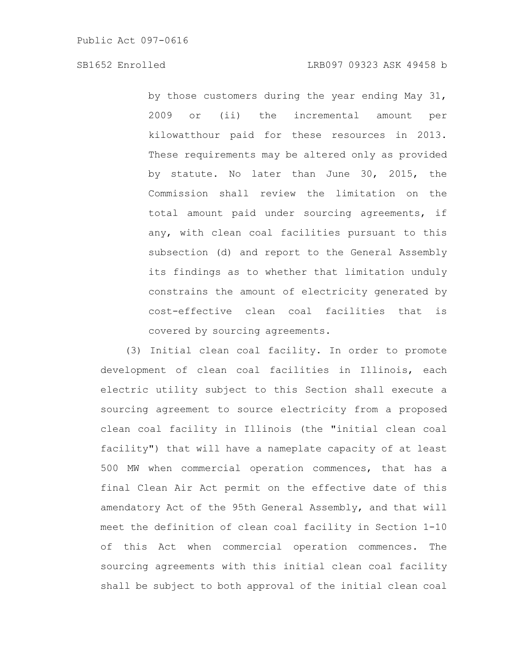by those customers during the year ending May 31, 2009 or (ii) the incremental amount per kilowatthour paid for these resources in 2013. These requirements may be altered only as provided by statute. No later than June 30, 2015, the Commission shall review the limitation on the total amount paid under sourcing agreements, if any, with clean coal facilities pursuant to this subsection (d) and report to the General Assembly its findings as to whether that limitation unduly constrains the amount of electricity generated by cost-effective clean coal facilities that is covered by sourcing agreements.

(3) Initial clean coal facility. In order to promote development of clean coal facilities in Illinois, each electric utility subject to this Section shall execute a sourcing agreement to source electricity from a proposed clean coal facility in Illinois (the "initial clean coal facility") that will have a nameplate capacity of at least 500 MW when commercial operation commences, that has a final Clean Air Act permit on the effective date of this amendatory Act of the 95th General Assembly, and that will meet the definition of clean coal facility in Section 1-10 of this Act when commercial operation commences. The sourcing agreements with this initial clean coal facility shall be subject to both approval of the initial clean coal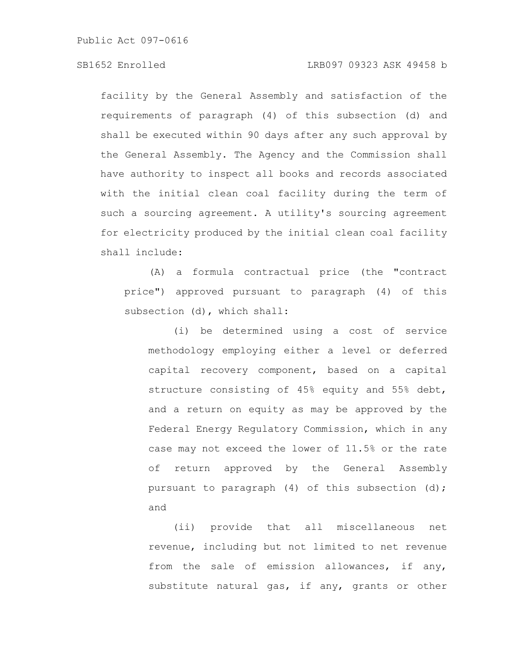Public Act 097-0616

## SB1652 Enrolled LRB097 09323 ASK 49458 b

facility by the General Assembly and satisfaction of the requirements of paragraph (4) of this subsection (d) and shall be executed within 90 days after any such approval by the General Assembly. The Agency and the Commission shall have authority to inspect all books and records associated with the initial clean coal facility during the term of such a sourcing agreement. A utility's sourcing agreement for electricity produced by the initial clean coal facility shall include:

(A) a formula contractual price (the "contract price") approved pursuant to paragraph (4) of this subsection (d), which shall:

(i) be determined using a cost of service methodology employing either a level or deferred capital recovery component, based on a capital structure consisting of 45% equity and 55% debt, and a return on equity as may be approved by the Federal Energy Regulatory Commission, which in any case may not exceed the lower of 11.5% or the rate of return approved by the General Assembly pursuant to paragraph (4) of this subsection (d); and

(ii) provide that all miscellaneous net revenue, including but not limited to net revenue from the sale of emission allowances, if any, substitute natural gas, if any, grants or other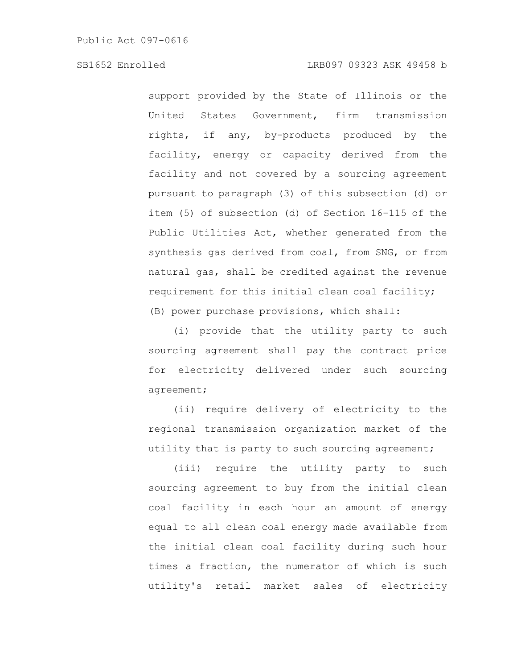support provided by the State of Illinois or the United States Government, firm transmission rights, if any, by-products produced by the facility, energy or capacity derived from the facility and not covered by a sourcing agreement pursuant to paragraph (3) of this subsection (d) or item (5) of subsection (d) of Section 16-115 of the Public Utilities Act, whether generated from the synthesis gas derived from coal, from SNG, or from natural gas, shall be credited against the revenue requirement for this initial clean coal facility; (B) power purchase provisions, which shall:

(i) provide that the utility party to such sourcing agreement shall pay the contract price for electricity delivered under such sourcing agreement;

(ii) require delivery of electricity to the regional transmission organization market of the utility that is party to such sourcing agreement;

(iii) require the utility party to such sourcing agreement to buy from the initial clean coal facility in each hour an amount of energy equal to all clean coal energy made available from the initial clean coal facility during such hour times a fraction, the numerator of which is such utility's retail market sales of electricity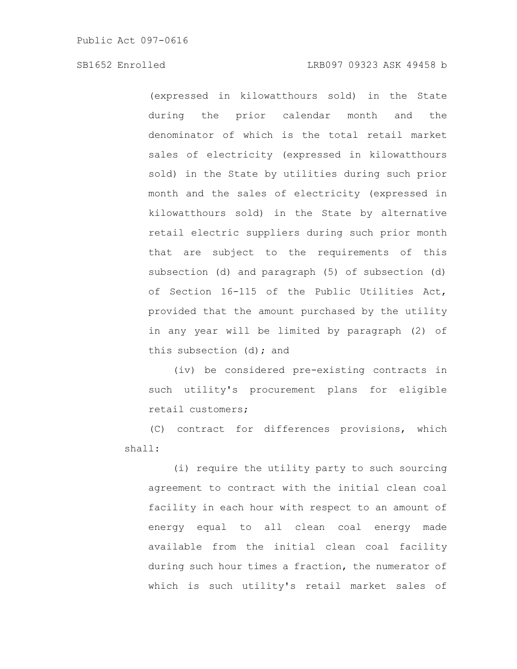(expressed in kilowatthours sold) in the State during the prior calendar month and the denominator of which is the total retail market sales of electricity (expressed in kilowatthours sold) in the State by utilities during such prior month and the sales of electricity (expressed in kilowatthours sold) in the State by alternative retail electric suppliers during such prior month that are subject to the requirements of this subsection (d) and paragraph (5) of subsection (d) of Section 16-115 of the Public Utilities Act, provided that the amount purchased by the utility in any year will be limited by paragraph (2) of this subsection (d); and

(iv) be considered pre-existing contracts in such utility's procurement plans for eligible retail customers;

(C) contract for differences provisions, which shall:

(i) require the utility party to such sourcing agreement to contract with the initial clean coal facility in each hour with respect to an amount of energy equal to all clean coal energy made available from the initial clean coal facility during such hour times a fraction, the numerator of which is such utility's retail market sales of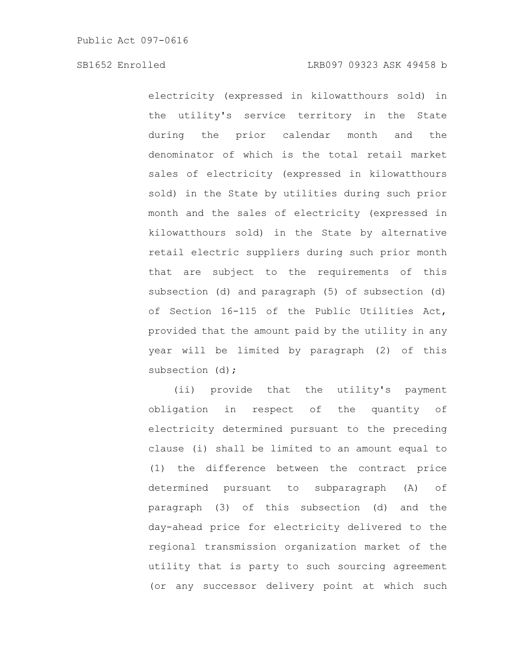electricity (expressed in kilowatthours sold) in the utility's service territory in the State during the prior calendar month and the denominator of which is the total retail market sales of electricity (expressed in kilowatthours sold) in the State by utilities during such prior month and the sales of electricity (expressed in kilowatthours sold) in the State by alternative retail electric suppliers during such prior month that are subject to the requirements of this subsection (d) and paragraph (5) of subsection (d) of Section 16-115 of the Public Utilities Act, provided that the amount paid by the utility in any year will be limited by paragraph (2) of this subsection (d);

(ii) provide that the utility's payment obligation in respect of the quantity of electricity determined pursuant to the preceding clause (i) shall be limited to an amount equal to (1) the difference between the contract price determined pursuant to subparagraph (A) of paragraph (3) of this subsection (d) and the day-ahead price for electricity delivered to the regional transmission organization market of the utility that is party to such sourcing agreement (or any successor delivery point at which such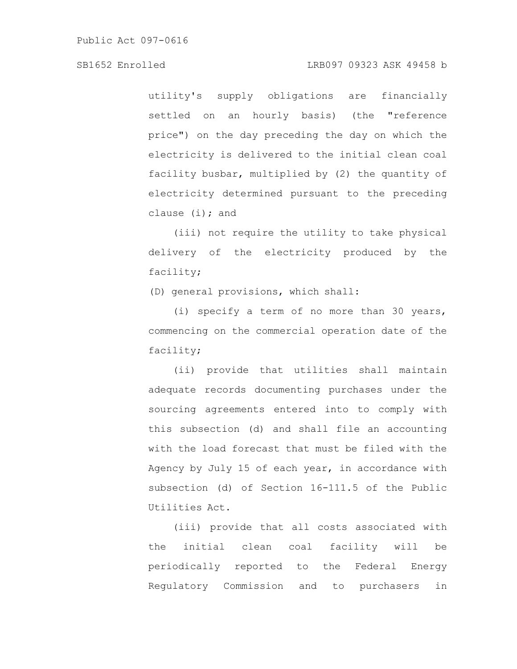Public Act 097-0616

#### SB1652 Enrolled LRB097 09323 ASK 49458 b

utility's supply obligations are financially settled on an hourly basis) (the "reference price") on the day preceding the day on which the electricity is delivered to the initial clean coal facility busbar, multiplied by (2) the quantity of electricity determined pursuant to the preceding clause  $(i)$ ; and

(iii) not require the utility to take physical delivery of the electricity produced by the facility;

(D) general provisions, which shall:

(i) specify a term of no more than 30 years, commencing on the commercial operation date of the facility;

(ii) provide that utilities shall maintain adequate records documenting purchases under the sourcing agreements entered into to comply with this subsection (d) and shall file an accounting with the load forecast that must be filed with the Agency by July 15 of each year, in accordance with subsection (d) of Section 16-111.5 of the Public Utilities Act.

(iii) provide that all costs associated with the initial clean coal facility will be periodically reported to the Federal Energy Regulatory Commission and to purchasers in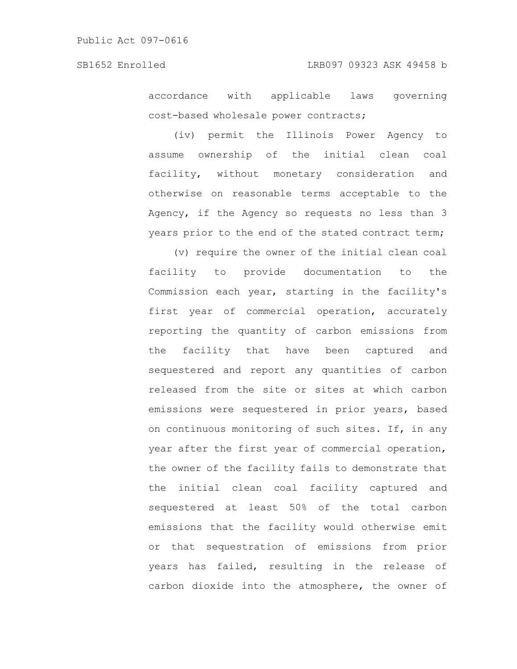accordance with applicable laws governing cost-based wholesale power contracts;

(iv) permit the Illinois Power Agency to assume ownership of the initial clean coal facility, without monetary consideration and otherwise on reasonable terms acceptable to the Agency, if the Agency so requests no less than 3 years prior to the end of the stated contract term;

(v) require the owner of the initial clean coal facility to provide documentation to the Commission each year, starting in the facility's first year of commercial operation, accurately reporting the quantity of carbon emissions from the facility that have been captured and sequestered and report any quantities of carbon released from the site or sites at which carbon emissions were sequestered in prior years, based on continuous monitoring of such sites. If, in any year after the first year of commercial operation, the owner of the facility fails to demonstrate that the initial clean coal facility captured and sequestered at least 50% of the total carbon emissions that the facility would otherwise emit or that sequestration of emissions from prior years has failed, resulting in the release of carbon dioxide into the atmosphere, the owner of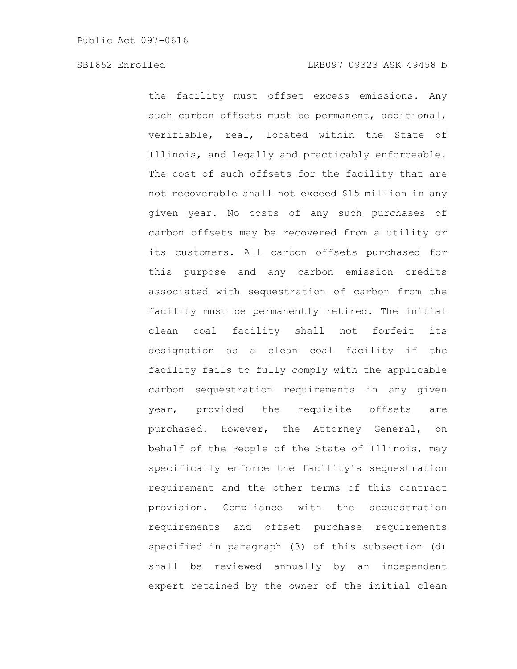the facility must offset excess emissions. Any such carbon offsets must be permanent, additional, verifiable, real, located within the State of Illinois, and legally and practicably enforceable. The cost of such offsets for the facility that are not recoverable shall not exceed \$15 million in any given year. No costs of any such purchases of carbon offsets may be recovered from a utility or its customers. All carbon offsets purchased for this purpose and any carbon emission credits associated with sequestration of carbon from the facility must be permanently retired. The initial clean coal facility shall not forfeit its designation as a clean coal facility if the facility fails to fully comply with the applicable carbon sequestration requirements in any given year, provided the requisite offsets are purchased. However, the Attorney General, on behalf of the People of the State of Illinois, may specifically enforce the facility's sequestration requirement and the other terms of this contract provision. Compliance with the sequestration requirements and offset purchase requirements specified in paragraph (3) of this subsection (d) shall be reviewed annually by an independent expert retained by the owner of the initial clean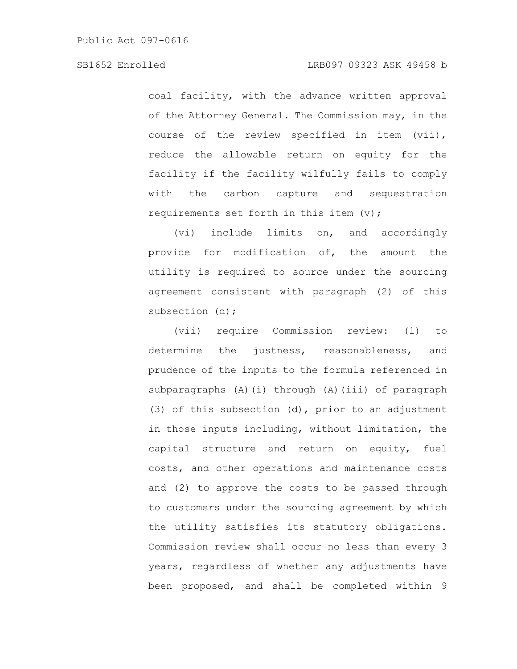coal facility, with the advance written approval of the Attorney General. The Commission may, in the course of the review specified in item (vii), reduce the allowable return on equity for the facility if the facility wilfully fails to comply with the carbon capture and sequestration requirements set forth in this item  $(v)$ ;

(vi) include limits on, and accordingly provide for modification of, the amount the utility is required to source under the sourcing agreement consistent with paragraph (2) of this subsection (d);

(vii) require Commission review: (1) to determine the justness, reasonableness, and prudence of the inputs to the formula referenced in subparagraphs (A)(i) through (A)(iii) of paragraph (3) of this subsection (d), prior to an adjustment in those inputs including, without limitation, the capital structure and return on equity, fuel costs, and other operations and maintenance costs and (2) to approve the costs to be passed through to customers under the sourcing agreement by which the utility satisfies its statutory obligations. Commission review shall occur no less than every 3 years, regardless of whether any adjustments have been proposed, and shall be completed within 9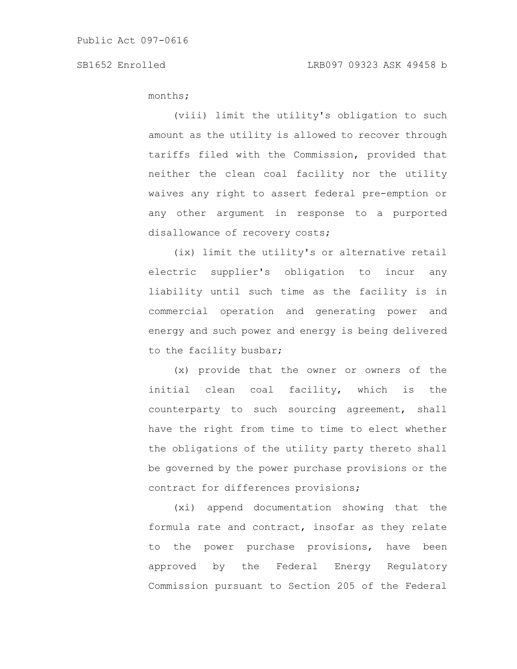months;

(viii) limit the utility's obligation to such amount as the utility is allowed to recover through tariffs filed with the Commission, provided that neither the clean coal facility nor the utility waives any right to assert federal pre-emption or any other argument in response to a purported disallowance of recovery costs;

(ix) limit the utility's or alternative retail electric supplier's obligation to incur any liability until such time as the facility is in commercial operation and generating power and energy and such power and energy is being delivered to the facility busbar;

(x) provide that the owner or owners of the initial clean coal facility, which is the counterparty to such sourcing agreement, shall have the right from time to time to elect whether the obligations of the utility party thereto shall be governed by the power purchase provisions or the contract for differences provisions;

(xi) append documentation showing that the formula rate and contract, insofar as they relate to the power purchase provisions, have been approved by the Federal Energy Regulatory Commission pursuant to Section 205 of the Federal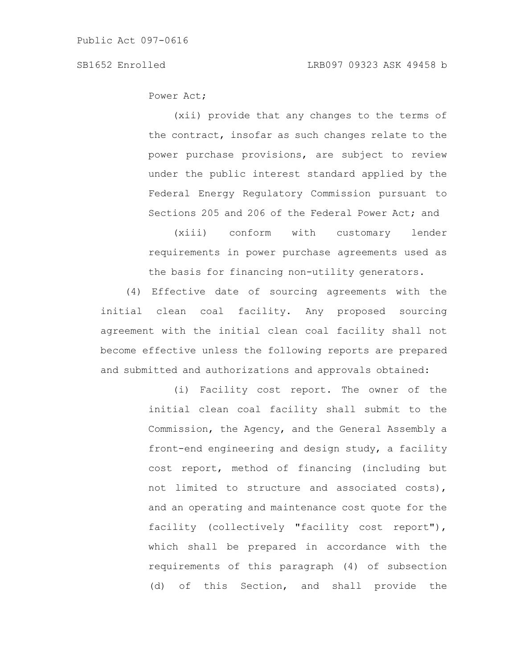Power Act;

(xii) provide that any changes to the terms of the contract, insofar as such changes relate to the power purchase provisions, are subject to review under the public interest standard applied by the Federal Energy Regulatory Commission pursuant to Sections 205 and 206 of the Federal Power Act; and

(xiii) conform with customary lender requirements in power purchase agreements used as the basis for financing non-utility generators.

(4) Effective date of sourcing agreements with the initial clean coal facility. Any proposed sourcing agreement with the initial clean coal facility shall not become effective unless the following reports are prepared and submitted and authorizations and approvals obtained:

> (i) Facility cost report. The owner of the initial clean coal facility shall submit to the Commission, the Agency, and the General Assembly a front-end engineering and design study, a facility cost report, method of financing (including but not limited to structure and associated costs), and an operating and maintenance cost quote for the facility (collectively "facility cost report"), which shall be prepared in accordance with the requirements of this paragraph (4) of subsection (d) of this Section, and shall provide the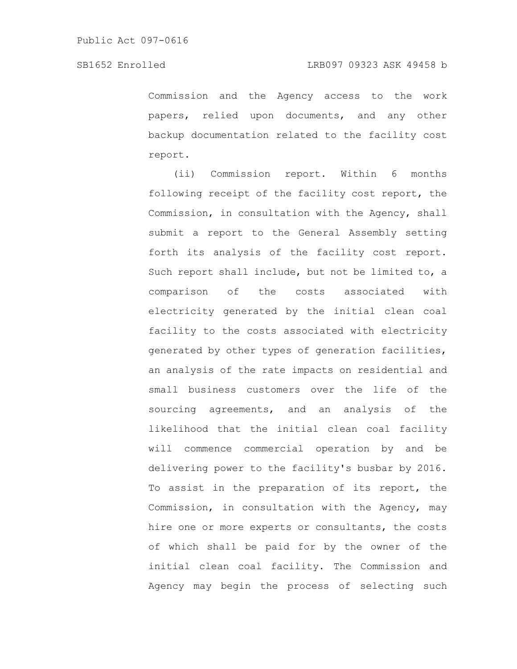Commission and the Agency access to the work papers, relied upon documents, and any other backup documentation related to the facility cost report.

(ii) Commission report. Within 6 months following receipt of the facility cost report, the Commission, in consultation with the Agency, shall submit a report to the General Assembly setting forth its analysis of the facility cost report. Such report shall include, but not be limited to, a comparison of the costs associated with electricity generated by the initial clean coal facility to the costs associated with electricity generated by other types of generation facilities, an analysis of the rate impacts on residential and small business customers over the life of the sourcing agreements, and an analysis of the likelihood that the initial clean coal facility will commence commercial operation by and be delivering power to the facility's busbar by 2016. To assist in the preparation of its report, the Commission, in consultation with the Agency, may hire one or more experts or consultants, the costs of which shall be paid for by the owner of the initial clean coal facility. The Commission and Agency may begin the process of selecting such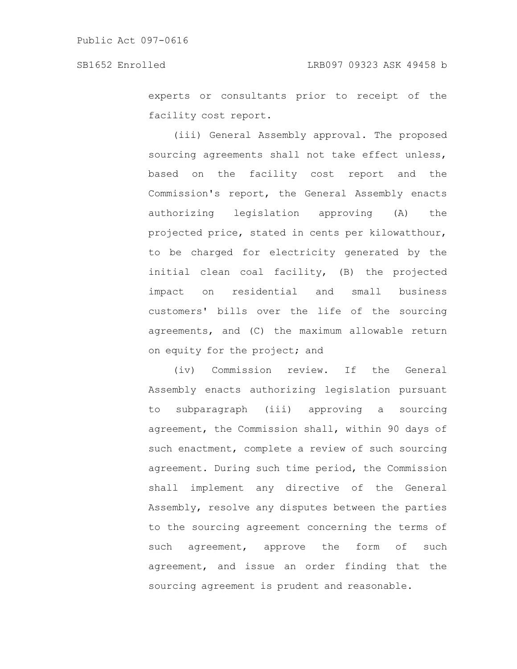experts or consultants prior to receipt of the facility cost report.

(iii) General Assembly approval. The proposed sourcing agreements shall not take effect unless, based on the facility cost report and the Commission's report, the General Assembly enacts authorizing legislation approving (A) the projected price, stated in cents per kilowatthour, to be charged for electricity generated by the initial clean coal facility, (B) the projected impact on residential and small business customers' bills over the life of the sourcing agreements, and (C) the maximum allowable return on equity for the project; and

(iv) Commission review. If the General Assembly enacts authorizing legislation pursuant to subparagraph (iii) approving a sourcing agreement, the Commission shall, within 90 days of such enactment, complete a review of such sourcing agreement. During such time period, the Commission shall implement any directive of the General Assembly, resolve any disputes between the parties to the sourcing agreement concerning the terms of such agreement, approve the form of such agreement, and issue an order finding that the sourcing agreement is prudent and reasonable.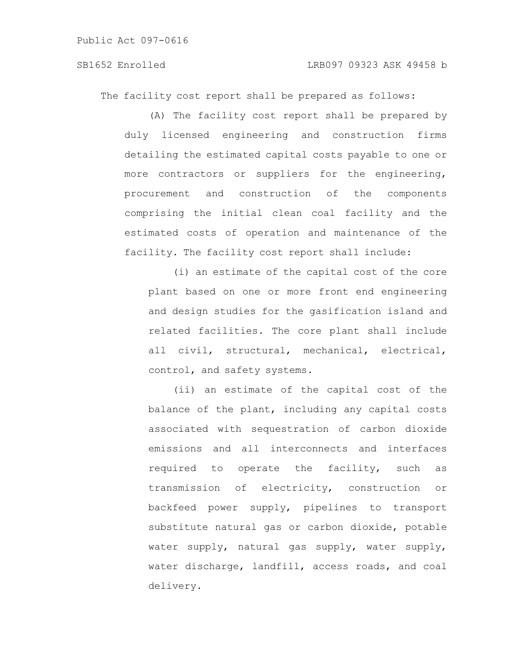# SB1652 Enrolled LRB097 09323 ASK 49458 b

The facility cost report shall be prepared as follows:

(A) The facility cost report shall be prepared by duly licensed engineering and construction firms detailing the estimated capital costs payable to one or more contractors or suppliers for the engineering, procurement and construction of the components comprising the initial clean coal facility and the estimated costs of operation and maintenance of the facility. The facility cost report shall include:

(i) an estimate of the capital cost of the core plant based on one or more front end engineering and design studies for the gasification island and related facilities. The core plant shall include all civil, structural, mechanical, electrical, control, and safety systems.

(ii) an estimate of the capital cost of the balance of the plant, including any capital costs associated with sequestration of carbon dioxide emissions and all interconnects and interfaces required to operate the facility, such as transmission of electricity, construction or backfeed power supply, pipelines to transport substitute natural gas or carbon dioxide, potable water supply, natural gas supply, water supply, water discharge, landfill, access roads, and coal delivery.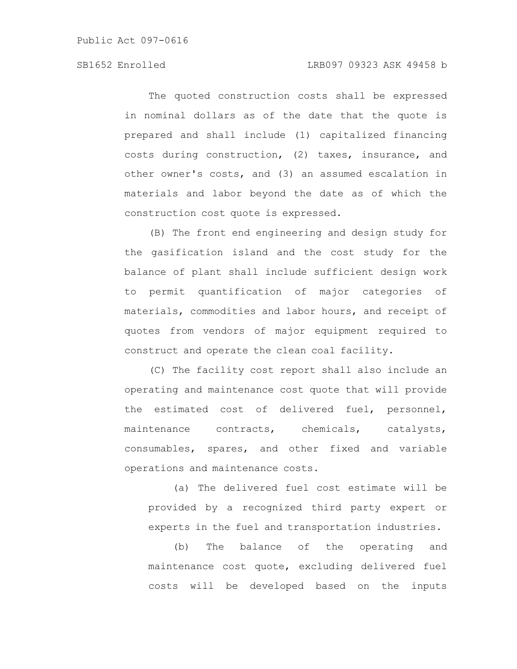The quoted construction costs shall be expressed in nominal dollars as of the date that the quote is prepared and shall include (1) capitalized financing costs during construction, (2) taxes, insurance, and other owner's costs, and (3) an assumed escalation in materials and labor beyond the date as of which the construction cost quote is expressed.

(B) The front end engineering and design study for the gasification island and the cost study for the balance of plant shall include sufficient design work to permit quantification of major categories of materials, commodities and labor hours, and receipt of quotes from vendors of major equipment required to construct and operate the clean coal facility.

(C) The facility cost report shall also include an operating and maintenance cost quote that will provide the estimated cost of delivered fuel, personnel, maintenance contracts, chemicals, catalysts, consumables, spares, and other fixed and variable operations and maintenance costs.

(a) The delivered fuel cost estimate will be provided by a recognized third party expert or experts in the fuel and transportation industries.

(b) The balance of the operating and maintenance cost quote, excluding delivered fuel costs will be developed based on the inputs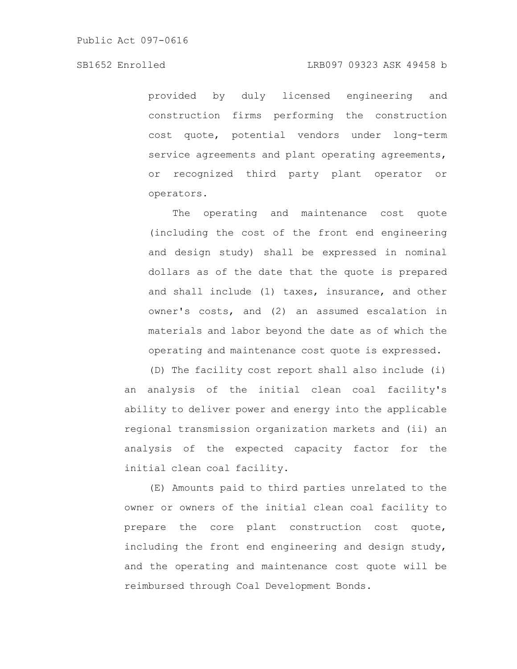# SB1652 Enrolled LRB097 09323 ASK 49458 b

provided by duly licensed engineering and construction firms performing the construction cost quote, potential vendors under long-term service agreements and plant operating agreements, or recognized third party plant operator or operators.

The operating and maintenance cost quote (including the cost of the front end engineering and design study) shall be expressed in nominal dollars as of the date that the quote is prepared and shall include (1) taxes, insurance, and other owner's costs, and (2) an assumed escalation in materials and labor beyond the date as of which the operating and maintenance cost quote is expressed.

(D) The facility cost report shall also include (i) an analysis of the initial clean coal facility's ability to deliver power and energy into the applicable regional transmission organization markets and (ii) an analysis of the expected capacity factor for the initial clean coal facility.

(E) Amounts paid to third parties unrelated to the owner or owners of the initial clean coal facility to prepare the core plant construction cost quote, including the front end engineering and design study, and the operating and maintenance cost quote will be reimbursed through Coal Development Bonds.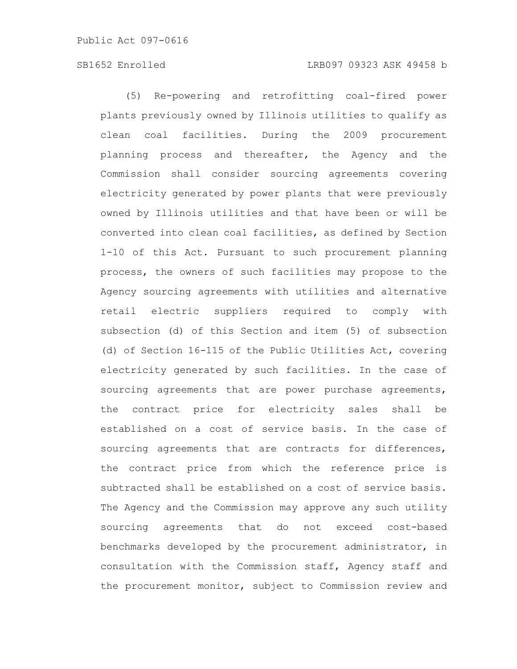(5) Re-powering and retrofitting coal-fired power plants previously owned by Illinois utilities to qualify as clean coal facilities. During the 2009 procurement planning process and thereafter, the Agency and the Commission shall consider sourcing agreements covering electricity generated by power plants that were previously owned by Illinois utilities and that have been or will be converted into clean coal facilities, as defined by Section 1-10 of this Act. Pursuant to such procurement planning process, the owners of such facilities may propose to the Agency sourcing agreements with utilities and alternative retail electric suppliers required to comply with subsection (d) of this Section and item (5) of subsection (d) of Section 16-115 of the Public Utilities Act, covering electricity generated by such facilities. In the case of sourcing agreements that are power purchase agreements, the contract price for electricity sales shall be established on a cost of service basis. In the case of sourcing agreements that are contracts for differences, the contract price from which the reference price is subtracted shall be established on a cost of service basis. The Agency and the Commission may approve any such utility sourcing agreements that do not exceed cost-based benchmarks developed by the procurement administrator, in consultation with the Commission staff, Agency staff and the procurement monitor, subject to Commission review and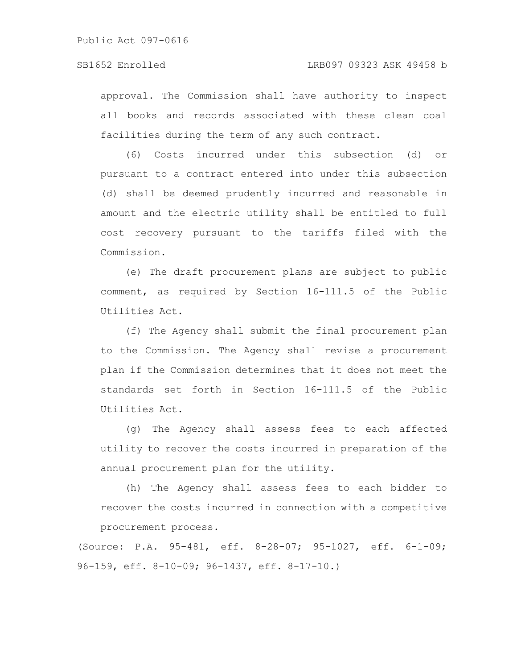approval. The Commission shall have authority to inspect all books and records associated with these clean coal facilities during the term of any such contract.

(6) Costs incurred under this subsection (d) or pursuant to a contract entered into under this subsection (d) shall be deemed prudently incurred and reasonable in amount and the electric utility shall be entitled to full cost recovery pursuant to the tariffs filed with the Commission.

(e) The draft procurement plans are subject to public comment, as required by Section 16-111.5 of the Public Utilities Act.

(f) The Agency shall submit the final procurement plan to the Commission. The Agency shall revise a procurement plan if the Commission determines that it does not meet the standards set forth in Section 16-111.5 of the Public Utilities Act.

(g) The Agency shall assess fees to each affected utility to recover the costs incurred in preparation of the annual procurement plan for the utility.

(h) The Agency shall assess fees to each bidder to recover the costs incurred in connection with a competitive procurement process.

(Source: P.A. 95-481, eff. 8-28-07; 95-1027, eff. 6-1-09; 96-159, eff. 8-10-09; 96-1437, eff. 8-17-10.)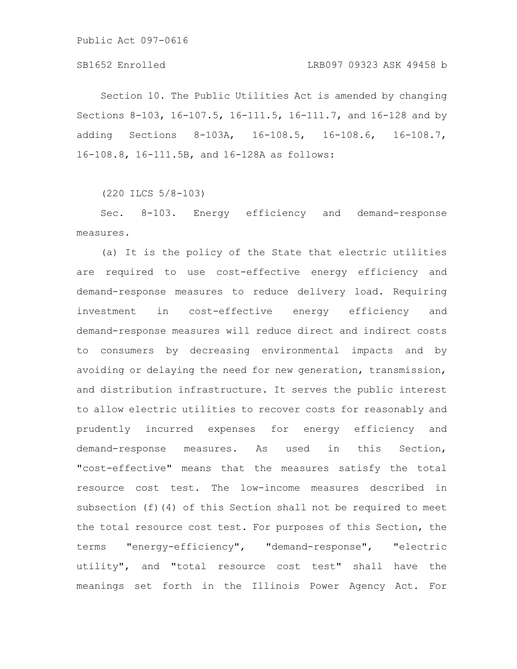Section 10. The Public Utilities Act is amended by changing Sections 8-103, 16-107.5, 16-111.5, 16-111.7, and 16-128 and by adding Sections 8-103A, 16-108.5, 16-108.6, 16-108.7, 16-108.8, 16-111.5B, and 16-128A as follows:

(220 ILCS 5/8-103)

Sec. 8-103. Energy efficiency and demand-response measures.

(a) It is the policy of the State that electric utilities are required to use cost-effective energy efficiency and demand-response measures to reduce delivery load. Requiring investment in cost-effective energy efficiency and demand-response measures will reduce direct and indirect costs to consumers by decreasing environmental impacts and by avoiding or delaying the need for new generation, transmission, and distribution infrastructure. It serves the public interest to allow electric utilities to recover costs for reasonably and prudently incurred expenses for energy efficiency and demand-response measures. As used in this Section, "cost-effective" means that the measures satisfy the total resource cost test. The low-income measures described in subsection (f)(4) of this Section shall not be required to meet the total resource cost test. For purposes of this Section, the terms "energy-efficiency", "demand-response", "electric utility", and "total resource cost test" shall have the meanings set forth in the Illinois Power Agency Act. For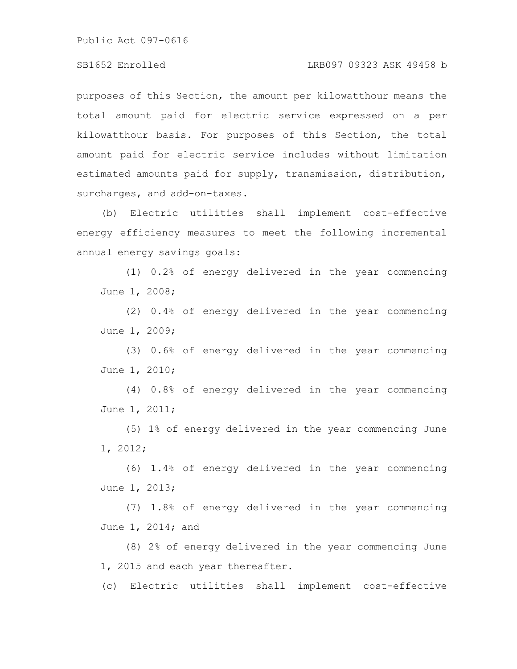# SB1652 Enrolled LRB097 09323 ASK 49458 b

purposes of this Section, the amount per kilowatthour means the total amount paid for electric service expressed on a per kilowatthour basis. For purposes of this Section, the total amount paid for electric service includes without limitation estimated amounts paid for supply, transmission, distribution, surcharges, and add-on-taxes.

(b) Electric utilities shall implement cost-effective energy efficiency measures to meet the following incremental annual energy savings goals:

(1) 0.2% of energy delivered in the year commencing June 1, 2008;

(2) 0.4% of energy delivered in the year commencing June 1, 2009;

(3) 0.6% of energy delivered in the year commencing June 1, 2010;

(4) 0.8% of energy delivered in the year commencing June 1, 2011;

(5) 1% of energy delivered in the year commencing June 1, 2012;

(6) 1.4% of energy delivered in the year commencing June 1, 2013;

(7) 1.8% of energy delivered in the year commencing June 1, 2014; and

(8) 2% of energy delivered in the year commencing June 1, 2015 and each year thereafter.

(c) Electric utilities shall implement cost-effective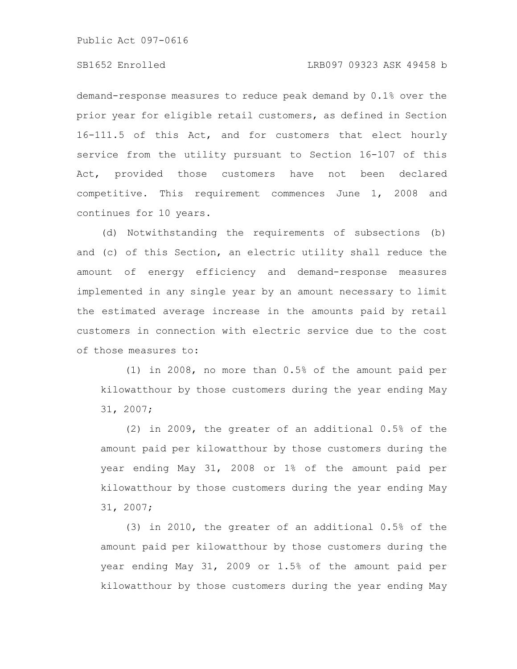demand-response measures to reduce peak demand by 0.1% over the prior year for eligible retail customers, as defined in Section 16-111.5 of this Act, and for customers that elect hourly service from the utility pursuant to Section 16-107 of this Act, provided those customers have not been declared competitive. This requirement commences June 1, 2008 and continues for 10 years.

(d) Notwithstanding the requirements of subsections (b) and (c) of this Section, an electric utility shall reduce the amount of energy efficiency and demand-response measures implemented in any single year by an amount necessary to limit the estimated average increase in the amounts paid by retail customers in connection with electric service due to the cost of those measures to:

(1) in 2008, no more than 0.5% of the amount paid per kilowatthour by those customers during the year ending May 31, 2007;

(2) in 2009, the greater of an additional 0.5% of the amount paid per kilowatthour by those customers during the year ending May 31, 2008 or 1% of the amount paid per kilowatthour by those customers during the year ending May 31, 2007;

(3) in 2010, the greater of an additional 0.5% of the amount paid per kilowatthour by those customers during the year ending May 31, 2009 or 1.5% of the amount paid per kilowatthour by those customers during the year ending May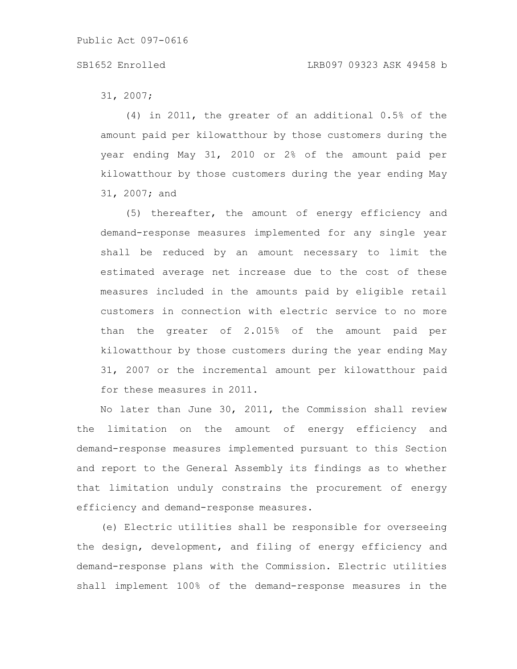# SB1652 Enrolled LRB097 09323 ASK 49458 b

31, 2007;

(4) in 2011, the greater of an additional 0.5% of the amount paid per kilowatthour by those customers during the year ending May 31, 2010 or 2% of the amount paid per kilowatthour by those customers during the year ending May 31, 2007; and

(5) thereafter, the amount of energy efficiency and demand-response measures implemented for any single year shall be reduced by an amount necessary to limit the estimated average net increase due to the cost of these measures included in the amounts paid by eligible retail customers in connection with electric service to no more than the greater of 2.015% of the amount paid per kilowatthour by those customers during the year ending May 31, 2007 or the incremental amount per kilowatthour paid for these measures in 2011.

No later than June 30, 2011, the Commission shall review the limitation on the amount of energy efficiency and demand-response measures implemented pursuant to this Section and report to the General Assembly its findings as to whether that limitation unduly constrains the procurement of energy efficiency and demand-response measures.

(e) Electric utilities shall be responsible for overseeing the design, development, and filing of energy efficiency and demand-response plans with the Commission. Electric utilities shall implement 100% of the demand-response measures in the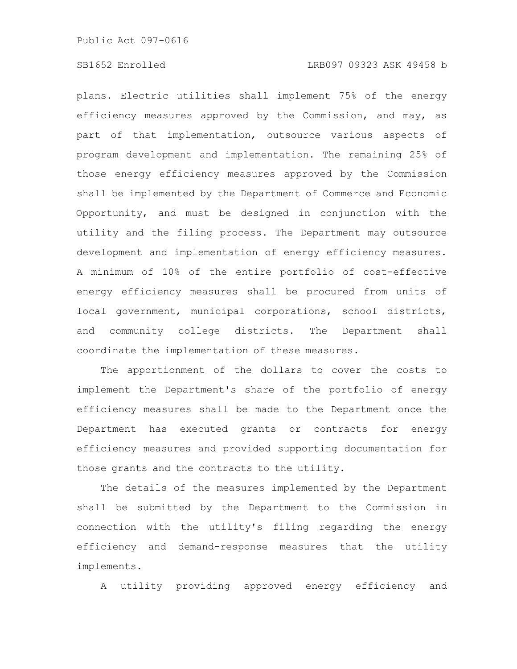plans. Electric utilities shall implement 75% of the energy efficiency measures approved by the Commission, and may, as part of that implementation, outsource various aspects of program development and implementation. The remaining 25% of those energy efficiency measures approved by the Commission shall be implemented by the Department of Commerce and Economic Opportunity, and must be designed in conjunction with the utility and the filing process. The Department may outsource development and implementation of energy efficiency measures. A minimum of 10% of the entire portfolio of cost-effective energy efficiency measures shall be procured from units of local government, municipal corporations, school districts, and community college districts. The Department shall coordinate the implementation of these measures.

The apportionment of the dollars to cover the costs to implement the Department's share of the portfolio of energy efficiency measures shall be made to the Department once the Department has executed grants or contracts for energy efficiency measures and provided supporting documentation for those grants and the contracts to the utility.

The details of the measures implemented by the Department shall be submitted by the Department to the Commission in connection with the utility's filing regarding the energy efficiency and demand-response measures that the utility implements.

A utility providing approved energy efficiency and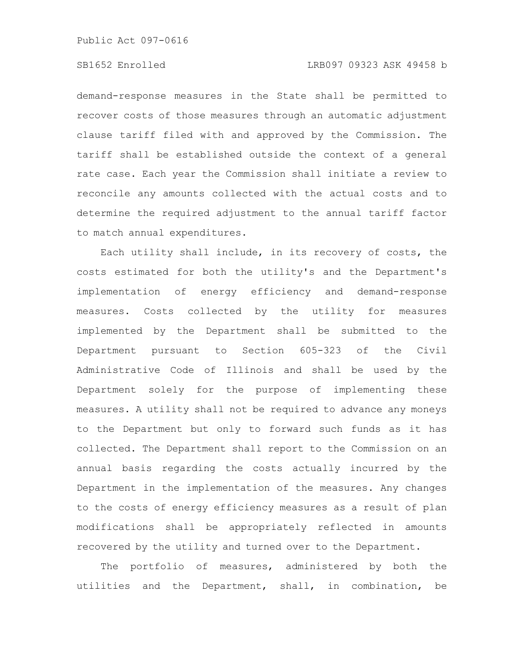demand-response measures in the State shall be permitted to recover costs of those measures through an automatic adjustment clause tariff filed with and approved by the Commission. The tariff shall be established outside the context of a general rate case. Each year the Commission shall initiate a review to reconcile any amounts collected with the actual costs and to determine the required adjustment to the annual tariff factor to match annual expenditures.

Each utility shall include, in its recovery of costs, the costs estimated for both the utility's and the Department's implementation of energy efficiency and demand-response measures. Costs collected by the utility for measures implemented by the Department shall be submitted to the Department pursuant to Section 605-323 of the Civil Administrative Code of Illinois and shall be used by the Department solely for the purpose of implementing these measures. A utility shall not be required to advance any moneys to the Department but only to forward such funds as it has collected. The Department shall report to the Commission on an annual basis regarding the costs actually incurred by the Department in the implementation of the measures. Any changes to the costs of energy efficiency measures as a result of plan modifications shall be appropriately reflected in amounts recovered by the utility and turned over to the Department.

The portfolio of measures, administered by both the utilities and the Department, shall, in combination, be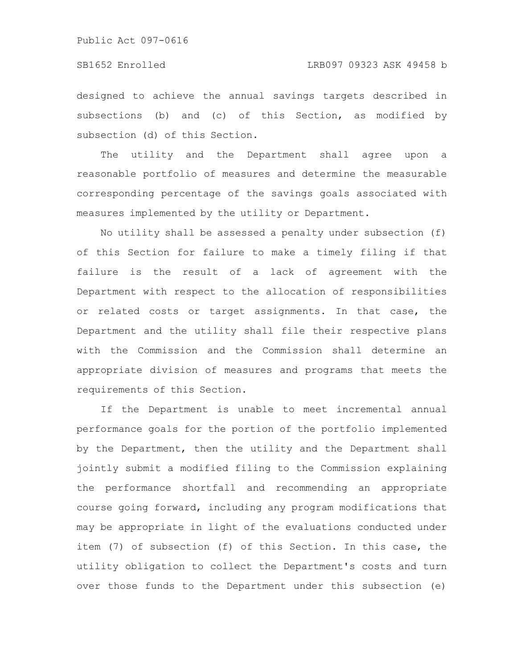designed to achieve the annual savings targets described in subsections (b) and (c) of this Section, as modified by subsection (d) of this Section.

The utility and the Department shall agree upon a reasonable portfolio of measures and determine the measurable corresponding percentage of the savings goals associated with measures implemented by the utility or Department.

No utility shall be assessed a penalty under subsection (f) of this Section for failure to make a timely filing if that failure is the result of a lack of agreement with the Department with respect to the allocation of responsibilities or related costs or target assignments. In that case, the Department and the utility shall file their respective plans with the Commission and the Commission shall determine an appropriate division of measures and programs that meets the requirements of this Section.

If the Department is unable to meet incremental annual performance goals for the portion of the portfolio implemented by the Department, then the utility and the Department shall jointly submit a modified filing to the Commission explaining the performance shortfall and recommending an appropriate course going forward, including any program modifications that may be appropriate in light of the evaluations conducted under item (7) of subsection (f) of this Section. In this case, the utility obligation to collect the Department's costs and turn over those funds to the Department under this subsection (e)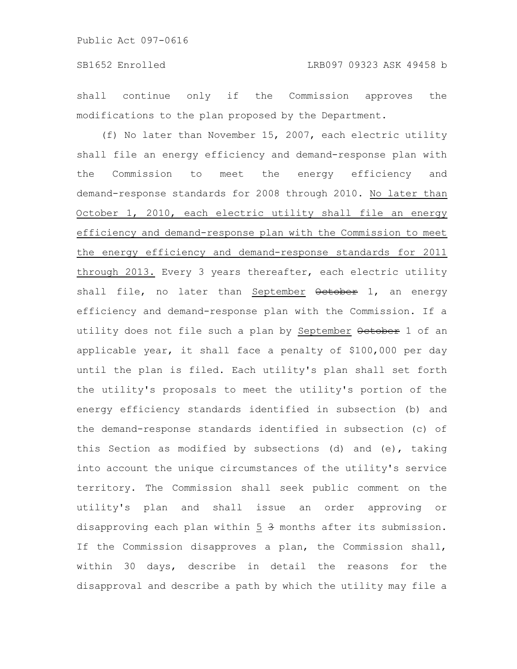shall continue only if the Commission approves the modifications to the plan proposed by the Department.

(f) No later than November 15, 2007, each electric utility shall file an energy efficiency and demand-response plan with the Commission to meet the energy efficiency and demand-response standards for 2008 through 2010. No later than October 1, 2010, each electric utility shall file an energy efficiency and demand-response plan with the Commission to meet the energy efficiency and demand-response standards for 2011 through 2013. Every 3 years thereafter, each electric utility shall file, no later than September October 1, an energy efficiency and demand-response plan with the Commission. If a utility does not file such a plan by September October 1 of an applicable year, it shall face a penalty of \$100,000 per day until the plan is filed. Each utility's plan shall set forth the utility's proposals to meet the utility's portion of the energy efficiency standards identified in subsection (b) and the demand-response standards identified in subsection (c) of this Section as modified by subsections (d) and (e), taking into account the unique circumstances of the utility's service territory. The Commission shall seek public comment on the utility's plan and shall issue an order approving or disapproving each plan within 5 3 months after its submission. If the Commission disapproves a plan, the Commission shall, within 30 days, describe in detail the reasons for the disapproval and describe a path by which the utility may file a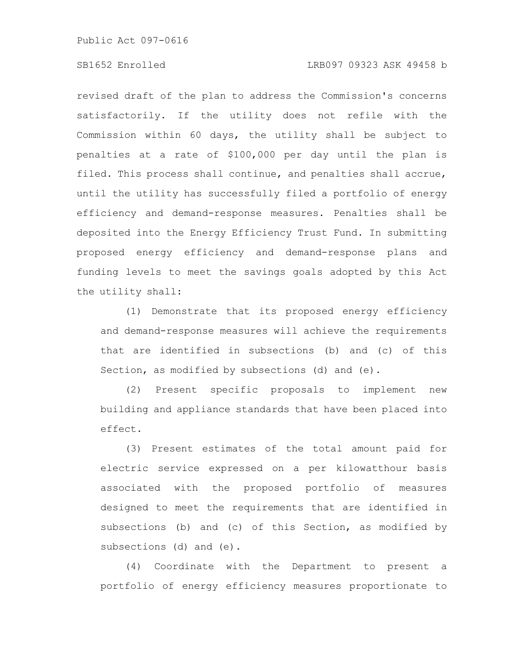# SB1652 Enrolled LRB097 09323 ASK 49458 b

revised draft of the plan to address the Commission's concerns satisfactorily. If the utility does not refile with the Commission within 60 days, the utility shall be subject to penalties at a rate of \$100,000 per day until the plan is filed. This process shall continue, and penalties shall accrue, until the utility has successfully filed a portfolio of energy efficiency and demand-response measures. Penalties shall be deposited into the Energy Efficiency Trust Fund. In submitting proposed energy efficiency and demand-response plans and funding levels to meet the savings goals adopted by this Act the utility shall:

(1) Demonstrate that its proposed energy efficiency and demand-response measures will achieve the requirements that are identified in subsections (b) and (c) of this Section, as modified by subsections (d) and (e).

(2) Present specific proposals to implement new building and appliance standards that have been placed into effect.

(3) Present estimates of the total amount paid for electric service expressed on a per kilowatthour basis associated with the proposed portfolio of measures designed to meet the requirements that are identified in subsections (b) and (c) of this Section, as modified by subsections (d) and (e).

(4) Coordinate with the Department to present a portfolio of energy efficiency measures proportionate to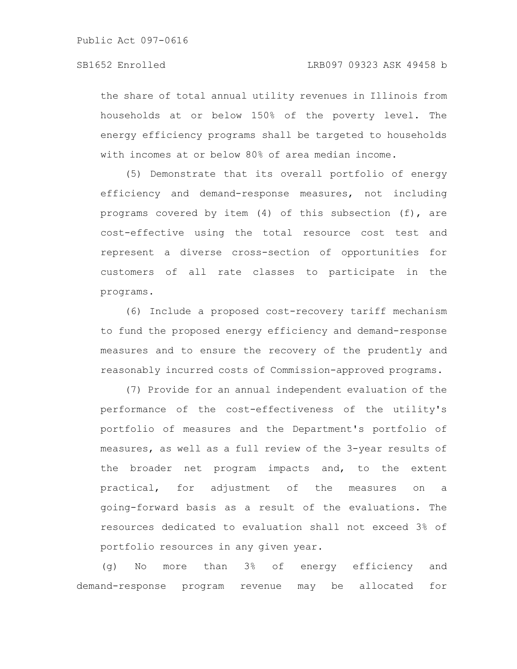the share of total annual utility revenues in Illinois from households at or below 150% of the poverty level. The energy efficiency programs shall be targeted to households with incomes at or below 80% of area median income.

(5) Demonstrate that its overall portfolio of energy efficiency and demand-response measures, not including programs covered by item (4) of this subsection (f), are cost-effective using the total resource cost test and represent a diverse cross-section of opportunities for customers of all rate classes to participate in the programs.

(6) Include a proposed cost-recovery tariff mechanism to fund the proposed energy efficiency and demand-response measures and to ensure the recovery of the prudently and reasonably incurred costs of Commission-approved programs.

(7) Provide for an annual independent evaluation of the performance of the cost-effectiveness of the utility's portfolio of measures and the Department's portfolio of measures, as well as a full review of the 3-year results of the broader net program impacts and, to the extent practical, for adjustment of the measures on a going-forward basis as a result of the evaluations. The resources dedicated to evaluation shall not exceed 3% of portfolio resources in any given year.

(g) No more than 3% of energy efficiency and demand-response program revenue may be allocated for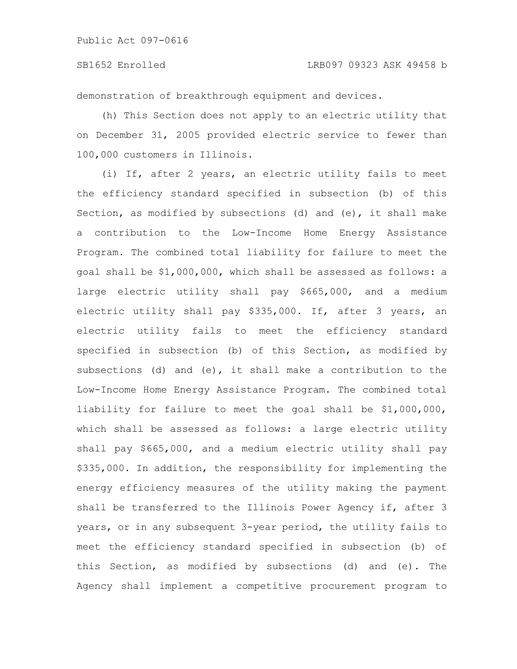### SB1652 Enrolled LRB097 09323 ASK 49458 b

demonstration of breakthrough equipment and devices.

(h) This Section does not apply to an electric utility that on December 31, 2005 provided electric service to fewer than 100,000 customers in Illinois.

(i) If, after 2 years, an electric utility fails to meet the efficiency standard specified in subsection (b) of this Section, as modified by subsections (d) and (e), it shall make a contribution to the Low-Income Home Energy Assistance Program. The combined total liability for failure to meet the goal shall be \$1,000,000, which shall be assessed as follows: a large electric utility shall pay \$665,000, and a medium electric utility shall pay \$335,000. If, after 3 years, an electric utility fails to meet the efficiency standard specified in subsection (b) of this Section, as modified by subsections (d) and (e), it shall make a contribution to the Low-Income Home Energy Assistance Program. The combined total liability for failure to meet the goal shall be \$1,000,000, which shall be assessed as follows: a large electric utility shall pay \$665,000, and a medium electric utility shall pay \$335,000. In addition, the responsibility for implementing the energy efficiency measures of the utility making the payment shall be transferred to the Illinois Power Agency if, after 3 years, or in any subsequent 3-year period, the utility fails to meet the efficiency standard specified in subsection (b) of this Section, as modified by subsections (d) and (e). The Agency shall implement a competitive procurement program to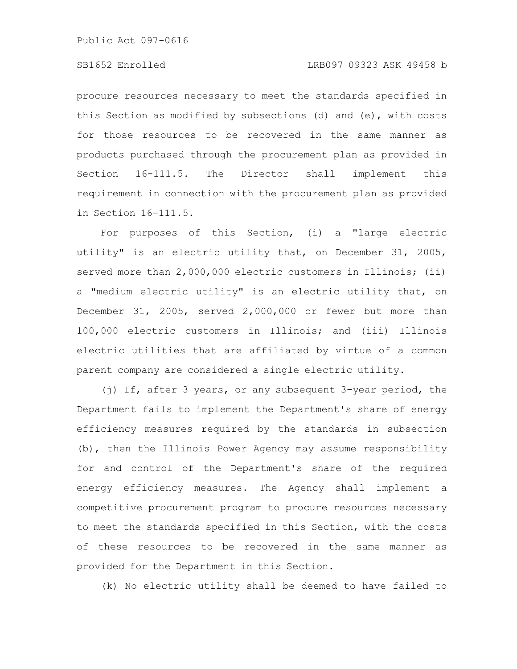procure resources necessary to meet the standards specified in this Section as modified by subsections (d) and (e), with costs for those resources to be recovered in the same manner as products purchased through the procurement plan as provided in Section 16-111.5. The Director shall implement this requirement in connection with the procurement plan as provided in Section 16-111.5.

For purposes of this Section, (i) a "large electric utility" is an electric utility that, on December 31, 2005, served more than 2,000,000 electric customers in Illinois; (ii) a "medium electric utility" is an electric utility that, on December 31, 2005, served 2,000,000 or fewer but more than 100,000 electric customers in Illinois; and (iii) Illinois electric utilities that are affiliated by virtue of a common parent company are considered a single electric utility.

(j) If, after 3 years, or any subsequent 3-year period, the Department fails to implement the Department's share of energy efficiency measures required by the standards in subsection (b), then the Illinois Power Agency may assume responsibility for and control of the Department's share of the required energy efficiency measures. The Agency shall implement a competitive procurement program to procure resources necessary to meet the standards specified in this Section, with the costs of these resources to be recovered in the same manner as provided for the Department in this Section.

(k) No electric utility shall be deemed to have failed to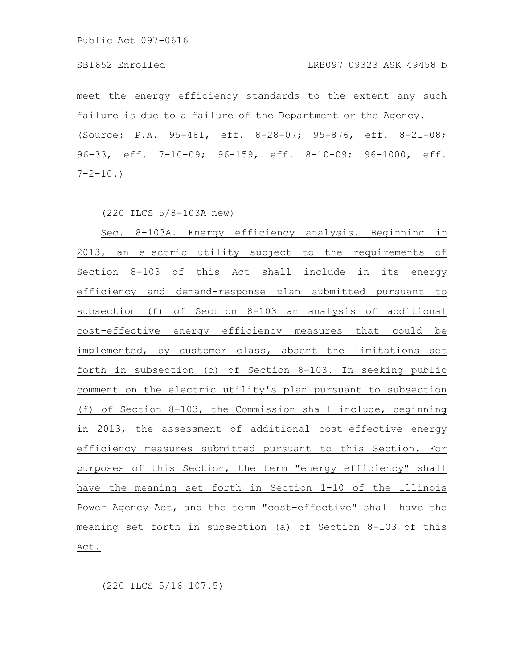#### SB1652 Enrolled LRB097 09323 ASK 49458 b

meet the energy efficiency standards to the extent any such failure is due to a failure of the Department or the Agency. (Source: P.A. 95-481, eff. 8-28-07; 95-876, eff. 8-21-08; 96-33, eff. 7-10-09; 96-159, eff. 8-10-09; 96-1000, eff.  $7 - 2 - 10.$ 

(220 ILCS 5/8-103A new)

Sec. 8-103A. Energy efficiency analysis. Beginning in 2013, an electric utility subject to the requirements of Section 8-103 of this Act shall include in its energy efficiency and demand-response plan submitted pursuant to subsection (f) of Section 8-103 an analysis of additional cost-effective energy efficiency measures that could be implemented, by customer class, absent the limitations set forth in subsection (d) of Section 8-103. In seeking public comment on the electric utility's plan pursuant to subsection (f) of Section 8-103, the Commission shall include, beginning in 2013, the assessment of additional cost-effective energy efficiency measures submitted pursuant to this Section. For purposes of this Section, the term "energy efficiency" shall have the meaning set forth in Section 1-10 of the Illinois Power Agency Act, and the term "cost-effective" shall have the meaning set forth in subsection (a) of Section 8-103 of this Act.

(220 ILCS 5/16-107.5)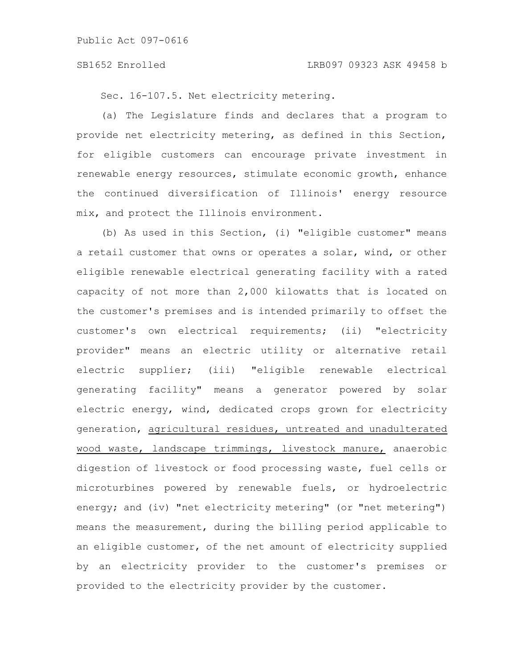Sec. 16-107.5. Net electricity metering.

(a) The Legislature finds and declares that a program to provide net electricity metering, as defined in this Section, for eligible customers can encourage private investment in renewable energy resources, stimulate economic growth, enhance the continued diversification of Illinois' energy resource mix, and protect the Illinois environment.

(b) As used in this Section, (i) "eligible customer" means a retail customer that owns or operates a solar, wind, or other eligible renewable electrical generating facility with a rated capacity of not more than 2,000 kilowatts that is located on the customer's premises and is intended primarily to offset the customer's own electrical requirements; (ii) "electricity provider" means an electric utility or alternative retail electric supplier; (iii) "eligible renewable electrical generating facility" means a generator powered by solar electric energy, wind, dedicated crops grown for electricity generation, agricultural residues, untreated and unadulterated wood waste, landscape trimmings, livestock manure, anaerobic digestion of livestock or food processing waste, fuel cells or microturbines powered by renewable fuels, or hydroelectric energy; and (iv) "net electricity metering" (or "net metering") means the measurement, during the billing period applicable to an eligible customer, of the net amount of electricity supplied by an electricity provider to the customer's premises or provided to the electricity provider by the customer.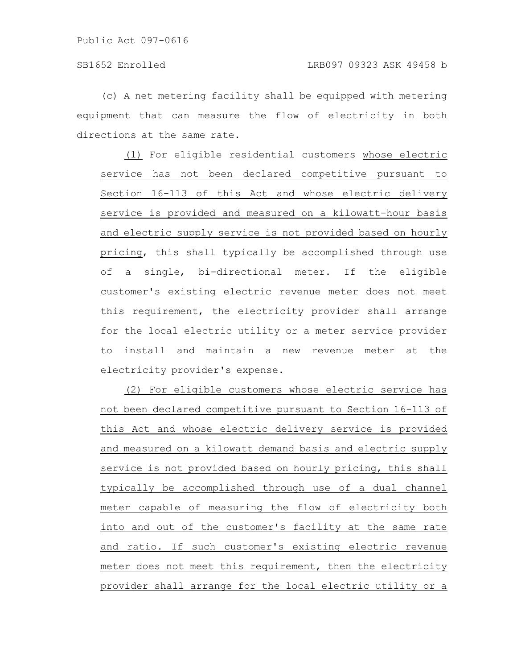(c) A net metering facility shall be equipped with metering equipment that can measure the flow of electricity in both directions at the same rate.

(1) For eligible residential customers whose electric service has not been declared competitive pursuant to Section 16-113 of this Act and whose electric delivery service is provided and measured on a kilowatt-hour basis and electric supply service is not provided based on hourly pricing, this shall typically be accomplished through use of a single, bi-directional meter. If the eligible customer's existing electric revenue meter does not meet this requirement, the electricity provider shall arrange for the local electric utility or a meter service provider to install and maintain a new revenue meter at the electricity provider's expense.

(2) For eligible customers whose electric service has not been declared competitive pursuant to Section 16-113 of this Act and whose electric delivery service is provided and measured on a kilowatt demand basis and electric supply service is not provided based on hourly pricing, this shall typically be accomplished through use of a dual channel meter capable of measuring the flow of electricity both into and out of the customer's facility at the same rate and ratio. If such customer's existing electric revenue meter does not meet this requirement, then the electricity provider shall arrange for the local electric utility or a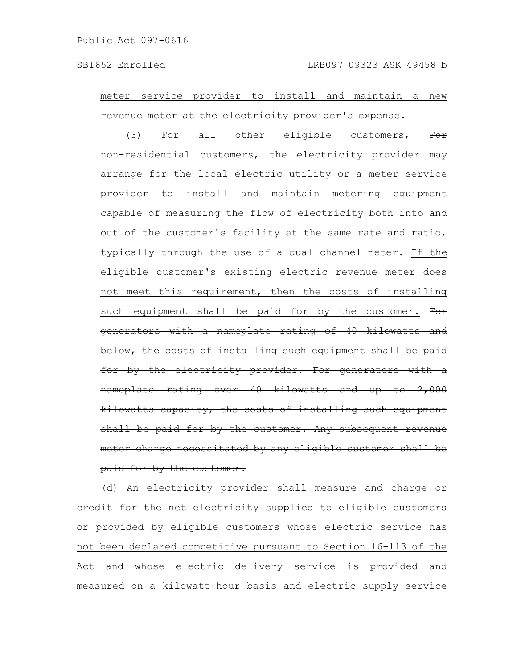meter service provider to install and maintain a new revenue meter at the electricity provider's expense.

(3) For all other eligible customers, For residential customers, the electricity provider may arrange for the local electric utility or a meter service provider to install and maintain metering equipment capable of measuring the flow of electricity both into and out of the customer's facility at the same rate and ratio, typically through the use of a dual channel meter. If the eligible customer's existing electric revenue meter does not meet this requirement, then the costs of installing such equipment shall be paid for by the customer. For generators with a nameplate rating of 40 kilowatts below, the costs of installing such equipment shall be paid for by the electricity provider. For generators nameplate rating over 40 kilowatts and kilowatts capacity, the costs of installing such equipment shall be paid for by the customer. Any subsequent meter change necessitated by any eligible customer shall be paid for by the customer.

(d) An electricity provider shall measure and charge or credit for the net electricity supplied to eligible customers or provided by eligible customers whose electric service has not been declared competitive pursuant to Section 16-113 of the Act and whose electric delivery service is provided and measured on a kilowatt-hour basis and electric supply service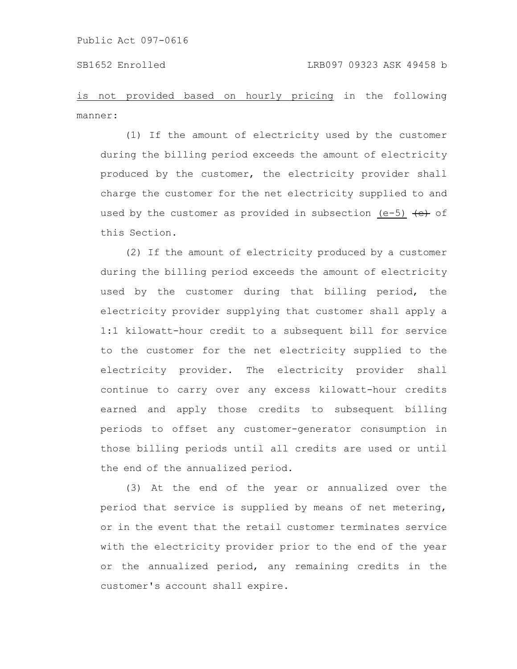is not provided based on hourly pricing in the following manner:

(1) If the amount of electricity used by the customer during the billing period exceeds the amount of electricity produced by the customer, the electricity provider shall charge the customer for the net electricity supplied to and used by the customer as provided in subsection (e-5)  $\leftarrow$  of this Section.

(2) If the amount of electricity produced by a customer during the billing period exceeds the amount of electricity used by the customer during that billing period, the electricity provider supplying that customer shall apply a 1:1 kilowatt-hour credit to a subsequent bill for service to the customer for the net electricity supplied to the electricity provider. The electricity provider shall continue to carry over any excess kilowatt-hour credits earned and apply those credits to subsequent billing periods to offset any customer-generator consumption in those billing periods until all credits are used or until the end of the annualized period.

(3) At the end of the year or annualized over the period that service is supplied by means of net metering, or in the event that the retail customer terminates service with the electricity provider prior to the end of the year or the annualized period, any remaining credits in the customer's account shall expire.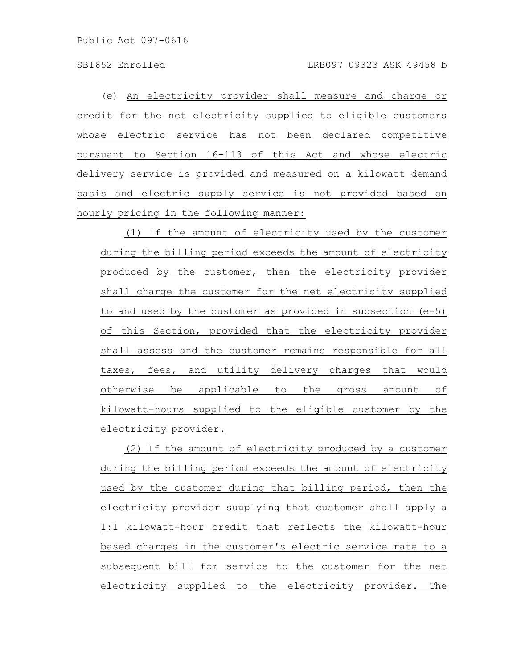(e) An electricity provider shall measure and charge or credit for the net electricity supplied to eligible customers whose electric service has not been declared competitive pursuant to Section 16-113 of this Act and whose electric delivery service is provided and measured on a kilowatt demand basis and electric supply service is not provided based on hourly pricing in the following manner:

(1) If the amount of electricity used by the customer during the billing period exceeds the amount of electricity produced by the customer, then the electricity provider shall charge the customer for the net electricity supplied to and used by the customer as provided in subsection (e-5) of this Section, provided that the electricity provider shall assess and the customer remains responsible for all taxes, fees, and utility delivery charges that would otherwise be applicable to the gross amount of kilowatt-hours supplied to the eligible customer by the electricity provider.

(2) If the amount of electricity produced by a customer during the billing period exceeds the amount of electricity used by the customer during that billing period, then the electricity provider supplying that customer shall apply a 1:1 kilowatt-hour credit that reflects the kilowatt-hour based charges in the customer's electric service rate to a subsequent bill for service to the customer for the net electricity supplied to the electricity provider. The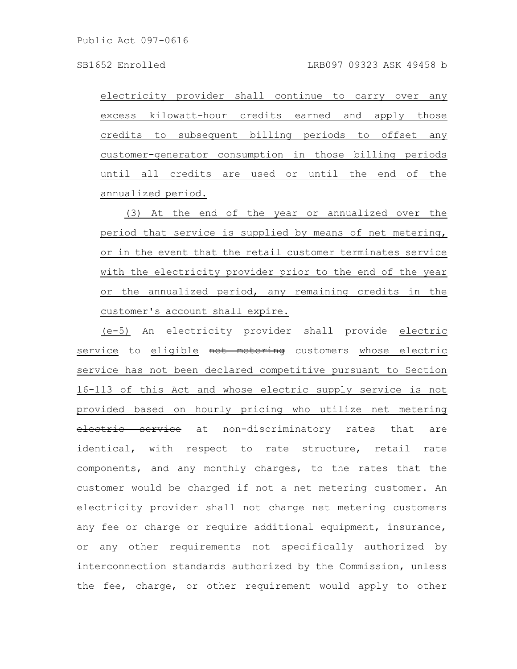electricity provider shall continue to carry over any excess kilowatt-hour credits earned and apply those credits to subsequent billing periods to offset any customer-generator consumption in those billing periods until all credits are used or until the end of the annualized period.

(3) At the end of the year or annualized over the period that service is supplied by means of net metering, or in the event that the retail customer terminates service with the electricity provider prior to the end of the year or the annualized period, any remaining credits in the customer's account shall expire.

(e-5) An electricity provider shall provide electric service to eligible net metering customers whose electric service has not been declared competitive pursuant to Section 16-113 of this Act and whose electric supply service is not provided based on hourly pricing who utilize net metering electric service at non-discriminatory rates that are identical, with respect to rate structure, retail rate components, and any monthly charges, to the rates that the customer would be charged if not a net metering customer. An electricity provider shall not charge net metering customers any fee or charge or require additional equipment, insurance, or any other requirements not specifically authorized by interconnection standards authorized by the Commission, unless the fee, charge, or other requirement would apply to other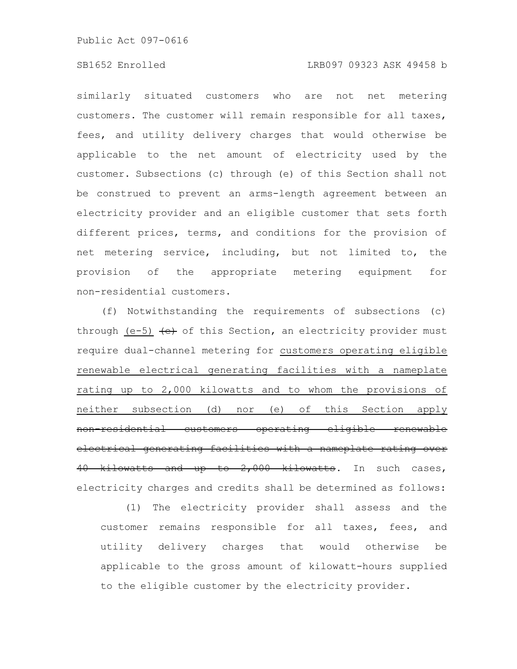# SB1652 Enrolled LRB097 09323 ASK 49458 b

similarly situated customers who are not net metering customers. The customer will remain responsible for all taxes, fees, and utility delivery charges that would otherwise be applicable to the net amount of electricity used by the customer. Subsections (c) through (e) of this Section shall not be construed to prevent an arms-length agreement between an electricity provider and an eligible customer that sets forth different prices, terms, and conditions for the provision of net metering service, including, but not limited to, the provision of the appropriate metering equipment for non-residential customers.

(f) Notwithstanding the requirements of subsections (c) through (e-5)  $\leftrightarrow$  of this Section, an electricity provider must require dual-channel metering for customers operating eligible renewable electrical generating facilities with a nameplate rating up to 2,000 kilowatts and to whom the provisions of neither subsection (d) nor (e) of this Section apply non-residential customers operating eligible renewable electrical generating facilities with a nameplate rating over 40 kilowatts and up to 2,000 kilowatts. In such cases, electricity charges and credits shall be determined as follows:

(1) The electricity provider shall assess and the customer remains responsible for all taxes, fees, and utility delivery charges that would otherwise be applicable to the gross amount of kilowatt-hours supplied to the eligible customer by the electricity provider.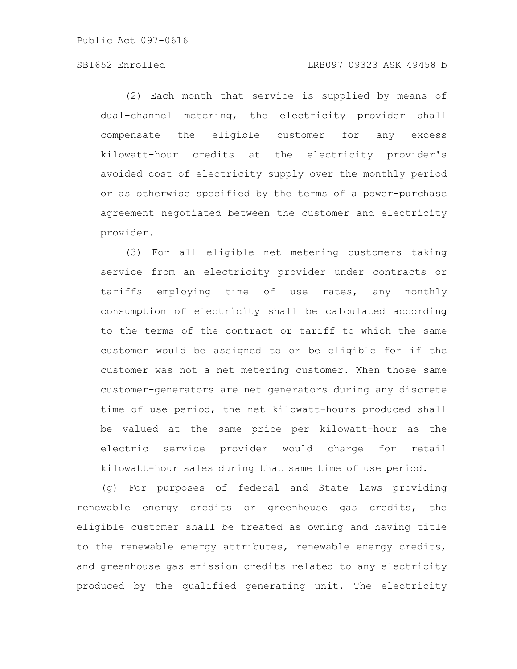# SB1652 Enrolled LRB097 09323 ASK 49458 b

(2) Each month that service is supplied by means of dual-channel metering, the electricity provider shall compensate the eligible customer for any excess kilowatt-hour credits at the electricity provider's avoided cost of electricity supply over the monthly period or as otherwise specified by the terms of a power-purchase agreement negotiated between the customer and electricity provider.

(3) For all eligible net metering customers taking service from an electricity provider under contracts or tariffs employing time of use rates, any monthly consumption of electricity shall be calculated according to the terms of the contract or tariff to which the same customer would be assigned to or be eligible for if the customer was not a net metering customer. When those same customer-generators are net generators during any discrete time of use period, the net kilowatt-hours produced shall be valued at the same price per kilowatt-hour as the electric service provider would charge for retail kilowatt-hour sales during that same time of use period.

(g) For purposes of federal and State laws providing renewable energy credits or greenhouse gas credits, the eligible customer shall be treated as owning and having title to the renewable energy attributes, renewable energy credits, and greenhouse gas emission credits related to any electricity produced by the qualified generating unit. The electricity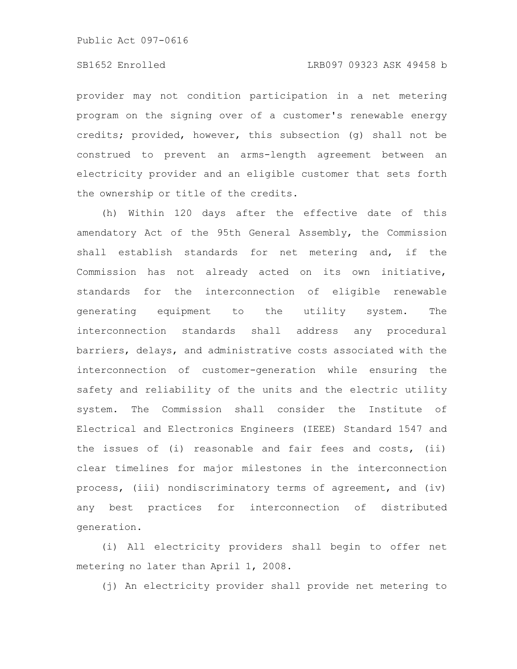provider may not condition participation in a net metering program on the signing over of a customer's renewable energy credits; provided, however, this subsection (g) shall not be construed to prevent an arms-length agreement between an electricity provider and an eligible customer that sets forth the ownership or title of the credits.

(h) Within 120 days after the effective date of this amendatory Act of the 95th General Assembly, the Commission shall establish standards for net metering and, if the Commission has not already acted on its own initiative, standards for the interconnection of eligible renewable generating equipment to the utility system. The interconnection standards shall address any procedural barriers, delays, and administrative costs associated with the interconnection of customer-generation while ensuring the safety and reliability of the units and the electric utility system. The Commission shall consider the Institute of Electrical and Electronics Engineers (IEEE) Standard 1547 and the issues of (i) reasonable and fair fees and costs, (ii) clear timelines for major milestones in the interconnection process, (iii) nondiscriminatory terms of agreement, and (iv) any best practices for interconnection of distributed generation.

(i) All electricity providers shall begin to offer net metering no later than April 1, 2008.

(j) An electricity provider shall provide net metering to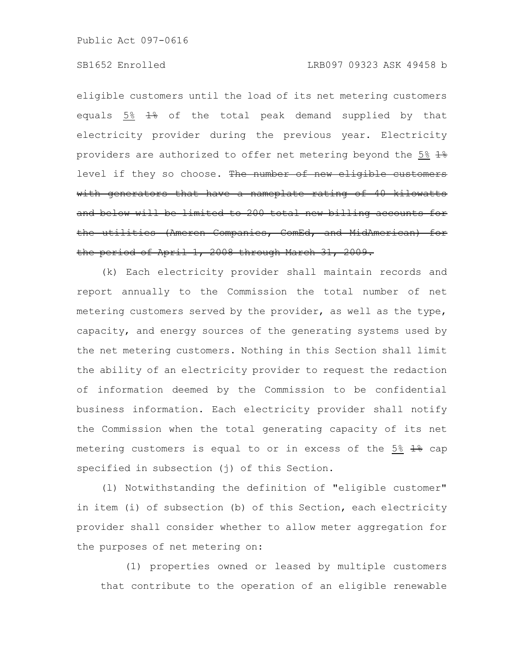# SB1652 Enrolled LRB097 09323 ASK 49458 b

eligible customers until the load of its net metering customers equals  $5\%$   $\frac{12}{10}$  of the total peak demand supplied by that electricity provider during the previous year. Electricity providers are authorized to offer net metering beyond the 5% 1% level if they so choose. The number of new eligible customers with generators that have a nameplate rating of 40 kilowatts and below will be limited to 200 total new billing accounts the utilities (Ameren Companies, ComEd, and MidAmerican) the period of April 1, 2008 through March 31, 2009.

(k) Each electricity provider shall maintain records and report annually to the Commission the total number of net metering customers served by the provider, as well as the type, capacity, and energy sources of the generating systems used by the net metering customers. Nothing in this Section shall limit the ability of an electricity provider to request the redaction of information deemed by the Commission to be confidential business information. Each electricity provider shall notify the Commission when the total generating capacity of its net metering customers is equal to or in excess of the 5%  $1\frac{1}{2}$  cap specified in subsection (j) of this Section.

(l) Notwithstanding the definition of "eligible customer" in item (i) of subsection (b) of this Section, each electricity provider shall consider whether to allow meter aggregation for the purposes of net metering on:

(1) properties owned or leased by multiple customers that contribute to the operation of an eligible renewable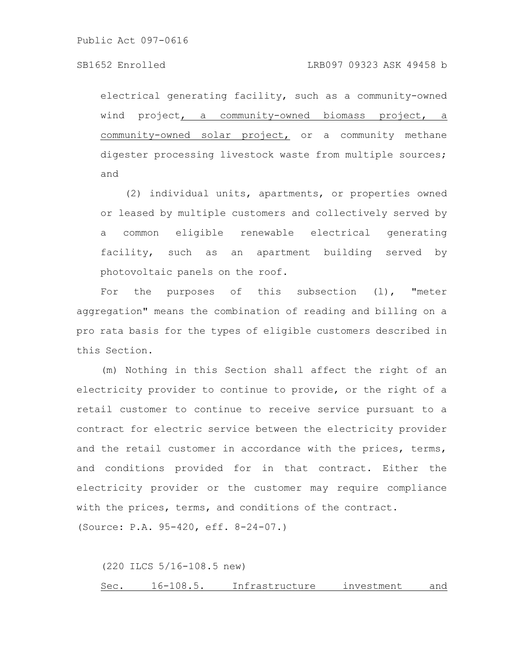electrical generating facility, such as a community-owned wind project, a community-owned biomass project, a community-owned solar project, or a community methane digester processing livestock waste from multiple sources; and

(2) individual units, apartments, or properties owned or leased by multiple customers and collectively served by a common eligible renewable electrical generating facility, such as an apartment building served by photovoltaic panels on the roof.

For the purposes of this subsection (1), "meter aggregation" means the combination of reading and billing on a pro rata basis for the types of eligible customers described in this Section.

(m) Nothing in this Section shall affect the right of an electricity provider to continue to provide, or the right of a retail customer to continue to receive service pursuant to a contract for electric service between the electricity provider and the retail customer in accordance with the prices, terms, and conditions provided for in that contract. Either the electricity provider or the customer may require compliance with the prices, terms, and conditions of the contract. (Source: P.A. 95-420, eff. 8-24-07.)

(220 ILCS 5/16-108.5 new)

Sec. 16-108.5. Infrastructure investment and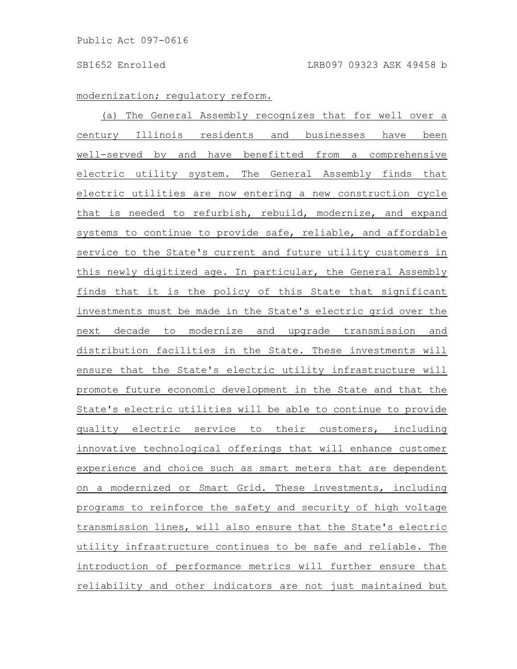# modernization; regulatory reform.

(a) The General Assembly recognizes that for well over a century Illinois residents and businesses have been well-served by and have benefitted from a comprehensive electric utility system. The General Assembly finds that electric utilities are now entering a new construction cycle that is needed to refurbish, rebuild, modernize, and expand systems to continue to provide safe, reliable, and affordable service to the State's current and future utility customers in this newly digitized age. In particular, the General Assembly finds that it is the policy of this State that significant investments must be made in the State's electric grid over the next decade to modernize and upgrade transmission and distribution facilities in the State. These investments will ensure that the State's electric utility infrastructure will promote future economic development in the State and that the State's electric utilities will be able to continue to provide quality electric service to their customers, including innovative technological offerings that will enhance customer experience and choice such as smart meters that are dependent on a modernized or Smart Grid. These investments, including programs to reinforce the safety and security of high voltage transmission lines, will also ensure that the State's electric utility infrastructure continues to be safe and reliable. The introduction of performance metrics will further ensure that reliability and other indicators are not just maintained but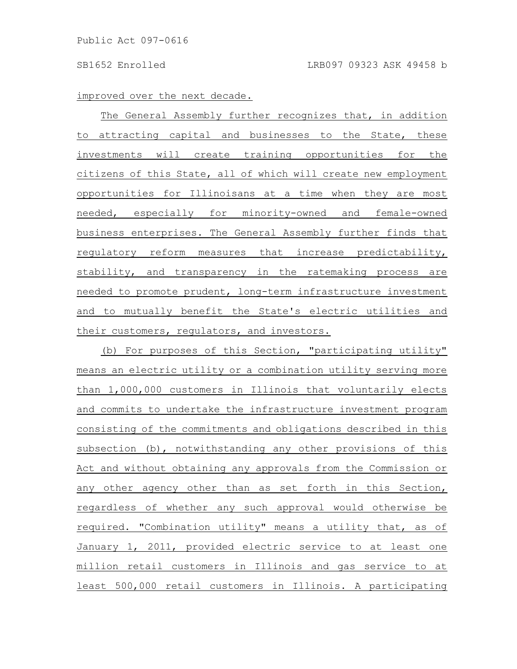#### improved over the next decade.

The General Assembly further recognizes that, in addition to attracting capital and businesses to the State, these investments will create training opportunities for the citizens of this State, all of which will create new employment opportunities for Illinoisans at a time when they are most needed, especially for minority-owned and female-owned business enterprises. The General Assembly further finds that regulatory reform measures that increase predictability, stability, and transparency in the ratemaking process are needed to promote prudent, long-term infrastructure investment and to mutually benefit the State's electric utilities and their customers, regulators, and investors.

(b) For purposes of this Section, "participating utility" means an electric utility or a combination utility serving more than 1,000,000 customers in Illinois that voluntarily elects and commits to undertake the infrastructure investment program consisting of the commitments and obligations described in this subsection (b), notwithstanding any other provisions of this Act and without obtaining any approvals from the Commission or any other agency other than as set forth in this Section, regardless of whether any such approval would otherwise be required. "Combination utility" means a utility that, as of January 1, 2011, provided electric service to at least one million retail customers in Illinois and gas service to at least 500,000 retail customers in Illinois. A participating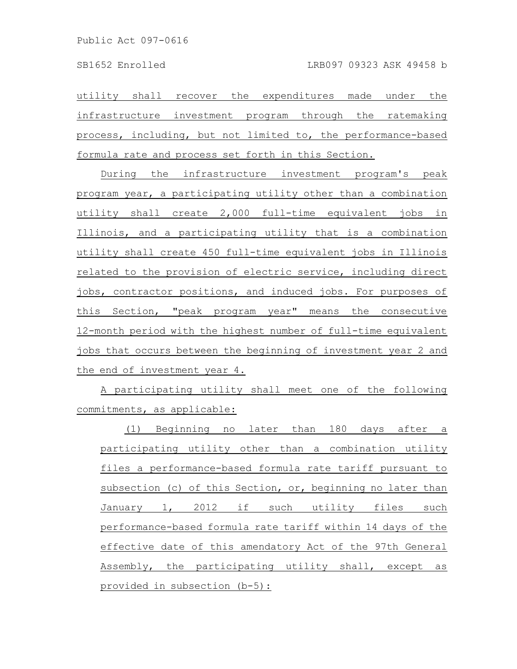utility shall recover the expenditures made under the infrastructure investment program through the ratemaking process, including, but not limited to, the performance-based formula rate and process set forth in this Section.

During the infrastructure investment program's peak program year, a participating utility other than a combination utility shall create 2,000 full-time equivalent jobs in Illinois, and a participating utility that is a combination utility shall create 450 full-time equivalent jobs in Illinois related to the provision of electric service, including direct jobs, contractor positions, and induced jobs. For purposes of this Section, "peak program year" means the consecutive 12-month period with the highest number of full-time equivalent jobs that occurs between the beginning of investment year 2 and the end of investment year 4.

A participating utility shall meet one of the following commitments, as applicable:

(1) Beginning no later than 180 days after a participating utility other than a combination utility files a performance-based formula rate tariff pursuant to subsection (c) of this Section, or, beginning no later than January 1, 2012 if such utility files such performance-based formula rate tariff within 14 days of the effective date of this amendatory Act of the 97th General Assembly, the participating utility shall, except as provided in subsection (b-5):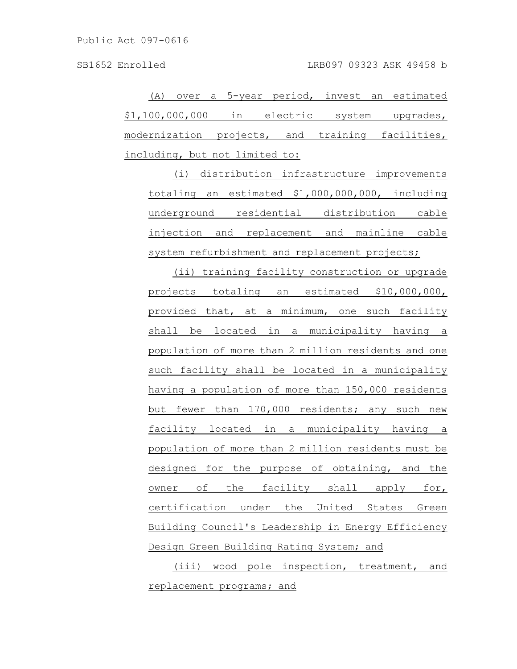(A) over a 5-year period, invest an estimated \$1,100,000,000 in electric system upgrades, modernization projects, and training facilities, including, but not limited to:

(i) distribution infrastructure improvements totaling an estimated \$1,000,000,000, including underground residential distribution cable injection and replacement and mainline cable system refurbishment and replacement projects;

(ii) training facility construction or upgrade projects totaling an estimated \$10,000,000, provided that, at a minimum, one such facility shall be located in a municipality having a population of more than 2 million residents and one such facility shall be located in a municipality having a population of more than 150,000 residents but fewer than 170,000 residents; any such new facility located in a municipality having a population of more than 2 million residents must be designed for the purpose of obtaining, and the owner of the facility shall apply for, certification under the United States Green Building Council's Leadership in Energy Efficiency Design Green Building Rating System; and

(iii) wood pole inspection, treatment, and replacement programs; and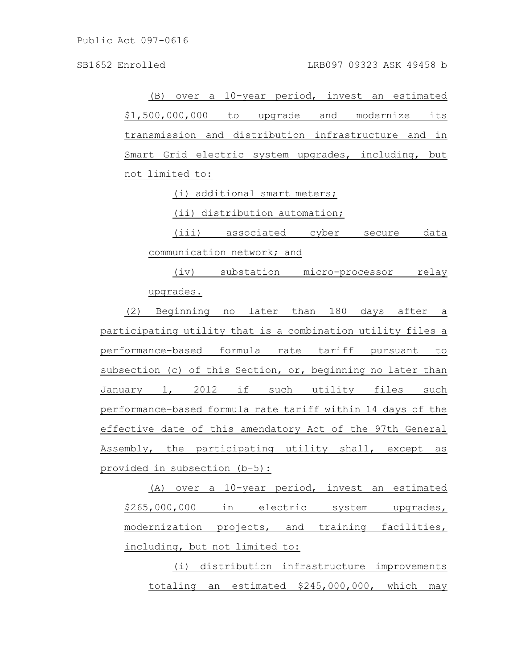(B) over a 10-year period, invest an estimated \$1,500,000,000 to upgrade and modernize its transmission and distribution infrastructure and in Smart Grid electric system upgrades, including, but not limited to:

(i) additional smart meters;

(ii) distribution automation;

(iii) associated cyber secure data communication network; and

(iv) substation micro-processor relay upgrades.

(2) Beginning no later than 180 days after a participating utility that is a combination utility files a performance-based formula rate tariff pursuant to subsection (c) of this Section, or, beginning no later than January 1, 2012 if such utility files such performance-based formula rate tariff within 14 days of the effective date of this amendatory Act of the 97th General Assembly, the participating utility shall, except as provided in subsection (b-5):

(A) over a 10-year period, invest an estimated \$265,000,000 in electric system upgrades, modernization projects, and training facilities, including, but not limited to:

(i) distribution infrastructure improvements totaling an estimated \$245,000,000, which may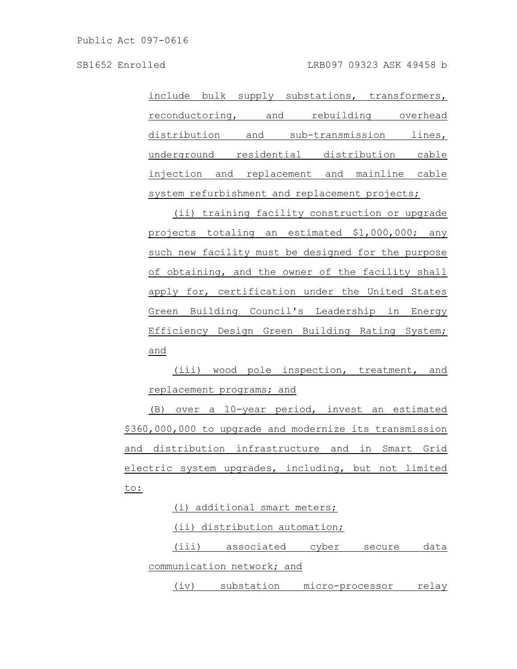SB1652 Enrolled LRB097 09323 ASK 49458 b

include bulk supply substations, transformers, reconductoring, and rebuilding overhead distribution and sub-transmission lines, underground residential distribution cable injection and replacement and mainline cable system refurbishment and replacement projects;

(ii) training facility construction or upgrade projects totaling an estimated \$1,000,000; any such new facility must be designed for the purpose of obtaining, and the owner of the facility shall apply for, certification under the United States Green Building Council's Leadership in Energy Efficiency Design Green Building Rating System; and

(iii) wood pole inspection, treatment, and replacement programs; and

(B) over a 10-year period, invest an estimated \$360,000,000 to upgrade and modernize its transmission and distribution infrastructure and in Smart Grid electric system upgrades, including, but not limited to:

(i) additional smart meters; (ii) distribution automation; (iii) associated cyber secure data communication network; and (iv) substation micro-processor relay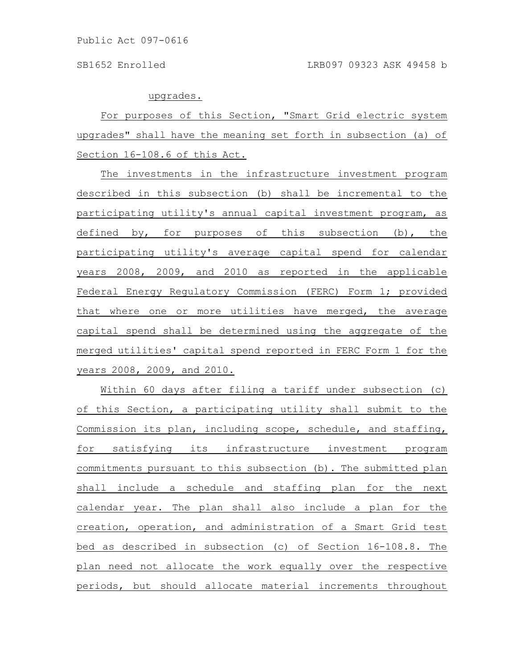upgrades.

For purposes of this Section, "Smart Grid electric system upgrades" shall have the meaning set forth in subsection (a) of Section 16-108.6 of this Act.

The investments in the infrastructure investment program described in this subsection (b) shall be incremental to the participating utility's annual capital investment program, as defined by, for purposes of this subsection (b), the participating utility's average capital spend for calendar years 2008, 2009, and 2010 as reported in the applicable Federal Energy Regulatory Commission (FERC) Form 1; provided that where one or more utilities have merged, the average capital spend shall be determined using the aggregate of the merged utilities' capital spend reported in FERC Form 1 for the years 2008, 2009, and 2010.

Within 60 days after filing a tariff under subsection (c) of this Section, a participating utility shall submit to the Commission its plan, including scope, schedule, and staffing, for satisfying its infrastructure investment program commitments pursuant to this subsection (b). The submitted plan shall include a schedule and staffing plan for the next calendar year. The plan shall also include a plan for the creation, operation, and administration of a Smart Grid test bed as described in subsection (c) of Section 16-108.8. The plan need not allocate the work equally over the respective periods, but should allocate material increments throughout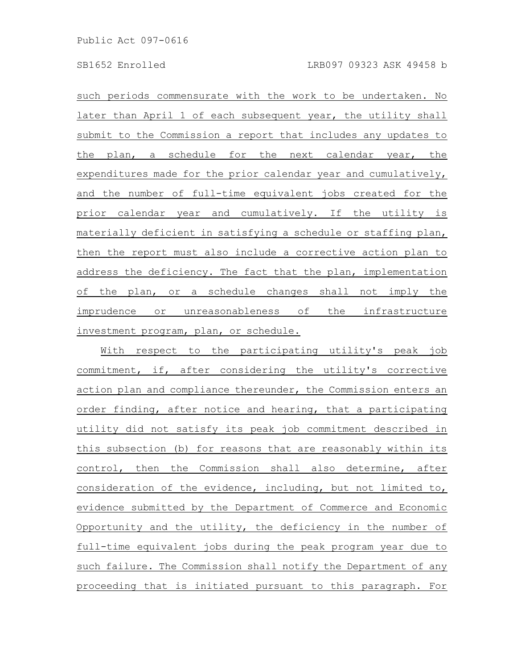such periods commensurate with the work to be undertaken. No later than April 1 of each subsequent year, the utility shall submit to the Commission a report that includes any updates to the plan, a schedule for the next calendar year, the expenditures made for the prior calendar year and cumulatively, and the number of full-time equivalent jobs created for the prior calendar year and cumulatively. If the utility is materially deficient in satisfying a schedule or staffing plan, then the report must also include a corrective action plan to address the deficiency. The fact that the plan, implementation of the plan, or a schedule changes shall not imply the imprudence or unreasonableness of the infrastructure investment program, plan, or schedule.

With respect to the participating utility's peak job commitment, if, after considering the utility's corrective action plan and compliance thereunder, the Commission enters an order finding, after notice and hearing, that a participating utility did not satisfy its peak job commitment described in this subsection (b) for reasons that are reasonably within its control, then the Commission shall also determine, after consideration of the evidence, including, but not limited to, evidence submitted by the Department of Commerce and Economic Opportunity and the utility, the deficiency in the number of full-time equivalent jobs during the peak program year due to such failure. The Commission shall notify the Department of any proceeding that is initiated pursuant to this paragraph. For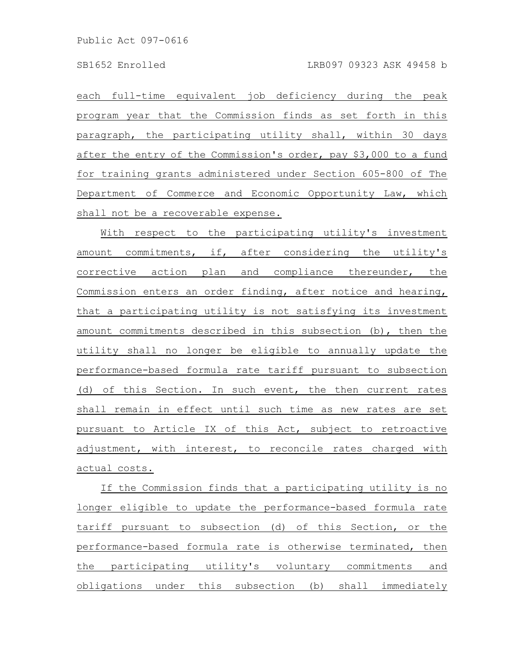each full-time equivalent job deficiency during the peak program year that the Commission finds as set forth in this paragraph, the participating utility shall, within 30 days after the entry of the Commission's order, pay \$3,000 to a fund for training grants administered under Section 605-800 of The Department of Commerce and Economic Opportunity Law, which shall not be a recoverable expense.

With respect to the participating utility's investment amount commitments, if, after considering the utility's corrective action plan and compliance thereunder, the Commission enters an order finding, after notice and hearing, that a participating utility is not satisfying its investment amount commitments described in this subsection (b), then the utility shall no longer be eligible to annually update the performance-based formula rate tariff pursuant to subsection (d) of this Section. In such event, the then current rates shall remain in effect until such time as new rates are set pursuant to Article IX of this Act, subject to retroactive adjustment, with interest, to reconcile rates charged with actual costs.

If the Commission finds that a participating utility is no longer eligible to update the performance-based formula rate tariff pursuant to subsection (d) of this Section, or the performance-based formula rate is otherwise terminated, then the participating utility's voluntary commitments and obligations under this subsection (b) shall immediately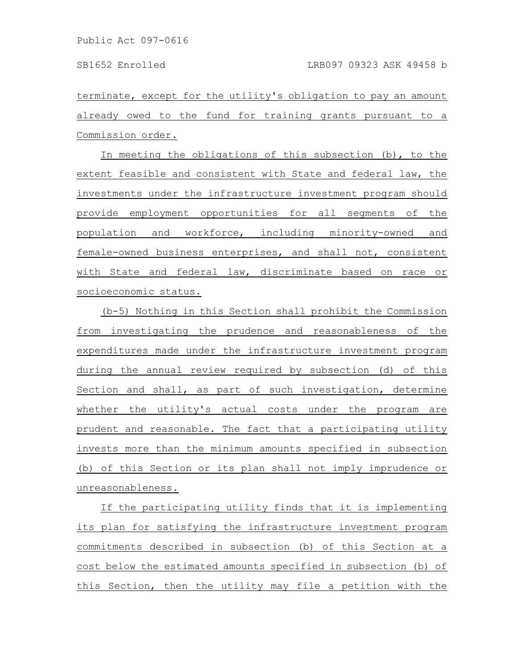terminate, except for the utility's obligation to pay an amount already owed to the fund for training grants pursuant to a Commission order.

In meeting the obligations of this subsection (b), to the extent feasible and consistent with State and federal law, the investments under the infrastructure investment program should provide employment opportunities for all segments of the population and workforce, including minority-owned and female-owned business enterprises, and shall not, consistent with State and federal law, discriminate based on race or socioeconomic status.

(b-5) Nothing in this Section shall prohibit the Commission from investigating the prudence and reasonableness of the expenditures made under the infrastructure investment program during the annual review required by subsection (d) of this Section and shall, as part of such investigation, determine whether the utility's actual costs under the program are prudent and reasonable. The fact that a participating utility invests more than the minimum amounts specified in subsection (b) of this Section or its plan shall not imply imprudence or unreasonableness.

If the participating utility finds that it is implementing its plan for satisfying the infrastructure investment program commitments described in subsection (b) of this Section at a cost below the estimated amounts specified in subsection (b) of this Section, then the utility may file a petition with the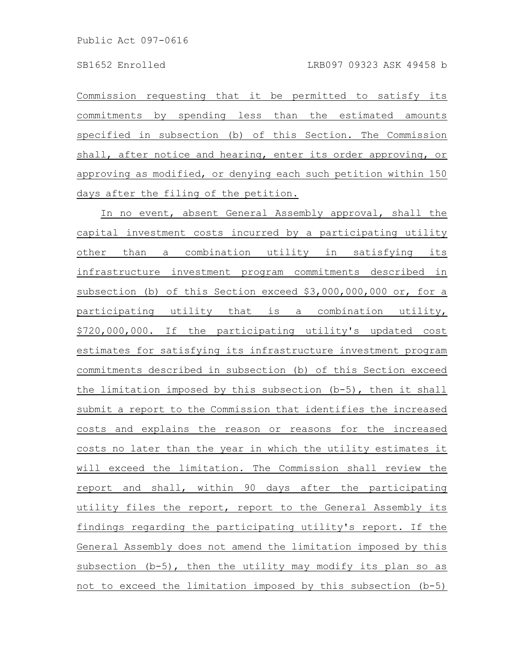Commission requesting that it be permitted to satisfy its commitments by spending less than the estimated amounts specified in subsection (b) of this Section. The Commission shall, after notice and hearing, enter its order approving, or approving as modified, or denying each such petition within 150 days after the filing of the petition.

In no event, absent General Assembly approval, shall the capital investment costs incurred by a participating utility other than a combination utility in satisfying its infrastructure investment program commitments described in subsection (b) of this Section exceed \$3,000,000,000 or, for a participating utility that is a combination utility, \$720,000,000. If the participating utility's updated cost estimates for satisfying its infrastructure investment program commitments described in subsection (b) of this Section exceed the limitation imposed by this subsection (b-5), then it shall submit a report to the Commission that identifies the increased costs and explains the reason or reasons for the increased costs no later than the year in which the utility estimates it will exceed the limitation. The Commission shall review the report and shall, within 90 days after the participating utility files the report, report to the General Assembly its findings regarding the participating utility's report. If the General Assembly does not amend the limitation imposed by this subsection (b-5), then the utility may modify its plan so as not to exceed the limitation imposed by this subsection (b-5)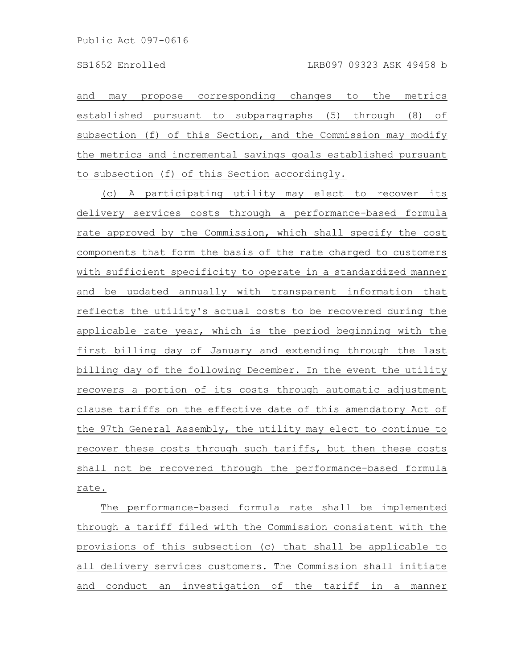and may propose corresponding changes to the metrics established pursuant to subparagraphs (5) through (8) of subsection (f) of this Section, and the Commission may modify the metrics and incremental savings goals established pursuant to subsection (f) of this Section accordingly.

(c) A participating utility may elect to recover its delivery services costs through a performance-based formula rate approved by the Commission, which shall specify the cost components that form the basis of the rate charged to customers with sufficient specificity to operate in a standardized manner and be updated annually with transparent information that reflects the utility's actual costs to be recovered during the applicable rate year, which is the period beginning with the first billing day of January and extending through the last billing day of the following December. In the event the utility recovers a portion of its costs through automatic adjustment clause tariffs on the effective date of this amendatory Act of the 97th General Assembly, the utility may elect to continue to recover these costs through such tariffs, but then these costs shall not be recovered through the performance-based formula rate.

The performance-based formula rate shall be implemented through a tariff filed with the Commission consistent with the provisions of this subsection (c) that shall be applicable to all delivery services customers. The Commission shall initiate and conduct an investigation of the tariff in a manner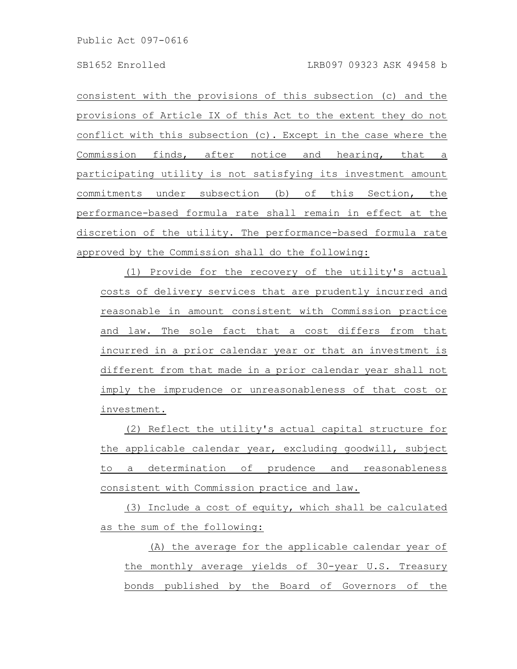Public Act 097-0616

consistent with the provisions of this subsection (c) and the provisions of Article IX of this Act to the extent they do not conflict with this subsection (c). Except in the case where the Commission finds, after notice and hearing, that a participating utility is not satisfying its investment amount commitments under subsection (b) of this Section, the performance-based formula rate shall remain in effect at the discretion of the utility. The performance-based formula rate approved by the Commission shall do the following:

(1) Provide for the recovery of the utility's actual costs of delivery services that are prudently incurred and reasonable in amount consistent with Commission practice and law. The sole fact that a cost differs from that incurred in a prior calendar year or that an investment is different from that made in a prior calendar year shall not imply the imprudence or unreasonableness of that cost or investment.

(2) Reflect the utility's actual capital structure for the applicable calendar year, excluding goodwill, subject to a determination of prudence and reasonableness consistent with Commission practice and law.

(3) Include a cost of equity, which shall be calculated as the sum of the following:

(A) the average for the applicable calendar year of the monthly average yields of 30-year U.S. Treasury bonds published by the Board of Governors of the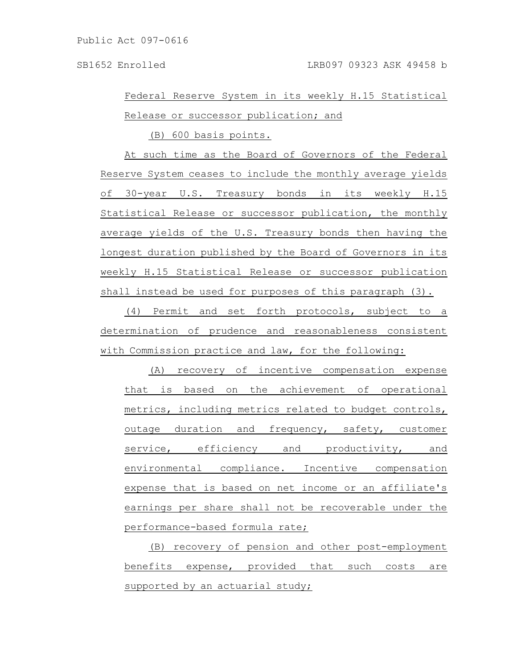Federal Reserve System in its weekly H.15 Statistical Release or successor publication; and

(B) 600 basis points.

At such time as the Board of Governors of the Federal Reserve System ceases to include the monthly average yields of 30-year U.S. Treasury bonds in its weekly H.15 Statistical Release or successor publication, the monthly average yields of the U.S. Treasury bonds then having the longest duration published by the Board of Governors in its weekly H.15 Statistical Release or successor publication shall instead be used for purposes of this paragraph (3).

(4) Permit and set forth protocols, subject to a determination of prudence and reasonableness consistent with Commission practice and law, for the following:

(A) recovery of incentive compensation expense that is based on the achievement of operational metrics, including metrics related to budget controls, outage duration and frequency, safety, customer service, efficiency and productivity, and environmental compliance. Incentive compensation expense that is based on net income or an affiliate's earnings per share shall not be recoverable under the performance-based formula rate;

(B) recovery of pension and other post-employment benefits expense, provided that such costs are supported by an actuarial study;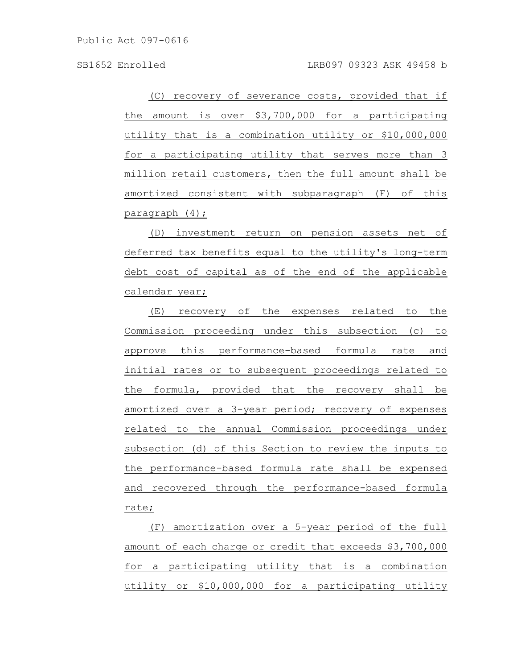Public Act 097-0616

(C) recovery of severance costs, provided that if the amount is over \$3,700,000 for a participating utility that is a combination utility or \$10,000,000 for a participating utility that serves more than 3 million retail customers, then the full amount shall be amortized consistent with subparagraph (F) of this paragraph (4);

(D) investment return on pension assets net of deferred tax benefits equal to the utility's long-term debt cost of capital as of the end of the applicable calendar year;

(E) recovery of the expenses related to the Commission proceeding under this subsection (c) to approve this performance-based formula rate and initial rates or to subsequent proceedings related to the formula, provided that the recovery shall be amortized over a 3-year period; recovery of expenses related to the annual Commission proceedings under subsection (d) of this Section to review the inputs to the performance-based formula rate shall be expensed and recovered through the performance-based formula rate;

(F) amortization over a 5-year period of the full amount of each charge or credit that exceeds \$3,700,000 for a participating utility that is a combination utility or \$10,000,000 for a participating utility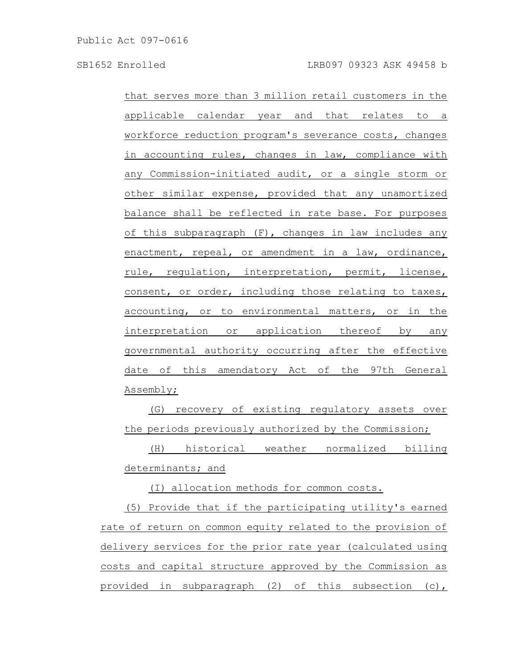that serves more than 3 million retail customers in the applicable calendar year and that relates to a workforce reduction program's severance costs, changes in accounting rules, changes in law, compliance with any Commission-initiated audit, or a single storm or other similar expense, provided that any unamortized balance shall be reflected in rate base. For purposes of this subparagraph (F), changes in law includes any enactment, repeal, or amendment in a law, ordinance, rule, regulation, interpretation, permit, license, consent, or order, including those relating to taxes, accounting, or to environmental matters, or in the interpretation or application thereof by any governmental authority occurring after the effective date of this amendatory Act of the 97th General Assembly;

(G) recovery of existing regulatory assets over the periods previously authorized by the Commission;

(H) historical weather normalized billing determinants; and

(I) allocation methods for common costs.

(5) Provide that if the participating utility's earned rate of return on common equity related to the provision of delivery services for the prior rate year (calculated using costs and capital structure approved by the Commission as provided in subparagraph (2) of this subsection (c),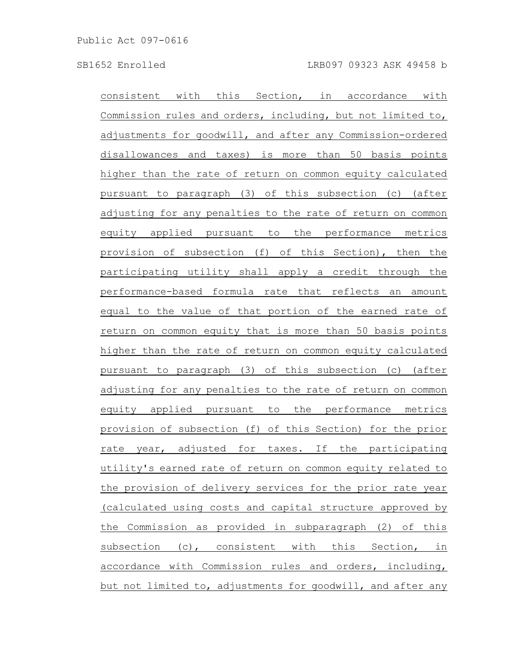consistent with this Section, in accordance with Commission rules and orders, including, but not limited to, adjustments for goodwill, and after any Commission-ordered disallowances and taxes) is more than 50 basis points higher than the rate of return on common equity calculated pursuant to paragraph (3) of this subsection (c) (after adjusting for any penalties to the rate of return on common equity applied pursuant to the performance metrics provision of subsection (f) of this Section), then the participating utility shall apply a credit through the performance-based formula rate that reflects an amount equal to the value of that portion of the earned rate of return on common equity that is more than 50 basis points higher than the rate of return on common equity calculated pursuant to paragraph (3) of this subsection (c) (after adjusting for any penalties to the rate of return on common equity applied pursuant to the performance metrics provision of subsection (f) of this Section) for the prior rate year, adjusted for taxes. If the participating utility's earned rate of return on common equity related to the provision of delivery services for the prior rate year (calculated using costs and capital structure approved by the Commission as provided in subparagraph (2) of this subsection (c), consistent with this Section, in accordance with Commission rules and orders, including, but not limited to, adjustments for goodwill, and after any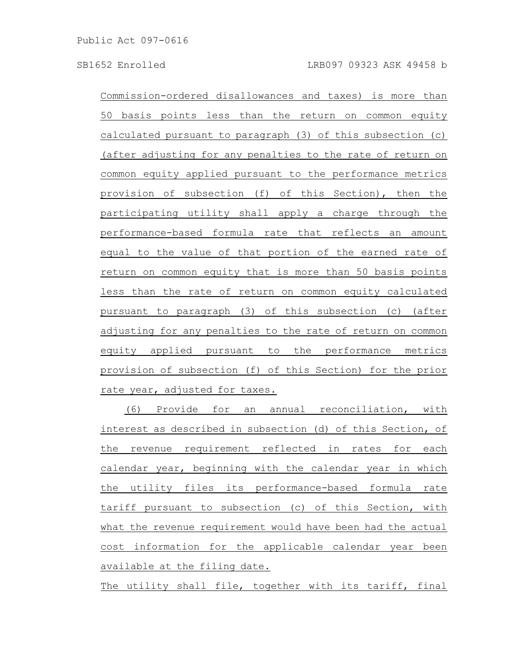Commission-ordered disallowances and taxes) is more than 50 basis points less than the return on common equity calculated pursuant to paragraph (3) of this subsection (c) (after adjusting for any penalties to the rate of return on common equity applied pursuant to the performance metrics provision of subsection (f) of this Section), then the participating utility shall apply a charge through the performance-based formula rate that reflects an amount equal to the value of that portion of the earned rate of return on common equity that is more than 50 basis points less than the rate of return on common equity calculated pursuant to paragraph (3) of this subsection (c) (after adjusting for any penalties to the rate of return on common equity applied pursuant to the performance metrics provision of subsection (f) of this Section) for the prior rate year, adjusted for taxes.

(6) Provide for an annual reconciliation, with interest as described in subsection (d) of this Section, of the revenue requirement reflected in rates for each calendar year, beginning with the calendar year in which the utility files its performance-based formula rate tariff pursuant to subsection (c) of this Section, with what the revenue requirement would have been had the actual cost information for the applicable calendar year been available at the filing date.

The utility shall file, together with its tariff, final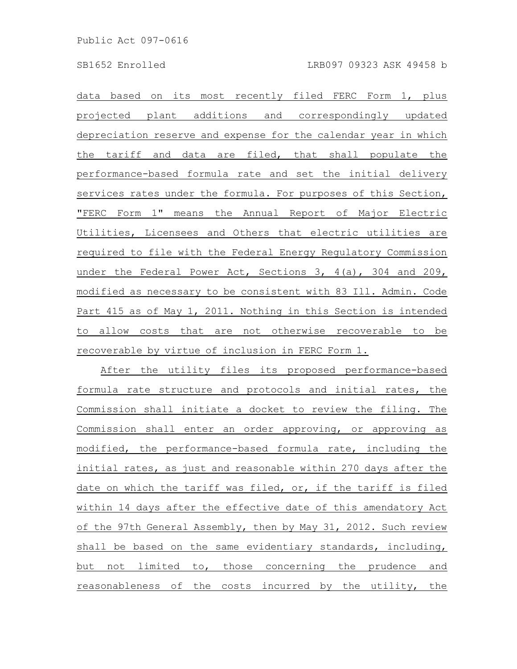data based on its most recently filed FERC Form 1, plus projected plant additions and correspondingly updated depreciation reserve and expense for the calendar year in which the tariff and data are filed, that shall populate the performance-based formula rate and set the initial delivery services rates under the formula. For purposes of this Section, "FERC Form 1" means the Annual Report of Major Electric Utilities, Licensees and Others that electric utilities are required to file with the Federal Energy Regulatory Commission under the Federal Power Act, Sections 3, 4(a), 304 and 209, modified as necessary to be consistent with 83 Ill. Admin. Code Part 415 as of May 1, 2011. Nothing in this Section is intended to allow costs that are not otherwise recoverable to be recoverable by virtue of inclusion in FERC Form 1.

After the utility files its proposed performance-based formula rate structure and protocols and initial rates, the Commission shall initiate a docket to review the filing. The Commission shall enter an order approving, or approving as modified, the performance-based formula rate, including the initial rates, as just and reasonable within 270 days after the date on which the tariff was filed, or, if the tariff is filed within 14 days after the effective date of this amendatory Act of the 97th General Assembly, then by May 31, 2012. Such review shall be based on the same evidentiary standards, including, but not limited to, those concerning the prudence and reasonableness of the costs incurred by the utility, the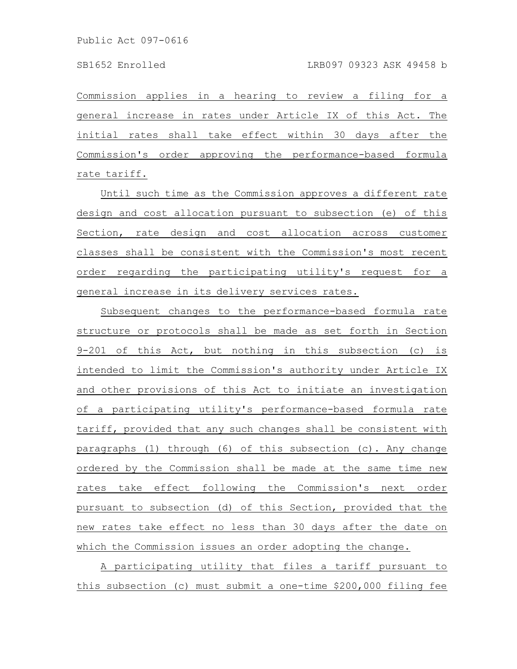Commission applies in a hearing to review a filing for a general increase in rates under Article IX of this Act. The initial rates shall take effect within 30 days after the Commission's order approving the performance-based formula rate tariff.

Until such time as the Commission approves a different rate design and cost allocation pursuant to subsection (e) of this Section, rate design and cost allocation across customer classes shall be consistent with the Commission's most recent order regarding the participating utility's request for a general increase in its delivery services rates.

Subsequent changes to the performance-based formula rate structure or protocols shall be made as set forth in Section 9-201 of this Act, but nothing in this subsection (c) is intended to limit the Commission's authority under Article IX and other provisions of this Act to initiate an investigation of a participating utility's performance-based formula rate tariff, provided that any such changes shall be consistent with paragraphs (1) through (6) of this subsection (c). Any change ordered by the Commission shall be made at the same time new rates take effect following the Commission's next order pursuant to subsection (d) of this Section, provided that the new rates take effect no less than 30 days after the date on which the Commission issues an order adopting the change.

A participating utility that files a tariff pursuant to this subsection (c) must submit a one-time \$200,000 filing fee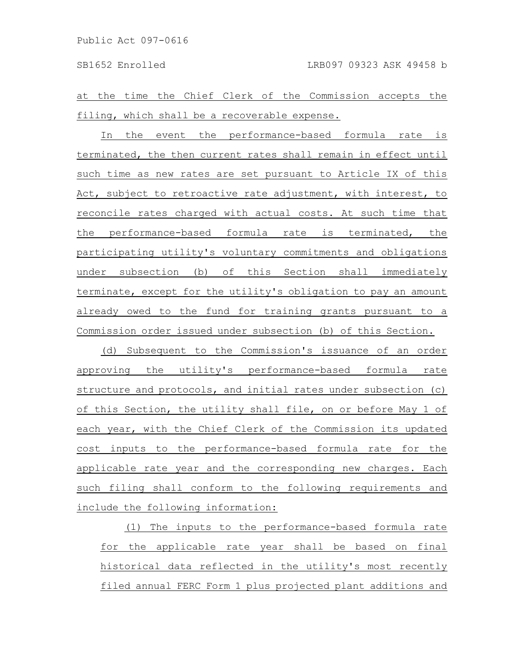at the time the Chief Clerk of the Commission accepts the filing, which shall be a recoverable expense.

In the event the performance-based formula rate is terminated, the then current rates shall remain in effect until such time as new rates are set pursuant to Article IX of this Act, subject to retroactive rate adjustment, with interest, to reconcile rates charged with actual costs. At such time that the performance-based formula rate is terminated, the participating utility's voluntary commitments and obligations under subsection (b) of this Section shall immediately terminate, except for the utility's obligation to pay an amount already owed to the fund for training grants pursuant to a Commission order issued under subsection (b) of this Section.

(d) Subsequent to the Commission's issuance of an order approving the utility's performance-based formula rate structure and protocols, and initial rates under subsection (c) of this Section, the utility shall file, on or before May 1 of each year, with the Chief Clerk of the Commission its updated cost inputs to the performance-based formula rate for the applicable rate year and the corresponding new charges. Each such filing shall conform to the following requirements and include the following information:

(1) The inputs to the performance-based formula rate for the applicable rate year shall be based on final historical data reflected in the utility's most recently filed annual FERC Form 1 plus projected plant additions and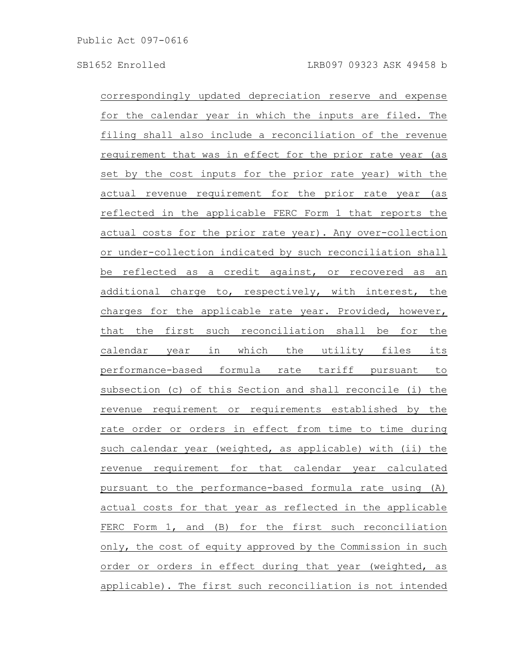correspondingly updated depreciation reserve and expense for the calendar year in which the inputs are filed. The filing shall also include a reconciliation of the revenue requirement that was in effect for the prior rate year (as set by the cost inputs for the prior rate year) with the actual revenue requirement for the prior rate year (as reflected in the applicable FERC Form 1 that reports the actual costs for the prior rate year). Any over-collection or under-collection indicated by such reconciliation shall be reflected as a credit against, or recovered as an additional charge to, respectively, with interest, the charges for the applicable rate year. Provided, however, that the first such reconciliation shall be for the calendar year in which the utility files its performance-based formula rate tariff pursuant to subsection (c) of this Section and shall reconcile (i) the revenue requirement or requirements established by the rate order or orders in effect from time to time during such calendar year (weighted, as applicable) with (ii) the revenue requirement for that calendar year calculated pursuant to the performance-based formula rate using (A) actual costs for that year as reflected in the applicable FERC Form 1, and (B) for the first such reconciliation only, the cost of equity approved by the Commission in such order or orders in effect during that year (weighted, as applicable). The first such reconciliation is not intended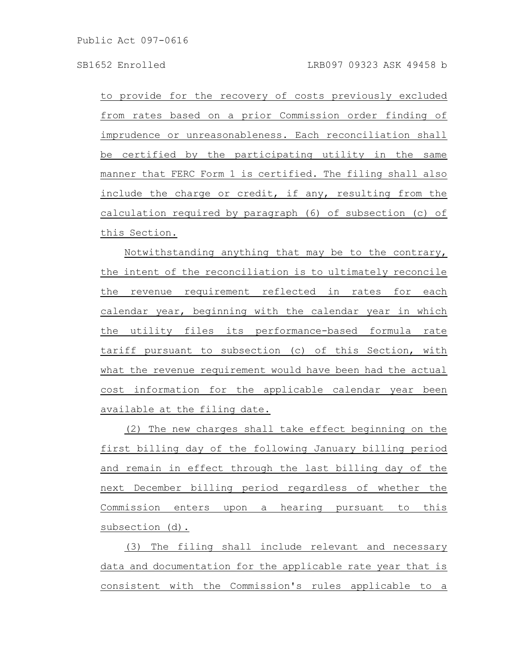to provide for the recovery of costs previously excluded from rates based on a prior Commission order finding of imprudence or unreasonableness. Each reconciliation shall be certified by the participating utility in the same manner that FERC Form 1 is certified. The filing shall also include the charge or credit, if any, resulting from the calculation required by paragraph (6) of subsection (c) of this Section.

Notwithstanding anything that may be to the contrary, the intent of the reconciliation is to ultimately reconcile the revenue requirement reflected in rates for each calendar year, beginning with the calendar year in which the utility files its performance-based formula rate tariff pursuant to subsection (c) of this Section, with what the revenue requirement would have been had the actual cost information for the applicable calendar year been available at the filing date.

(2) The new charges shall take effect beginning on the first billing day of the following January billing period and remain in effect through the last billing day of the next December billing period regardless of whether the Commission enters upon a hearing pursuant to this subsection (d).

(3) The filing shall include relevant and necessary data and documentation for the applicable rate year that is consistent with the Commission's rules applicable to a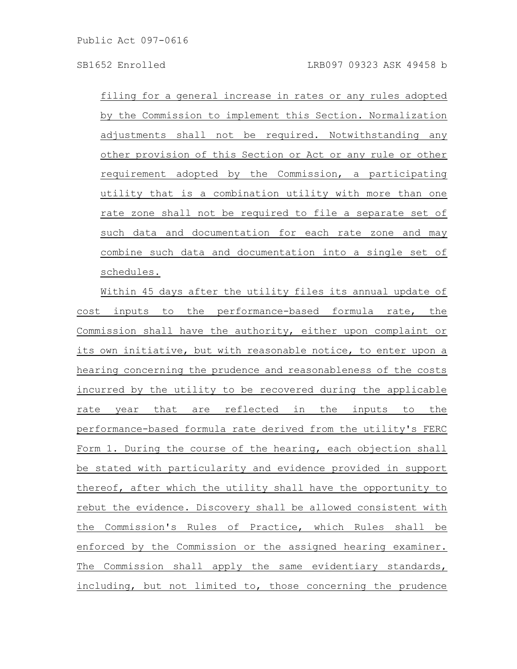filing for a general increase in rates or any rules adopted by the Commission to implement this Section. Normalization adjustments shall not be required. Notwithstanding any other provision of this Section or Act or any rule or other requirement adopted by the Commission, a participating utility that is a combination utility with more than one rate zone shall not be required to file a separate set of such data and documentation for each rate zone and may combine such data and documentation into a single set of schedules.

Within 45 days after the utility files its annual update of cost inputs to the performance-based formula rate, the Commission shall have the authority, either upon complaint or its own initiative, but with reasonable notice, to enter upon a hearing concerning the prudence and reasonableness of the costs incurred by the utility to be recovered during the applicable rate year that are reflected in the inputs to the performance-based formula rate derived from the utility's FERC Form 1. During the course of the hearing, each objection shall be stated with particularity and evidence provided in support thereof, after which the utility shall have the opportunity to rebut the evidence. Discovery shall be allowed consistent with the Commission's Rules of Practice, which Rules shall be enforced by the Commission or the assigned hearing examiner. The Commission shall apply the same evidentiary standards, including, but not limited to, those concerning the prudence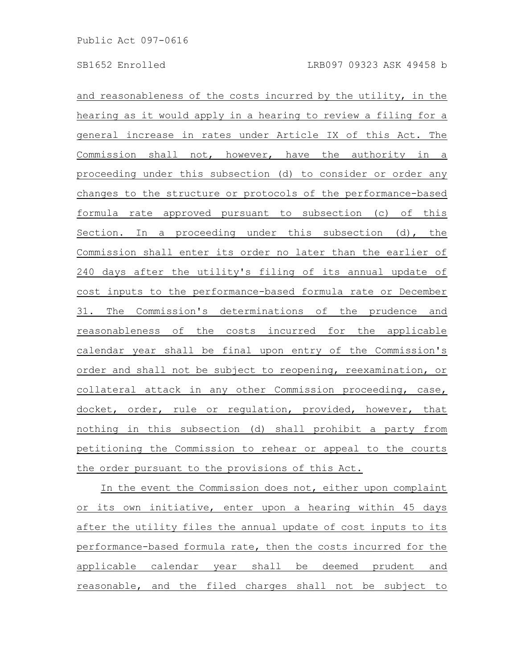and reasonableness of the costs incurred by the utility, in the hearing as it would apply in a hearing to review a filing for a general increase in rates under Article IX of this Act. The Commission shall not, however, have the authority in a proceeding under this subsection (d) to consider or order any changes to the structure or protocols of the performance-based formula rate approved pursuant to subsection (c) of this Section. In a proceeding under this subsection (d), the Commission shall enter its order no later than the earlier of 240 days after the utility's filing of its annual update of cost inputs to the performance-based formula rate or December 31. The Commission's determinations of the prudence and reasonableness of the costs incurred for the applicable calendar year shall be final upon entry of the Commission's order and shall not be subject to reopening, reexamination, or collateral attack in any other Commission proceeding, case, docket, order, rule or regulation, provided, however, that nothing in this subsection (d) shall prohibit a party from petitioning the Commission to rehear or appeal to the courts the order pursuant to the provisions of this Act.

In the event the Commission does not, either upon complaint or its own initiative, enter upon a hearing within 45 days after the utility files the annual update of cost inputs to its performance-based formula rate, then the costs incurred for the applicable calendar year shall be deemed prudent and reasonable, and the filed charges shall not be subject to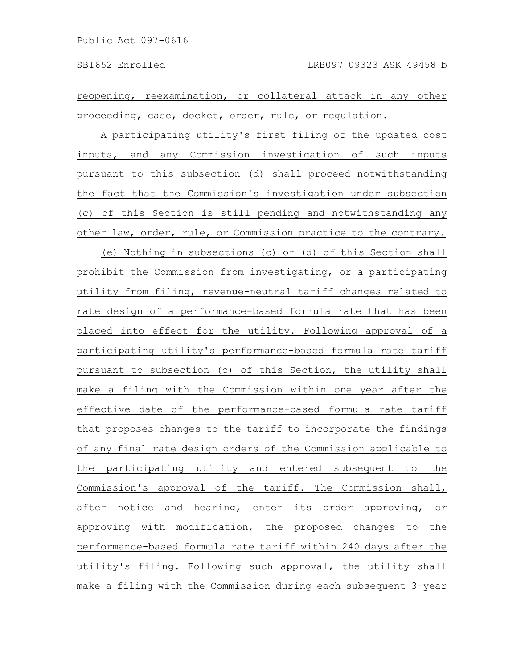reopening, reexamination, or collateral attack in any other proceeding, case, docket, order, rule, or regulation.

A participating utility's first filing of the updated cost inputs, and any Commission investigation of such inputs pursuant to this subsection (d) shall proceed notwithstanding the fact that the Commission's investigation under subsection (c) of this Section is still pending and notwithstanding any other law, order, rule, or Commission practice to the contrary.

(e) Nothing in subsections (c) or (d) of this Section shall prohibit the Commission from investigating, or a participating utility from filing, revenue-neutral tariff changes related to rate design of a performance-based formula rate that has been placed into effect for the utility. Following approval of a participating utility's performance-based formula rate tariff pursuant to subsection (c) of this Section, the utility shall make a filing with the Commission within one year after the effective date of the performance-based formula rate tariff that proposes changes to the tariff to incorporate the findings of any final rate design orders of the Commission applicable to the participating utility and entered subsequent to the Commission's approval of the tariff. The Commission shall, after notice and hearing, enter its order approving, or approving with modification, the proposed changes to the performance-based formula rate tariff within 240 days after the utility's filing. Following such approval, the utility shall make a filing with the Commission during each subsequent 3-year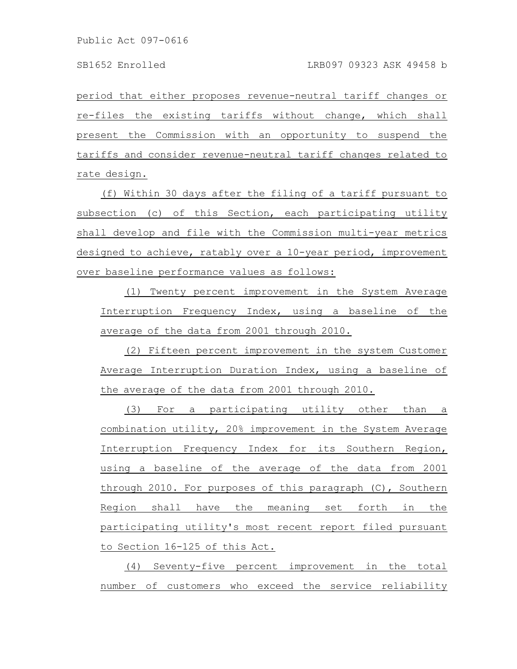period that either proposes revenue-neutral tariff changes or re-files the existing tariffs without change, which shall present the Commission with an opportunity to suspend the tariffs and consider revenue-neutral tariff changes related to rate design.

(f) Within 30 days after the filing of a tariff pursuant to subsection (c) of this Section, each participating utility shall develop and file with the Commission multi-year metrics designed to achieve, ratably over a 10-year period, improvement over baseline performance values as follows:

(1) Twenty percent improvement in the System Average Interruption Frequency Index, using a baseline of the average of the data from 2001 through 2010.

(2) Fifteen percent improvement in the system Customer Average Interruption Duration Index, using a baseline of the average of the data from 2001 through 2010.

(3) For a participating utility other than a combination utility, 20% improvement in the System Average Interruption Frequency Index for its Southern Region, using a baseline of the average of the data from 2001 through 2010. For purposes of this paragraph (C), Southern Region shall have the meaning set forth in the participating utility's most recent report filed pursuant to Section 16-125 of this Act.

(4) Seventy-five percent improvement in the total number of customers who exceed the service reliability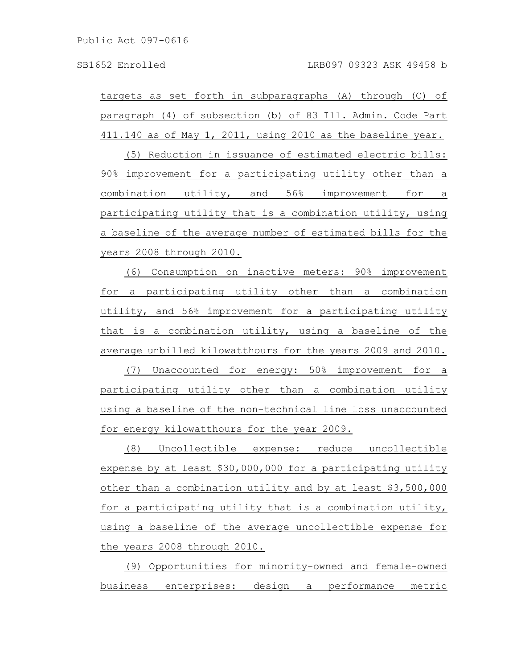targets as set forth in subparagraphs (A) through (C) of paragraph (4) of subsection (b) of 83 Ill. Admin. Code Part 411.140 as of May 1, 2011, using 2010 as the baseline year.

(5) Reduction in issuance of estimated electric bills: 90% improvement for a participating utility other than a combination utility, and 56% improvement for a participating utility that is a combination utility, using a baseline of the average number of estimated bills for the years 2008 through 2010.

(6) Consumption on inactive meters: 90% improvement for a participating utility other than a combination utility, and 56% improvement for a participating utility that is a combination utility, using a baseline of the average unbilled kilowatthours for the years 2009 and 2010.

(7) Unaccounted for energy: 50% improvement for a participating utility other than a combination utility using a baseline of the non-technical line loss unaccounted for energy kilowatthours for the year 2009.

(8) Uncollectible expense: reduce uncollectible expense by at least \$30,000,000 for a participating utility other than a combination utility and by at least \$3,500,000 for a participating utility that is a combination utility, using a baseline of the average uncollectible expense for the years 2008 through 2010.

(9) Opportunities for minority-owned and female-owned business enterprises: design a performance metric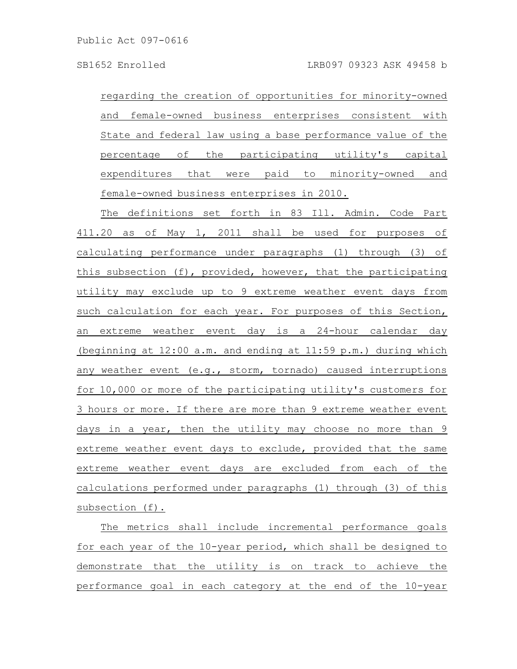regarding the creation of opportunities for minority-owned and female-owned business enterprises consistent with State and federal law using a base performance value of the percentage of the participating utility's capital expenditures that were paid to minority-owned and female-owned business enterprises in 2010.

The definitions set forth in 83 Ill. Admin. Code Part 411.20 as of May 1, 2011 shall be used for purposes of calculating performance under paragraphs (1) through (3) of this subsection (f), provided, however, that the participating utility may exclude up to 9 extreme weather event days from such calculation for each year. For purposes of this Section, an extreme weather event day is a 24-hour calendar day (beginning at 12:00 a.m. and ending at 11:59 p.m.) during which any weather event (e.g., storm, tornado) caused interruptions for 10,000 or more of the participating utility's customers for 3 hours or more. If there are more than 9 extreme weather event days in a year, then the utility may choose no more than 9 extreme weather event days to exclude, provided that the same extreme weather event days are excluded from each of the calculations performed under paragraphs (1) through (3) of this subsection (f).

The metrics shall include incremental performance goals for each year of the 10-year period, which shall be designed to demonstrate that the utility is on track to achieve the performance goal in each category at the end of the 10-year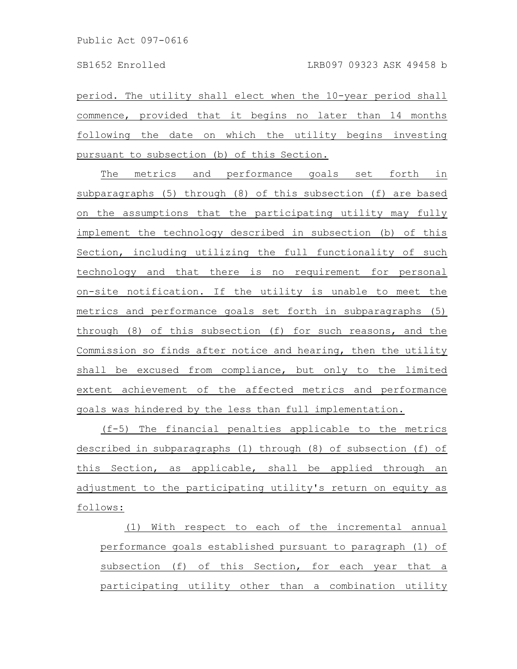period. The utility shall elect when the 10-year period shall commence, provided that it begins no later than 14 months following the date on which the utility begins investing pursuant to subsection (b) of this Section.

The metrics and performance goals set forth in subparagraphs (5) through (8) of this subsection (f) are based on the assumptions that the participating utility may fully implement the technology described in subsection (b) of this Section, including utilizing the full functionality of such technology and that there is no requirement for personal on-site notification. If the utility is unable to meet the metrics and performance goals set forth in subparagraphs (5) through (8) of this subsection (f) for such reasons, and the Commission so finds after notice and hearing, then the utility shall be excused from compliance, but only to the limited extent achievement of the affected metrics and performance goals was hindered by the less than full implementation.

(f-5) The financial penalties applicable to the metrics described in subparagraphs (1) through (8) of subsection (f) of this Section, as applicable, shall be applied through an adjustment to the participating utility's return on equity as follows:

(1) With respect to each of the incremental annual performance goals established pursuant to paragraph (1) of subsection (f) of this Section, for each year that a participating utility other than a combination utility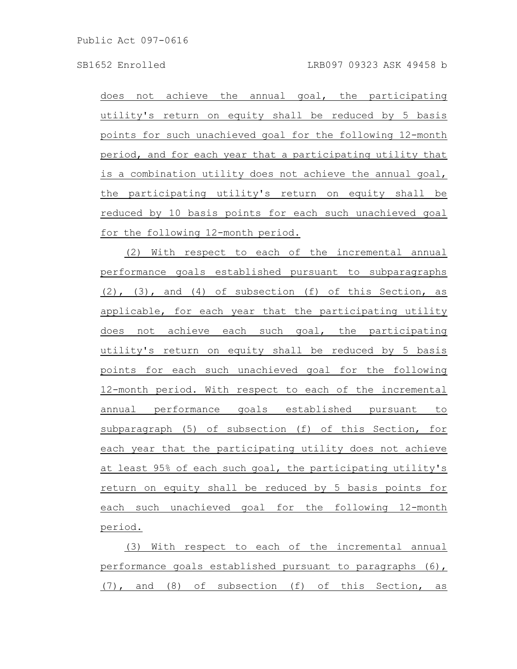does not achieve the annual goal, the participating utility's return on equity shall be reduced by 5 basis points for such unachieved goal for the following 12-month period, and for each year that a participating utility that is a combination utility does not achieve the annual goal, the participating utility's return on equity shall be reduced by 10 basis points for each such unachieved goal for the following 12-month period.

(2) With respect to each of the incremental annual performance goals established pursuant to subparagraphs  $(2)$ ,  $(3)$ , and  $(4)$  of subsection  $(f)$  of this Section, as applicable, for each year that the participating utility does not achieve each such goal, the participating utility's return on equity shall be reduced by 5 basis points for each such unachieved goal for the following 12-month period. With respect to each of the incremental annual performance goals established pursuant to subparagraph (5) of subsection (f) of this Section, for each year that the participating utility does not achieve at least 95% of each such goal, the participating utility's return on equity shall be reduced by 5 basis points for each such unachieved goal for the following 12-month period.

(3) With respect to each of the incremental annual performance goals established pursuant to paragraphs (6), (7), and (8) of subsection (f) of this Section, as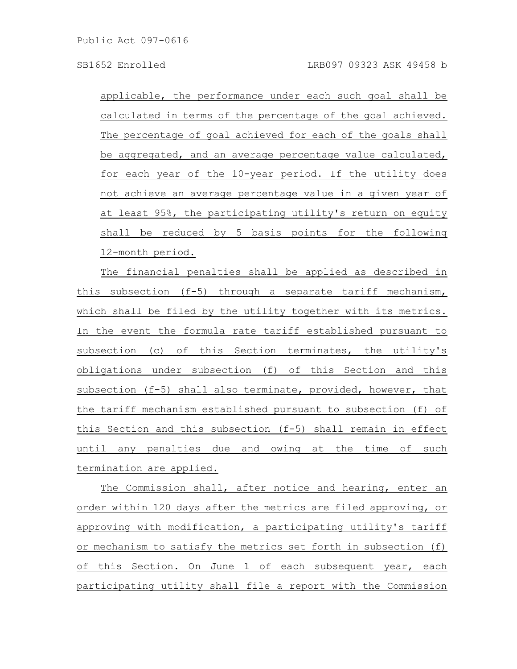applicable, the performance under each such goal shall be calculated in terms of the percentage of the goal achieved. The percentage of goal achieved for each of the goals shall be aggregated, and an average percentage value calculated, for each year of the 10-year period. If the utility does not achieve an average percentage value in a given year of at least 95%, the participating utility's return on equity shall be reduced by 5 basis points for the following 12-month period.

The financial penalties shall be applied as described in this subsection (f-5) through a separate tariff mechanism, which shall be filed by the utility together with its metrics. In the event the formula rate tariff established pursuant to subsection (c) of this Section terminates, the utility's obligations under subsection (f) of this Section and this subsection (f-5) shall also terminate, provided, however, that the tariff mechanism established pursuant to subsection (f) of this Section and this subsection (f-5) shall remain in effect until any penalties due and owing at the time of such termination are applied.

The Commission shall, after notice and hearing, enter an order within 120 days after the metrics are filed approving, or approving with modification, a participating utility's tariff or mechanism to satisfy the metrics set forth in subsection (f) of this Section. On June 1 of each subsequent year, each participating utility shall file a report with the Commission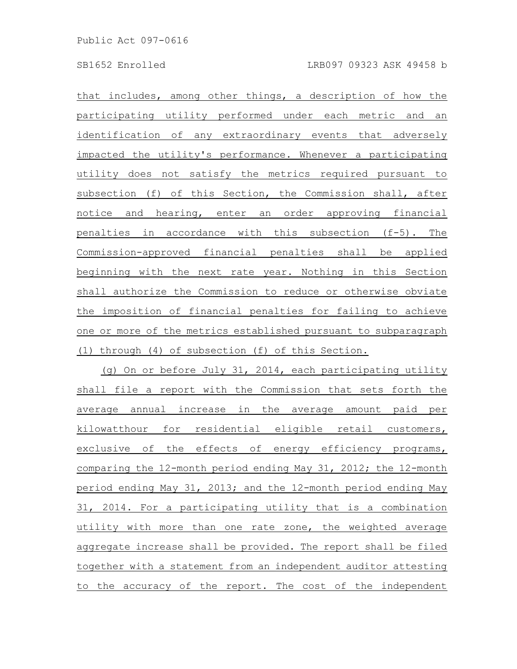that includes, among other things, a description of how the participating utility performed under each metric and an identification of any extraordinary events that adversely impacted the utility's performance. Whenever a participating utility does not satisfy the metrics required pursuant to subsection (f) of this Section, the Commission shall, after notice and hearing, enter an order approving financial penalties in accordance with this subsection (f-5). The Commission-approved financial penalties shall be applied beginning with the next rate year. Nothing in this Section shall authorize the Commission to reduce or otherwise obviate the imposition of financial penalties for failing to achieve one or more of the metrics established pursuant to subparagraph (1) through (4) of subsection (f) of this Section.

(g) On or before July 31, 2014, each participating utility shall file a report with the Commission that sets forth the average annual increase in the average amount paid per kilowatthour for residential eligible retail customers, exclusive of the effects of energy efficiency programs, comparing the 12-month period ending May 31, 2012; the 12-month period ending May 31, 2013; and the 12-month period ending May 31, 2014. For a participating utility that is a combination utility with more than one rate zone, the weighted average aggregate increase shall be provided. The report shall be filed together with a statement from an independent auditor attesting to the accuracy of the report. The cost of the independent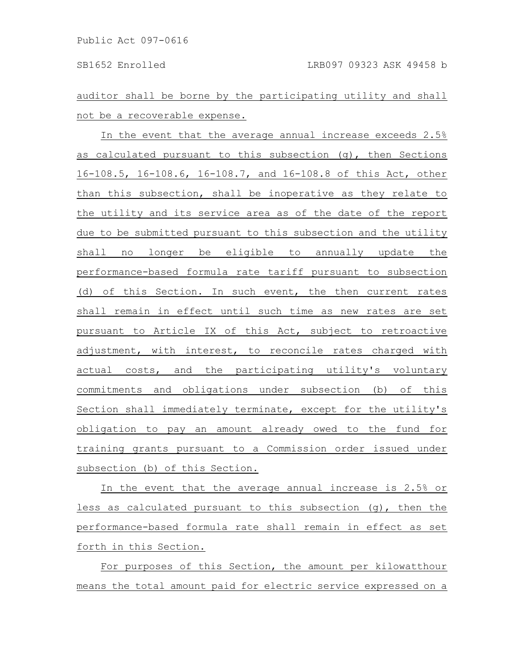auditor shall be borne by the participating utility and shall not be a recoverable expense.

In the event that the average annual increase exceeds 2.5% as calculated pursuant to this subsection (g), then Sections 16-108.5, 16-108.6, 16-108.7, and 16-108.8 of this Act, other than this subsection, shall be inoperative as they relate to the utility and its service area as of the date of the report due to be submitted pursuant to this subsection and the utility shall no longer be eligible to annually update the performance-based formula rate tariff pursuant to subsection (d) of this Section. In such event, the then current rates shall remain in effect until such time as new rates are set pursuant to Article IX of this Act, subject to retroactive adjustment, with interest, to reconcile rates charged with actual costs, and the participating utility's voluntary commitments and obligations under subsection (b) of this Section shall immediately terminate, except for the utility's obligation to pay an amount already owed to the fund for training grants pursuant to a Commission order issued under subsection (b) of this Section.

In the event that the average annual increase is 2.5% or less as calculated pursuant to this subsection (g), then the performance-based formula rate shall remain in effect as set forth in this Section.

For purposes of this Section, the amount per kilowatthour means the total amount paid for electric service expressed on a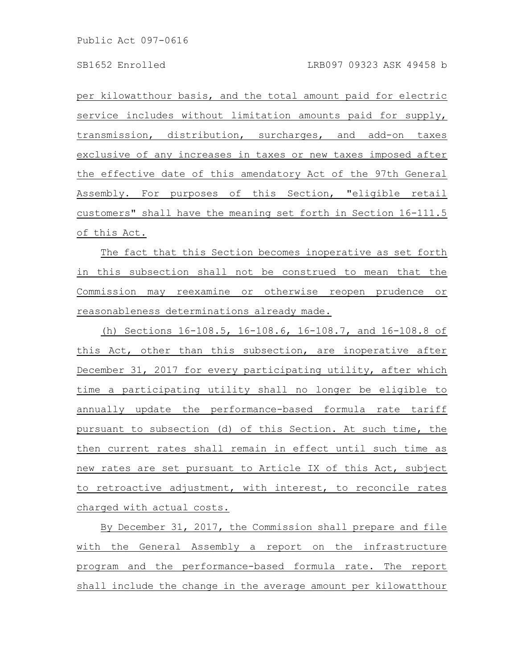per kilowatthour basis, and the total amount paid for electric service includes without limitation amounts paid for supply, transmission, distribution, surcharges, and add-on taxes exclusive of any increases in taxes or new taxes imposed after the effective date of this amendatory Act of the 97th General Assembly. For purposes of this Section, "eligible retail customers" shall have the meaning set forth in Section 16-111.5 of this Act.

The fact that this Section becomes inoperative as set forth in this subsection shall not be construed to mean that the Commission may reexamine or otherwise reopen prudence or reasonableness determinations already made.

(h) Sections 16-108.5, 16-108.6, 16-108.7, and 16-108.8 of this Act, other than this subsection, are inoperative after December 31, 2017 for every participating utility, after which time a participating utility shall no longer be eligible to annually update the performance-based formula rate tariff pursuant to subsection (d) of this Section. At such time, the then current rates shall remain in effect until such time as new rates are set pursuant to Article IX of this Act, subject to retroactive adjustment, with interest, to reconcile rates charged with actual costs.

By December 31, 2017, the Commission shall prepare and file with the General Assembly a report on the infrastructure program and the performance-based formula rate. The report shall include the change in the average amount per kilowatthour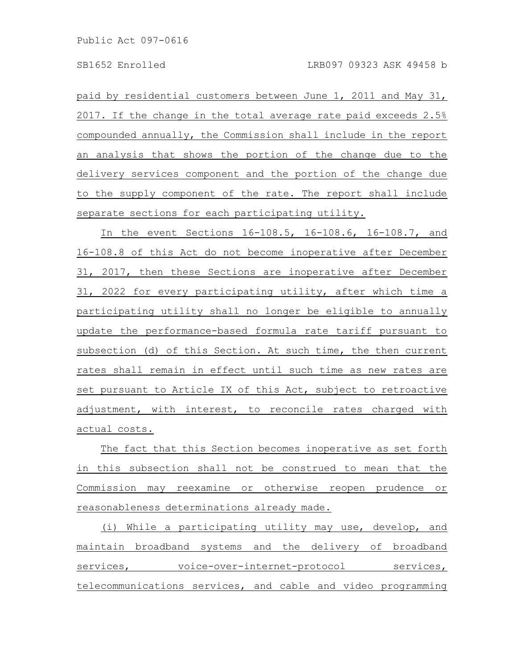paid by residential customers between June 1, 2011 and May 31, 2017. If the change in the total average rate paid exceeds 2.5% compounded annually, the Commission shall include in the report an analysis that shows the portion of the change due to the delivery services component and the portion of the change due to the supply component of the rate. The report shall include separate sections for each participating utility.

In the event Sections 16-108.5, 16-108.6, 16-108.7, and 16-108.8 of this Act do not become inoperative after December 31, 2017, then these Sections are inoperative after December 31, 2022 for every participating utility, after which time a participating utility shall no longer be eligible to annually update the performance-based formula rate tariff pursuant to subsection (d) of this Section. At such time, the then current rates shall remain in effect until such time as new rates are set pursuant to Article IX of this Act, subject to retroactive adjustment, with interest, to reconcile rates charged with actual costs.

The fact that this Section becomes inoperative as set forth in this subsection shall not be construed to mean that the Commission may reexamine or otherwise reopen prudence or reasonableness determinations already made.

(i) While a participating utility may use, develop, and maintain broadband systems and the delivery of broadband services, voice-over-internet-protocol services, telecommunications services, and cable and video programming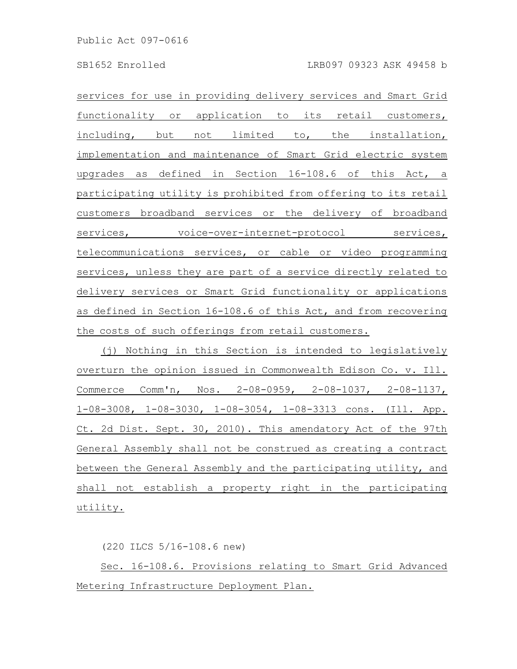services for use in providing delivery services and Smart Grid functionality or application to its retail customers, including, but not limited to, the installation, implementation and maintenance of Smart Grid electric system upgrades as defined in Section 16-108.6 of this Act, a participating utility is prohibited from offering to its retail customers broadband services or the delivery of broadband services, voice-over-internet-protocol services, telecommunications services, or cable or video programming services, unless they are part of a service directly related to delivery services or Smart Grid functionality or applications as defined in Section 16-108.6 of this Act, and from recovering the costs of such offerings from retail customers.

(j) Nothing in this Section is intended to legislatively overturn the opinion issued in Commonwealth Edison Co. v. Ill. Commerce Comm'n, Nos. 2-08-0959, 2-08-1037, 2-08-1137, 1-08-3008, 1-08-3030, 1-08-3054, 1-08-3313 cons. (Ill. App. Ct. 2d Dist. Sept. 30, 2010). This amendatory Act of the 97th General Assembly shall not be construed as creating a contract between the General Assembly and the participating utility, and shall not establish a property right in the participating utility.

(220 ILCS 5/16-108.6 new)

Sec. 16-108.6. Provisions relating to Smart Grid Advanced Metering Infrastructure Deployment Plan.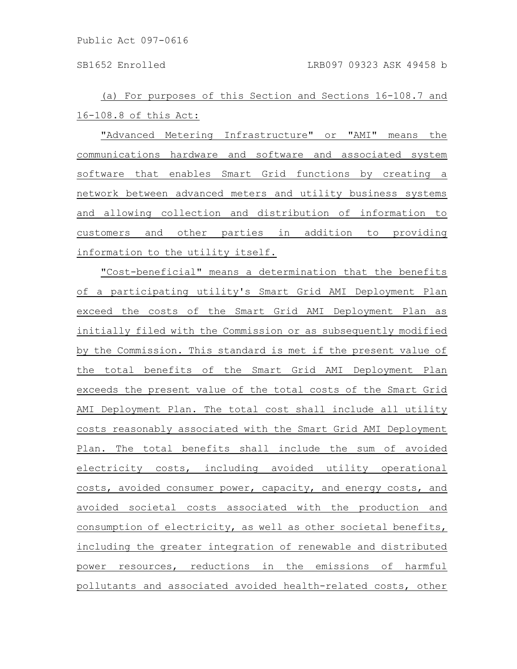(a) For purposes of this Section and Sections 16-108.7 and 16-108.8 of this Act:

"Advanced Metering Infrastructure" or "AMI" means the communications hardware and software and associated system software that enables Smart Grid functions by creating a network between advanced meters and utility business systems and allowing collection and distribution of information to customers and other parties in addition to providing information to the utility itself.

"Cost-beneficial" means a determination that the benefits of a participating utility's Smart Grid AMI Deployment Plan exceed the costs of the Smart Grid AMI Deployment Plan as initially filed with the Commission or as subsequently modified by the Commission. This standard is met if the present value of the total benefits of the Smart Grid AMI Deployment Plan exceeds the present value of the total costs of the Smart Grid AMI Deployment Plan. The total cost shall include all utility costs reasonably associated with the Smart Grid AMI Deployment Plan. The total benefits shall include the sum of avoided electricity costs, including avoided utility operational costs, avoided consumer power, capacity, and energy costs, and avoided societal costs associated with the production and consumption of electricity, as well as other societal benefits, including the greater integration of renewable and distributed power resources, reductions in the emissions of harmful pollutants and associated avoided health-related costs, other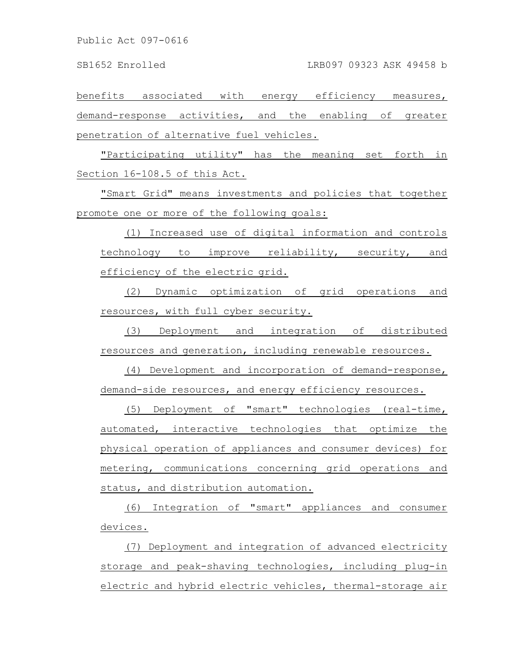Public Act 097-0616

benefits associated with energy efficiency measures, demand-response activities, and the enabling of greater penetration of alternative fuel vehicles.

"Participating utility" has the meaning set forth in Section 16-108.5 of this Act.

"Smart Grid" means investments and policies that together promote one or more of the following goals:

(1) Increased use of digital information and controls technology to improve reliability, security, and efficiency of the electric grid.

(2) Dynamic optimization of grid operations and resources, with full cyber security.

(3) Deployment and integration of distributed resources and generation, including renewable resources.

(4) Development and incorporation of demand-response, demand-side resources, and energy efficiency resources.

(5) Deployment of "smart" technologies (real-time, automated, interactive technologies that optimize the physical operation of appliances and consumer devices) for metering, communications concerning grid operations and status, and distribution automation.

(6) Integration of "smart" appliances and consumer devices.

(7) Deployment and integration of advanced electricity storage and peak-shaving technologies, including plug-in electric and hybrid electric vehicles, thermal-storage air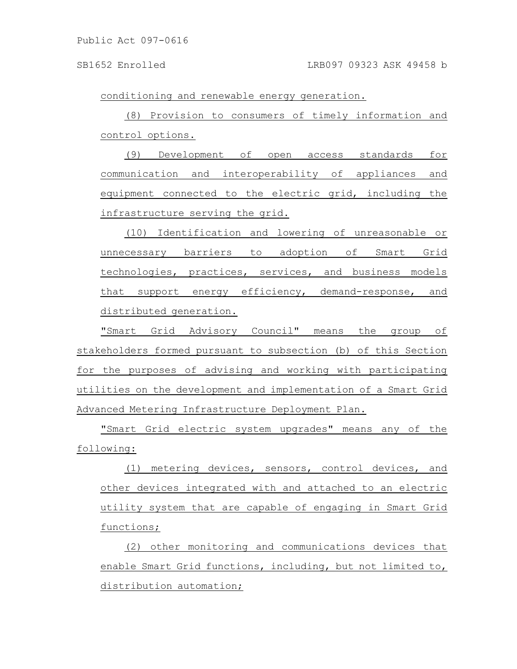conditioning and renewable energy generation.

(8) Provision to consumers of timely information and control options.

(9) Development of open access standards for communication and interoperability of appliances and equipment connected to the electric grid, including the infrastructure serving the grid.

(10) Identification and lowering of unreasonable or unnecessary barriers to adoption of Smart Grid technologies, practices, services, and business models that support energy efficiency, demand-response, and distributed generation.

"Smart Grid Advisory Council" means the group of stakeholders formed pursuant to subsection (b) of this Section for the purposes of advising and working with participating utilities on the development and implementation of a Smart Grid Advanced Metering Infrastructure Deployment Plan.

"Smart Grid electric system upgrades" means any of the following:

(1) metering devices, sensors, control devices, and other devices integrated with and attached to an electric utility system that are capable of engaging in Smart Grid functions;

(2) other monitoring and communications devices that enable Smart Grid functions, including, but not limited to, distribution automation;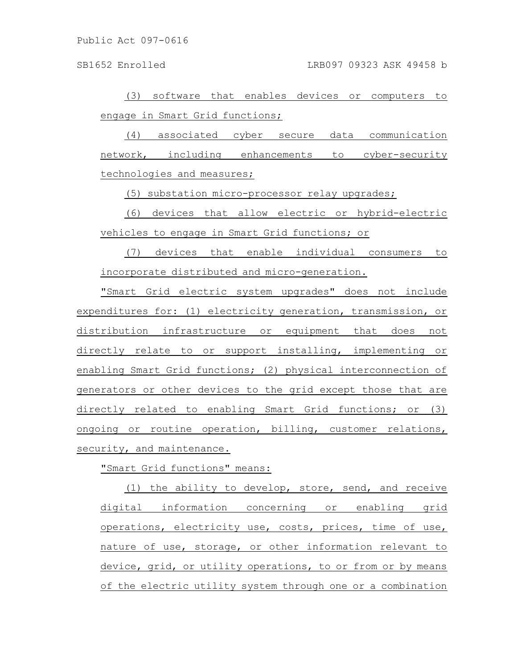(3) software that enables devices or computers to engage in Smart Grid functions;

(4) associated cyber secure data communication network, including enhancements to cyber-security technologies and measures;

(5) substation micro-processor relay upgrades;

(6) devices that allow electric or hybrid-electric vehicles to engage in Smart Grid functions; or

(7) devices that enable individual consumers to incorporate distributed and micro-generation.

"Smart Grid electric system upgrades" does not include expenditures for: (1) electricity generation, transmission, or distribution infrastructure or equipment that does not directly relate to or support installing, implementing or enabling Smart Grid functions; (2) physical interconnection of generators or other devices to the grid except those that are directly related to enabling Smart Grid functions; or (3) ongoing or routine operation, billing, customer relations, security, and maintenance.

"Smart Grid functions" means:

(1) the ability to develop, store, send, and receive digital information concerning or enabling grid operations, electricity use, costs, prices, time of use, nature of use, storage, or other information relevant to device, grid, or utility operations, to or from or by means of the electric utility system through one or a combination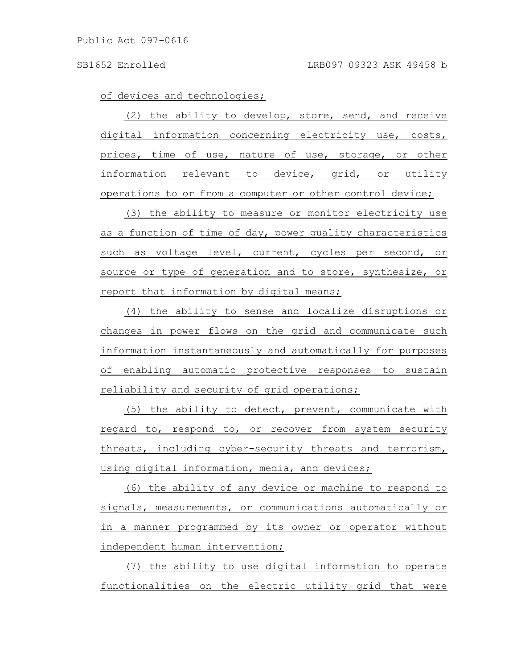of devices and technologies;

(2) the ability to develop, store, send, and receive digital information concerning electricity use, costs, prices, time of use, nature of use, storage, or other information relevant to device, grid, or utility operations to or from a computer or other control device;

(3) the ability to measure or monitor electricity use as a function of time of day, power quality characteristics such as voltage level, current, cycles per second, or source or type of generation and to store, synthesize, or report that information by digital means;

(4) the ability to sense and localize disruptions or changes in power flows on the grid and communicate such information instantaneously and automatically for purposes of enabling automatic protective responses to sustain reliability and security of grid operations;

(5) the ability to detect, prevent, communicate with regard to, respond to, or recover from system security threats, including cyber-security threats and terrorism, using digital information, media, and devices;

(6) the ability of any device or machine to respond to signals, measurements, or communications automatically or in a manner programmed by its owner or operator without independent human intervention;

(7) the ability to use digital information to operate functionalities on the electric utility grid that were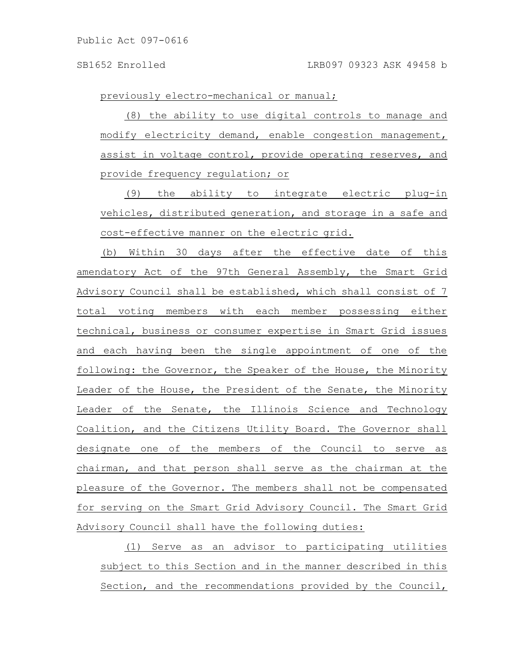previously electro-mechanical or manual;

(8) the ability to use digital controls to manage and modify electricity demand, enable congestion management, assist in voltage control, provide operating reserves, and provide frequency regulation; or

(9) the ability to integrate electric plug-in vehicles, distributed generation, and storage in a safe and cost-effective manner on the electric grid.

(b) Within 30 days after the effective date of this amendatory Act of the 97th General Assembly, the Smart Grid Advisory Council shall be established, which shall consist of 7 total voting members with each member possessing either technical, business or consumer expertise in Smart Grid issues and each having been the single appointment of one of the following: the Governor, the Speaker of the House, the Minority Leader of the House, the President of the Senate, the Minority Leader of the Senate, the Illinois Science and Technology Coalition, and the Citizens Utility Board. The Governor shall designate one of the members of the Council to serve as chairman, and that person shall serve as the chairman at the pleasure of the Governor. The members shall not be compensated for serving on the Smart Grid Advisory Council. The Smart Grid Advisory Council shall have the following duties:

(1) Serve as an advisor to participating utilities subject to this Section and in the manner described in this Section, and the recommendations provided by the Council,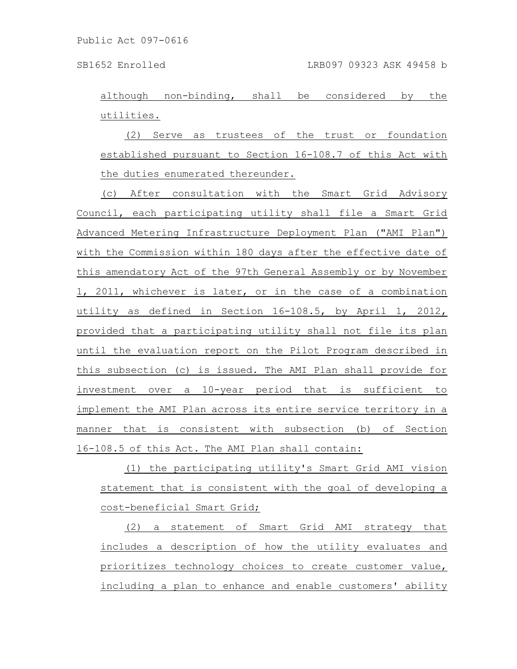although non-binding, shall be considered by the utilities.

(2) Serve as trustees of the trust or foundation established pursuant to Section 16-108.7 of this Act with the duties enumerated thereunder.

(c) After consultation with the Smart Grid Advisory Council, each participating utility shall file a Smart Grid Advanced Metering Infrastructure Deployment Plan ("AMI Plan") with the Commission within 180 days after the effective date of this amendatory Act of the 97th General Assembly or by November 1, 2011, whichever is later, or in the case of a combination utility as defined in Section 16-108.5, by April 1, 2012, provided that a participating utility shall not file its plan until the evaluation report on the Pilot Program described in this subsection (c) is issued. The AMI Plan shall provide for investment over a 10-year period that is sufficient to implement the AMI Plan across its entire service territory in a manner that is consistent with subsection (b) of Section 16-108.5 of this Act. The AMI Plan shall contain:

(1) the participating utility's Smart Grid AMI vision statement that is consistent with the goal of developing a cost-beneficial Smart Grid;

(2) a statement of Smart Grid AMI strategy that includes a description of how the utility evaluates and prioritizes technology choices to create customer value, including a plan to enhance and enable customers' ability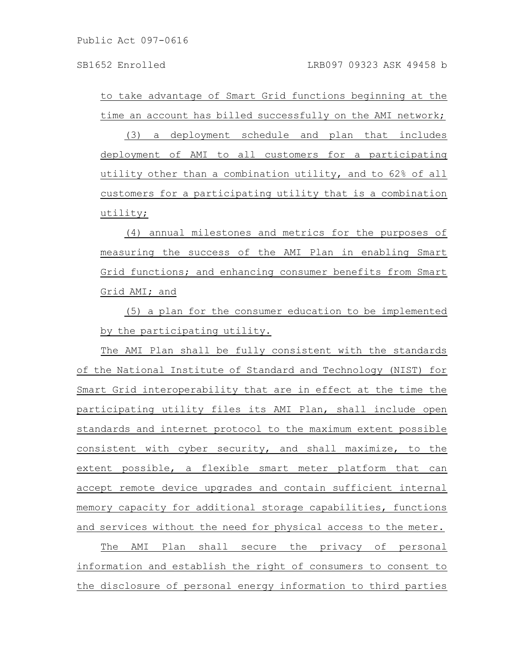Public Act 097-0616

to take advantage of Smart Grid functions beginning at the time an account has billed successfully on the AMI network;

(3) a deployment schedule and plan that includes deployment of AMI to all customers for a participating utility other than a combination utility, and to 62% of all customers for a participating utility that is a combination utility;

(4) annual milestones and metrics for the purposes of measuring the success of the AMI Plan in enabling Smart Grid functions; and enhancing consumer benefits from Smart Grid AMI; and

(5) a plan for the consumer education to be implemented by the participating utility.

The AMI Plan shall be fully consistent with the standards of the National Institute of Standard and Technology (NIST) for Smart Grid interoperability that are in effect at the time the participating utility files its AMI Plan, shall include open standards and internet protocol to the maximum extent possible consistent with cyber security, and shall maximize, to the extent possible, a flexible smart meter platform that can accept remote device upgrades and contain sufficient internal memory capacity for additional storage capabilities, functions and services without the need for physical access to the meter.

The AMI Plan shall secure the privacy of personal information and establish the right of consumers to consent to the disclosure of personal energy information to third parties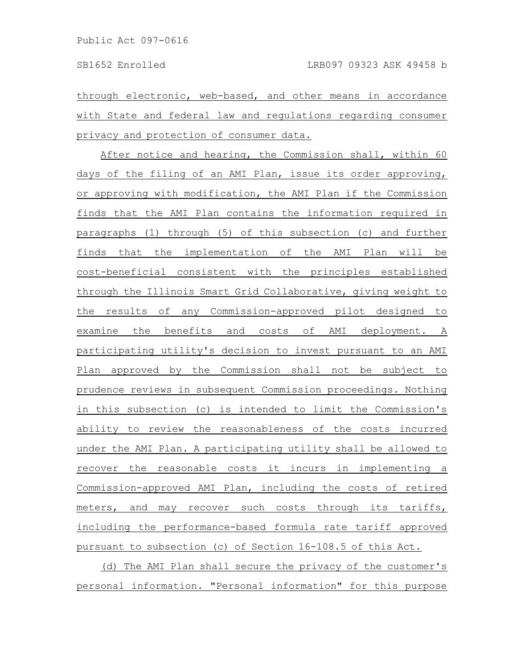through electronic, web-based, and other means in accordance with State and federal law and regulations regarding consumer privacy and protection of consumer data.

After notice and hearing, the Commission shall, within 60 days of the filing of an AMI Plan, issue its order approving, or approving with modification, the AMI Plan if the Commission finds that the AMI Plan contains the information required in paragraphs (1) through (5) of this subsection (c) and further finds that the implementation of the AMI Plan will be cost-beneficial consistent with the principles established through the Illinois Smart Grid Collaborative, giving weight to the results of any Commission-approved pilot designed to examine the benefits and costs of AMI deployment. A participating utility's decision to invest pursuant to an AMI Plan approved by the Commission shall not be subject to prudence reviews in subsequent Commission proceedings. Nothing in this subsection (c) is intended to limit the Commission's ability to review the reasonableness of the costs incurred under the AMI Plan. A participating utility shall be allowed to recover the reasonable costs it incurs in implementing a Commission-approved AMI Plan, including the costs of retired meters, and may recover such costs through its tariffs, including the performance-based formula rate tariff approved pursuant to subsection (c) of Section 16-108.5 of this Act.

(d) The AMI Plan shall secure the privacy of the customer's personal information. "Personal information" for this purpose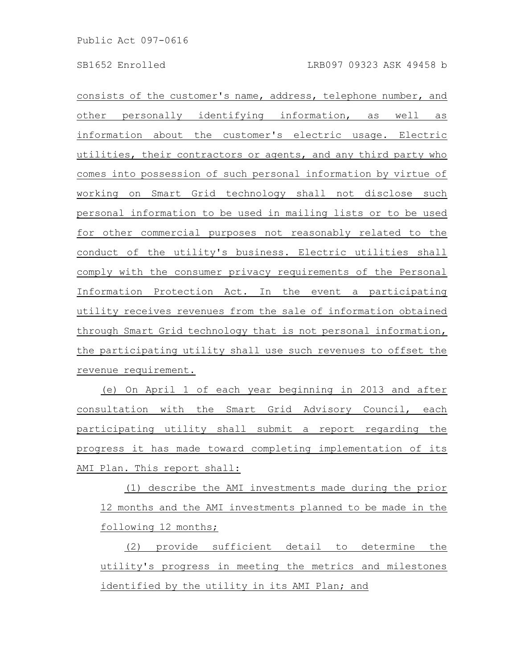consists of the customer's name, address, telephone number, and other personally identifying information, as well as information about the customer's electric usage. Electric utilities, their contractors or agents, and any third party who comes into possession of such personal information by virtue of working on Smart Grid technology shall not disclose such personal information to be used in mailing lists or to be used for other commercial purposes not reasonably related to the conduct of the utility's business. Electric utilities shall comply with the consumer privacy requirements of the Personal Information Protection Act. In the event a participating utility receives revenues from the sale of information obtained through Smart Grid technology that is not personal information, the participating utility shall use such revenues to offset the revenue requirement.

(e) On April 1 of each year beginning in 2013 and after consultation with the Smart Grid Advisory Council, each participating utility shall submit a report regarding the progress it has made toward completing implementation of its AMI Plan. This report shall:

(1) describe the AMI investments made during the prior 12 months and the AMI investments planned to be made in the following 12 months;

(2) provide sufficient detail to determine the utility's progress in meeting the metrics and milestones identified by the utility in its AMI Plan; and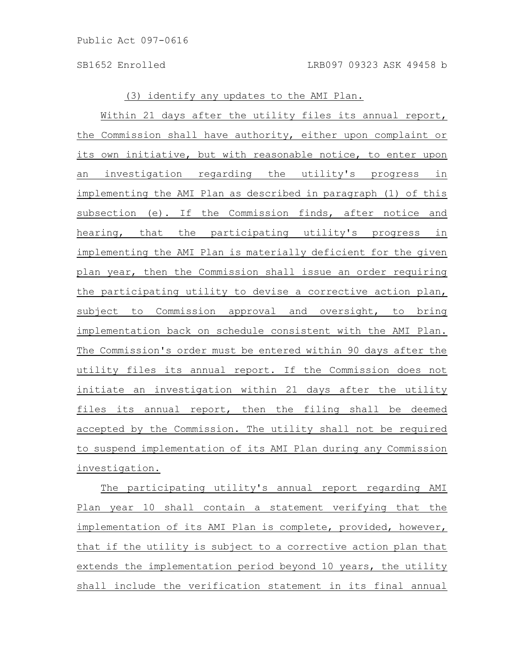(3) identify any updates to the AMI Plan.

Within 21 days after the utility files its annual report, the Commission shall have authority, either upon complaint or its own initiative, but with reasonable notice, to enter upon an investigation regarding the utility's progress in implementing the AMI Plan as described in paragraph (1) of this subsection (e). If the Commission finds, after notice and hearing, that the participating utility's progress in implementing the AMI Plan is materially deficient for the given plan year, then the Commission shall issue an order requiring the participating utility to devise a corrective action plan, subject to Commission approval and oversight, to bring implementation back on schedule consistent with the AMI Plan. The Commission's order must be entered within 90 days after the utility files its annual report. If the Commission does not initiate an investigation within 21 days after the utility files its annual report, then the filing shall be deemed accepted by the Commission. The utility shall not be required to suspend implementation of its AMI Plan during any Commission investigation.

The participating utility's annual report regarding AMI Plan year 10 shall contain a statement verifying that the implementation of its AMI Plan is complete, provided, however, that if the utility is subject to a corrective action plan that extends the implementation period beyond 10 years, the utility shall include the verification statement in its final annual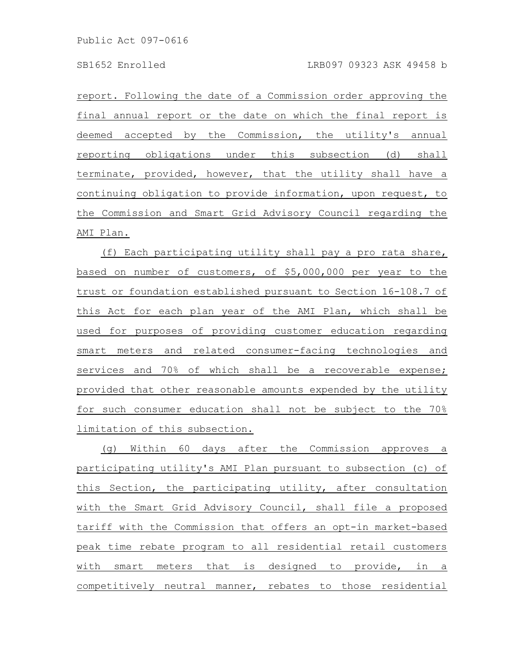report. Following the date of a Commission order approving the final annual report or the date on which the final report is deemed accepted by the Commission, the utility's annual reporting obligations under this subsection (d) shall terminate, provided, however, that the utility shall have a continuing obligation to provide information, upon request, to the Commission and Smart Grid Advisory Council regarding the AMI Plan.

(f) Each participating utility shall pay a pro rata share, based on number of customers, of \$5,000,000 per year to the trust or foundation established pursuant to Section 16-108.7 of this Act for each plan year of the AMI Plan, which shall be used for purposes of providing customer education regarding smart meters and related consumer-facing technologies and services and 70% of which shall be a recoverable expense; provided that other reasonable amounts expended by the utility for such consumer education shall not be subject to the 70% limitation of this subsection.

(g) Within 60 days after the Commission approves a participating utility's AMI Plan pursuant to subsection (c) of this Section, the participating utility, after consultation with the Smart Grid Advisory Council, shall file a proposed tariff with the Commission that offers an opt-in market-based peak time rebate program to all residential retail customers with smart meters that is designed to provide, in a competitively neutral manner, rebates to those residential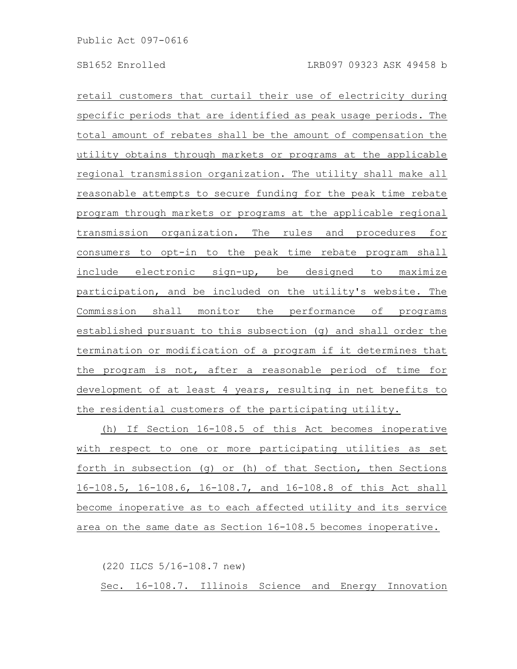retail customers that curtail their use of electricity during specific periods that are identified as peak usage periods. The total amount of rebates shall be the amount of compensation the utility obtains through markets or programs at the applicable regional transmission organization. The utility shall make all reasonable attempts to secure funding for the peak time rebate program through markets or programs at the applicable regional transmission organization. The rules and procedures for consumers to opt-in to the peak time rebate program shall include electronic sign-up, be designed to maximize participation, and be included on the utility's website. The Commission shall monitor the performance of programs established pursuant to this subsection (g) and shall order the termination or modification of a program if it determines that the program is not, after a reasonable period of time for development of at least 4 years, resulting in net benefits to the residential customers of the participating utility.

(h) If Section 16-108.5 of this Act becomes inoperative with respect to one or more participating utilities as set forth in subsection (g) or (h) of that Section, then Sections 16-108.5, 16-108.6, 16-108.7, and 16-108.8 of this Act shall become inoperative as to each affected utility and its service area on the same date as Section 16-108.5 becomes inoperative.

(220 ILCS 5/16-108.7 new)

Sec. 16-108.7. Illinois Science and Energy Innovation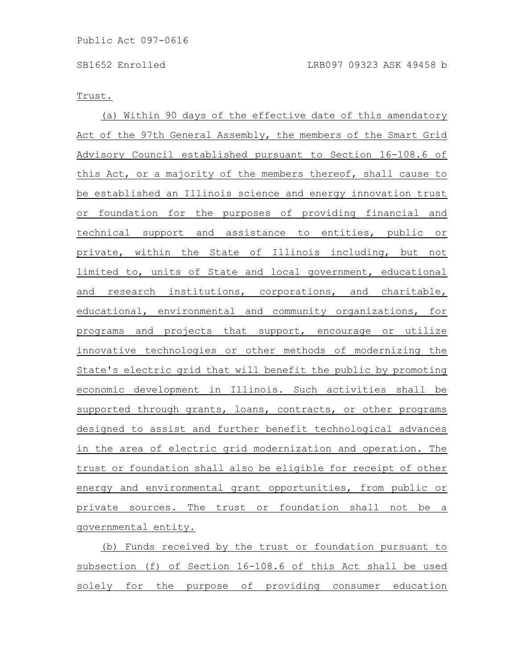### Trust.

(a) Within 90 days of the effective date of this amendatory Act of the 97th General Assembly, the members of the Smart Grid Advisory Council established pursuant to Section 16-108.6 of this Act, or a majority of the members thereof, shall cause to be established an Illinois science and energy innovation trust or foundation for the purposes of providing financial and technical support and assistance to entities, public or private, within the State of Illinois including, but not limited to, units of State and local government, educational and research institutions, corporations, and charitable, educational, environmental and community organizations, for programs and projects that support, encourage or utilize innovative technologies or other methods of modernizing the State's electric grid that will benefit the public by promoting economic development in Illinois. Such activities shall be supported through grants, loans, contracts, or other programs designed to assist and further benefit technological advances in the area of electric grid modernization and operation. The trust or foundation shall also be eligible for receipt of other energy and environmental grant opportunities, from public or private sources. The trust or foundation shall not be a governmental entity.

(b) Funds received by the trust or foundation pursuant to subsection (f) of Section 16-108.6 of this Act shall be used solely for the purpose of providing consumer education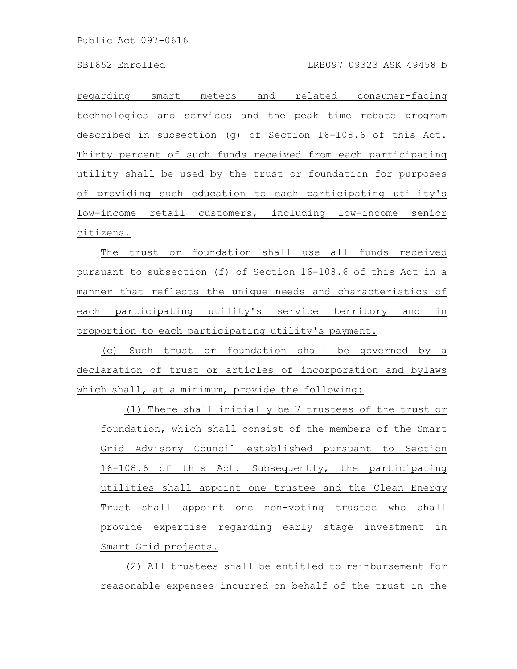Public Act 097-0616

regarding smart meters and related consumer-facing technologies and services and the peak time rebate program described in subsection (g) of Section 16-108.6 of this Act. Thirty percent of such funds received from each participating utility shall be used by the trust or foundation for purposes of providing such education to each participating utility's low-income retail customers, including low-income senior citizens.

The trust or foundation shall use all funds received pursuant to subsection (f) of Section 16-108.6 of this Act in a manner that reflects the unique needs and characteristics of each participating utility's service territory and in proportion to each participating utility's payment.

(c) Such trust or foundation shall be governed by a declaration of trust or articles of incorporation and bylaws which shall, at a minimum, provide the following:

(1) There shall initially be 7 trustees of the trust or foundation, which shall consist of the members of the Smart Grid Advisory Council established pursuant to Section 16-108.6 of this Act. Subsequently, the participating utilities shall appoint one trustee and the Clean Energy Trust shall appoint one non-voting trustee who shall provide expertise regarding early stage investment in Smart Grid projects.

(2) All trustees shall be entitled to reimbursement for reasonable expenses incurred on behalf of the trust in the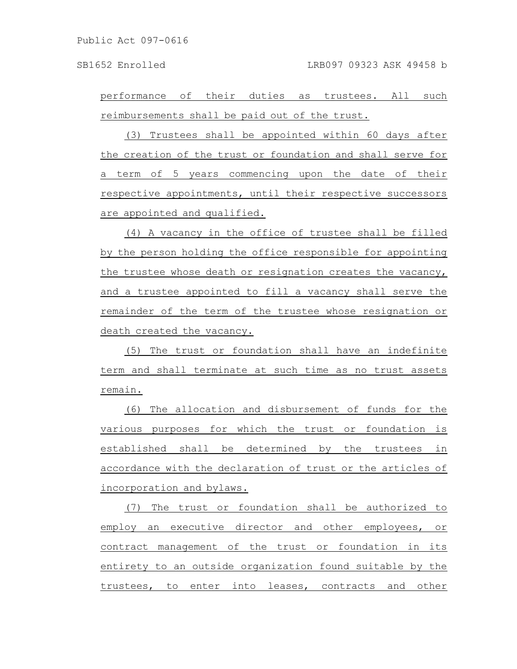performance of their duties as trustees. All such reimbursements shall be paid out of the trust.

(3) Trustees shall be appointed within 60 days after the creation of the trust or foundation and shall serve for a term of 5 years commencing upon the date of their respective appointments, until their respective successors are appointed and qualified.

(4) A vacancy in the office of trustee shall be filled by the person holding the office responsible for appointing the trustee whose death or resignation creates the vacancy, and a trustee appointed to fill a vacancy shall serve the remainder of the term of the trustee whose resignation or death created the vacancy.

(5) The trust or foundation shall have an indefinite term and shall terminate at such time as no trust assets remain.

(6) The allocation and disbursement of funds for the various purposes for which the trust or foundation is established shall be determined by the trustees in accordance with the declaration of trust or the articles of incorporation and bylaws.

(7) The trust or foundation shall be authorized to employ an executive director and other employees, or contract management of the trust or foundation in its entirety to an outside organization found suitable by the trustees, to enter into leases, contracts and other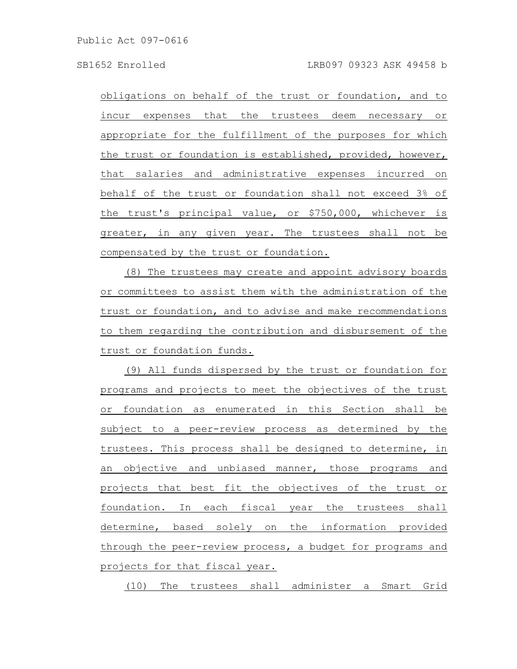Public Act 097-0616

obligations on behalf of the trust or foundation, and to incur expenses that the trustees deem necessary or appropriate for the fulfillment of the purposes for which the trust or foundation is established, provided, however, that salaries and administrative expenses incurred on behalf of the trust or foundation shall not exceed 3% of the trust's principal value, or \$750,000, whichever is greater, in any given year. The trustees shall not be compensated by the trust or foundation.

(8) The trustees may create and appoint advisory boards or committees to assist them with the administration of the trust or foundation, and to advise and make recommendations to them regarding the contribution and disbursement of the trust or foundation funds.

(9) All funds dispersed by the trust or foundation for programs and projects to meet the objectives of the trust or foundation as enumerated in this Section shall be subject to a peer-review process as determined by the trustees. This process shall be designed to determine, in an objective and unbiased manner, those programs and projects that best fit the objectives of the trust or foundation. In each fiscal year the trustees shall determine, based solely on the information provided through the peer-review process, a budget for programs and projects for that fiscal year.

(10) The trustees shall administer a Smart Grid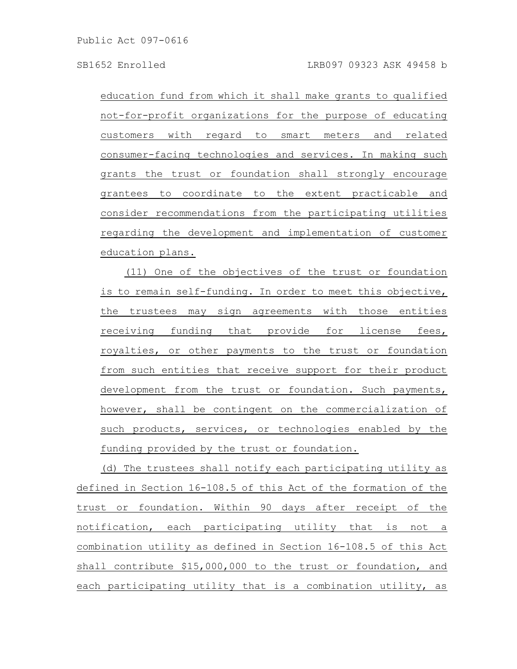education fund from which it shall make grants to qualified not-for-profit organizations for the purpose of educating customers with regard to smart meters and related consumer-facing technologies and services. In making such grants the trust or foundation shall strongly encourage grantees to coordinate to the extent practicable and consider recommendations from the participating utilities regarding the development and implementation of customer education plans.

(11) One of the objectives of the trust or foundation is to remain self-funding. In order to meet this objective, the trustees may sign agreements with those entities receiving funding that provide for license fees, royalties, or other payments to the trust or foundation from such entities that receive support for their product development from the trust or foundation. Such payments, however, shall be contingent on the commercialization of such products, services, or technologies enabled by the funding provided by the trust or foundation.

(d) The trustees shall notify each participating utility as defined in Section 16-108.5 of this Act of the formation of the trust or foundation. Within 90 days after receipt of the notification, each participating utility that is not a combination utility as defined in Section 16-108.5 of this Act shall contribute \$15,000,000 to the trust or foundation, and each participating utility that is a combination utility, as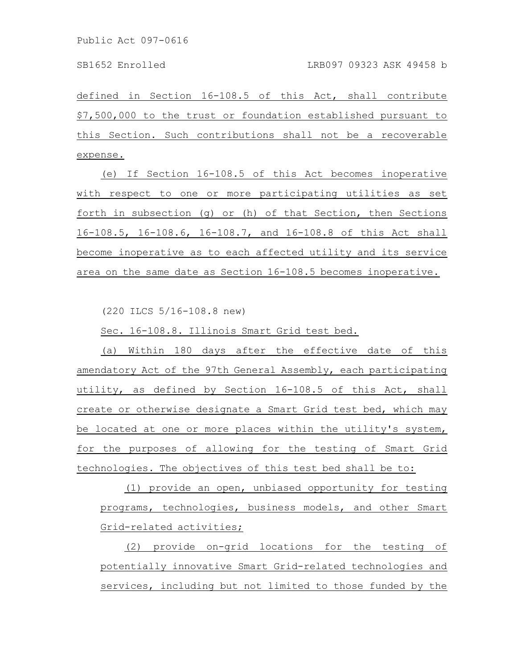defined in Section 16-108.5 of this Act, shall contribute \$7,500,000 to the trust or foundation established pursuant to this Section. Such contributions shall not be a recoverable expense.

(e) If Section 16-108.5 of this Act becomes inoperative with respect to one or more participating utilities as set forth in subsection (g) or (h) of that Section, then Sections 16-108.5, 16-108.6, 16-108.7, and 16-108.8 of this Act shall become inoperative as to each affected utility and its service area on the same date as Section 16-108.5 becomes inoperative.

(220 ILCS 5/16-108.8 new)

Sec. 16-108.8. Illinois Smart Grid test bed.

(a) Within 180 days after the effective date of this amendatory Act of the 97th General Assembly, each participating utility, as defined by Section 16-108.5 of this Act, shall create or otherwise designate a Smart Grid test bed, which may be located at one or more places within the utility's system, for the purposes of allowing for the testing of Smart Grid technologies. The objectives of this test bed shall be to:

(1) provide an open, unbiased opportunity for testing programs, technologies, business models, and other Smart Grid-related activities;

(2) provide on-grid locations for the testing of potentially innovative Smart Grid-related technologies and services, including but not limited to those funded by the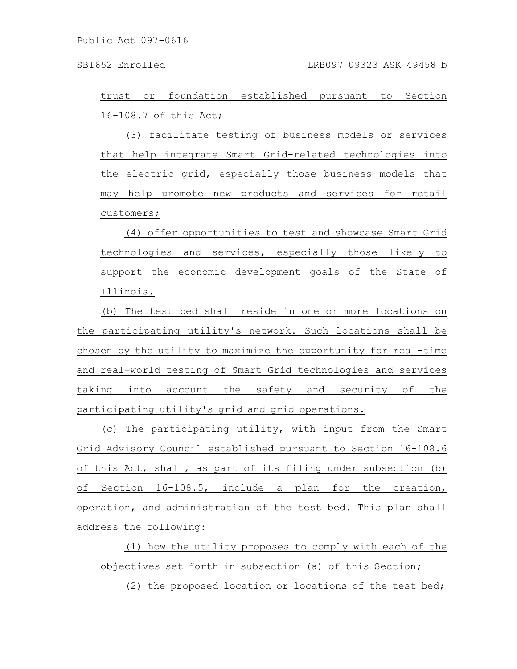trust or foundation established pursuant to Section 16-108.7 of this Act;

(3) facilitate testing of business models or services that help integrate Smart Grid-related technologies into the electric grid, especially those business models that may help promote new products and services for retail customers;

(4) offer opportunities to test and showcase Smart Grid technologies and services, especially those likely to support the economic development goals of the State of Illinois.

(b) The test bed shall reside in one or more locations on the participating utility's network. Such locations shall be chosen by the utility to maximize the opportunity for real-time and real-world testing of Smart Grid technologies and services taking into account the safety and security of the participating utility's grid and grid operations.

(c) The participating utility, with input from the Smart Grid Advisory Council established pursuant to Section 16-108.6 of this Act, shall, as part of its filing under subsection (b) of Section 16-108.5, include a plan for the creation, operation, and administration of the test bed. This plan shall address the following:

(1) how the utility proposes to comply with each of the objectives set forth in subsection (a) of this Section;

(2) the proposed location or locations of the test bed;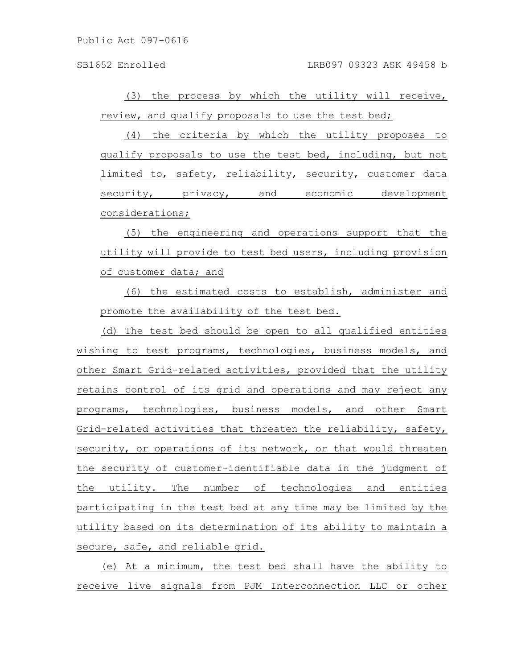Public Act 097-0616

(3) the process by which the utility will receive, review, and qualify proposals to use the test bed;

(4) the criteria by which the utility proposes to qualify proposals to use the test bed, including, but not limited to, safety, reliability, security, customer data security, privacy, and economic development considerations;

(5) the engineering and operations support that the utility will provide to test bed users, including provision of customer data; and

(6) the estimated costs to establish, administer and promote the availability of the test bed.

(d) The test bed should be open to all qualified entities wishing to test programs, technologies, business models, and other Smart Grid-related activities, provided that the utility retains control of its grid and operations and may reject any programs, technologies, business models, and other Smart Grid-related activities that threaten the reliability, safety, security, or operations of its network, or that would threaten the security of customer-identifiable data in the judgment of the utility. The number of technologies and entities participating in the test bed at any time may be limited by the utility based on its determination of its ability to maintain a secure, safe, and reliable grid.

(e) At a minimum, the test bed shall have the ability to receive live signals from PJM Interconnection LLC or other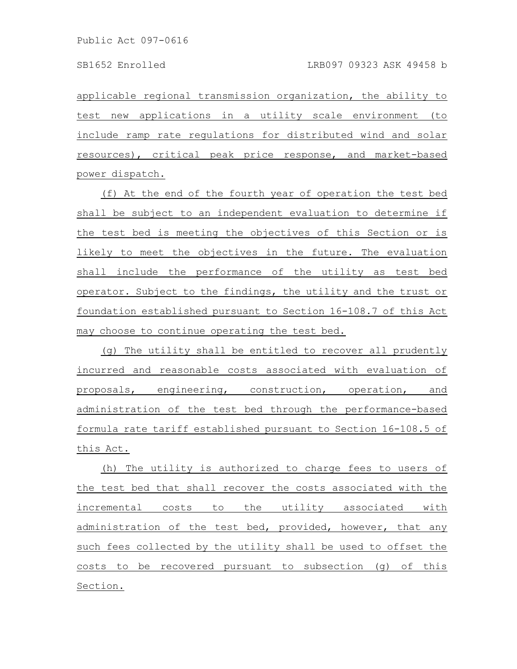applicable regional transmission organization, the ability to test new applications in a utility scale environment (to include ramp rate regulations for distributed wind and solar resources), critical peak price response, and market-based power dispatch.

(f) At the end of the fourth year of operation the test bed shall be subject to an independent evaluation to determine if the test bed is meeting the objectives of this Section or is likely to meet the objectives in the future. The evaluation shall include the performance of the utility as test bed operator. Subject to the findings, the utility and the trust or foundation established pursuant to Section 16-108.7 of this Act may choose to continue operating the test bed.

(g) The utility shall be entitled to recover all prudently incurred and reasonable costs associated with evaluation of proposals, engineering, construction, operation, and administration of the test bed through the performance-based formula rate tariff established pursuant to Section 16-108.5 of this Act.

(h) The utility is authorized to charge fees to users of the test bed that shall recover the costs associated with the incremental costs to the utility associated with administration of the test bed, provided, however, that any such fees collected by the utility shall be used to offset the costs to be recovered pursuant to subsection (g) of this Section.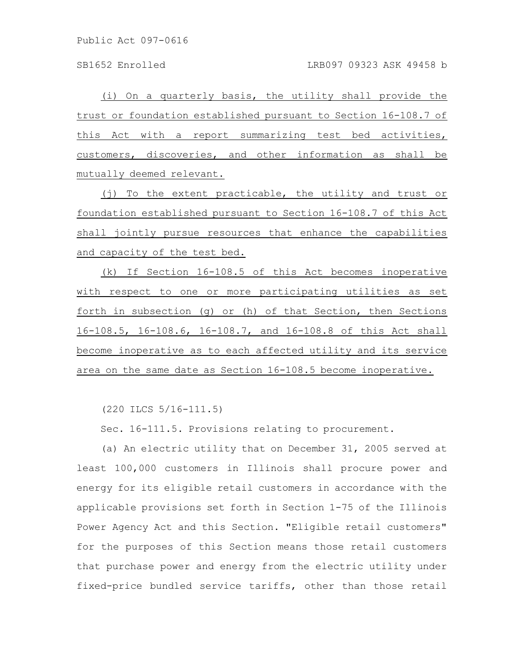Public Act 097-0616

(i) On a quarterly basis, the utility shall provide the trust or foundation established pursuant to Section 16-108.7 of this Act with a report summarizing test bed activities, customers, discoveries, and other information as shall be mutually deemed relevant.

(j) To the extent practicable, the utility and trust or foundation established pursuant to Section 16-108.7 of this Act shall jointly pursue resources that enhance the capabilities and capacity of the test bed.

(k) If Section 16-108.5 of this Act becomes inoperative with respect to one or more participating utilities as set forth in subsection (g) or (h) of that Section, then Sections 16-108.5, 16-108.6, 16-108.7, and 16-108.8 of this Act shall become inoperative as to each affected utility and its service area on the same date as Section 16-108.5 become inoperative.

(220 ILCS 5/16-111.5)

Sec. 16-111.5. Provisions relating to procurement.

(a) An electric utility that on December 31, 2005 served at least 100,000 customers in Illinois shall procure power and energy for its eligible retail customers in accordance with the applicable provisions set forth in Section 1-75 of the Illinois Power Agency Act and this Section. "Eligible retail customers" for the purposes of this Section means those retail customers that purchase power and energy from the electric utility under fixed-price bundled service tariffs, other than those retail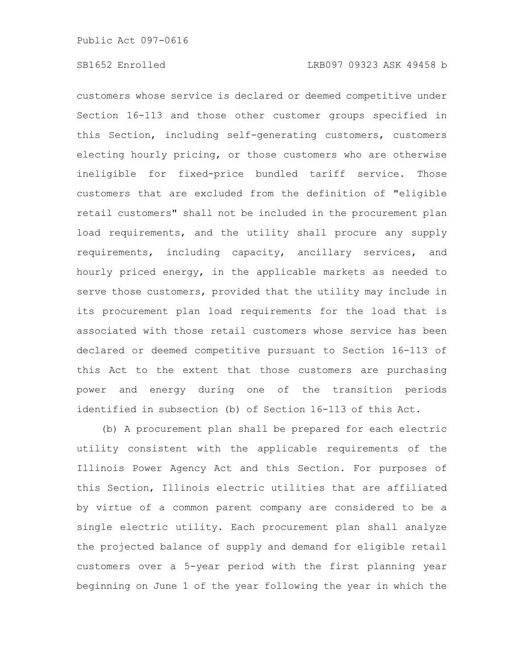customers whose service is declared or deemed competitive under Section 16-113 and those other customer groups specified in this Section, including self-generating customers, customers electing hourly pricing, or those customers who are otherwise ineligible for fixed-price bundled tariff service. Those customers that are excluded from the definition of "eligible retail customers" shall not be included in the procurement plan load requirements, and the utility shall procure any supply requirements, including capacity, ancillary services, and hourly priced energy, in the applicable markets as needed to serve those customers, provided that the utility may include in its procurement plan load requirements for the load that is associated with those retail customers whose service has been declared or deemed competitive pursuant to Section 16-113 of this Act to the extent that those customers are purchasing power and energy during one of the transition periods identified in subsection (b) of Section 16-113 of this Act.

(b) A procurement plan shall be prepared for each electric utility consistent with the applicable requirements of the Illinois Power Agency Act and this Section. For purposes of this Section, Illinois electric utilities that are affiliated by virtue of a common parent company are considered to be a single electric utility. Each procurement plan shall analyze the projected balance of supply and demand for eligible retail customers over a 5-year period with the first planning year beginning on June 1 of the year following the year in which the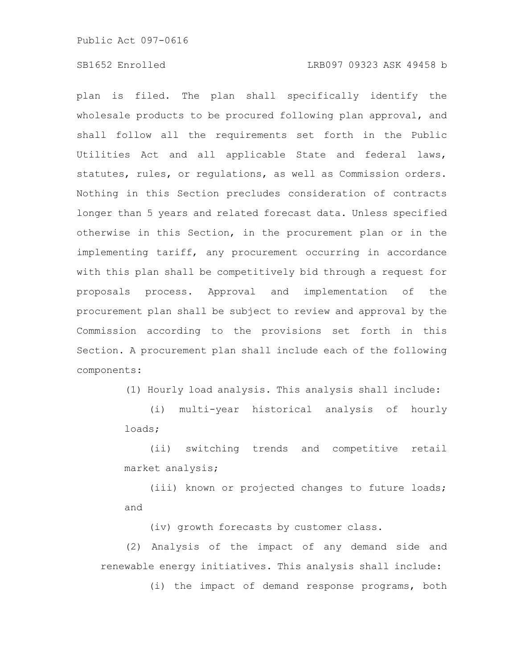Public Act 097-0616

# SB1652 Enrolled LRB097 09323 ASK 49458 b

plan is filed. The plan shall specifically identify the wholesale products to be procured following plan approval, and shall follow all the requirements set forth in the Public Utilities Act and all applicable State and federal laws, statutes, rules, or regulations, as well as Commission orders. Nothing in this Section precludes consideration of contracts longer than 5 years and related forecast data. Unless specified otherwise in this Section, in the procurement plan or in the implementing tariff, any procurement occurring in accordance with this plan shall be competitively bid through a request for proposals process. Approval and implementation of the procurement plan shall be subject to review and approval by the Commission according to the provisions set forth in this Section. A procurement plan shall include each of the following components:

(1) Hourly load analysis. This analysis shall include:

(i) multi-year historical analysis of hourly loads;

(ii) switching trends and competitive retail market analysis;

(iii) known or projected changes to future loads; and

(iv) growth forecasts by customer class.

(2) Analysis of the impact of any demand side and renewable energy initiatives. This analysis shall include:

(i) the impact of demand response programs, both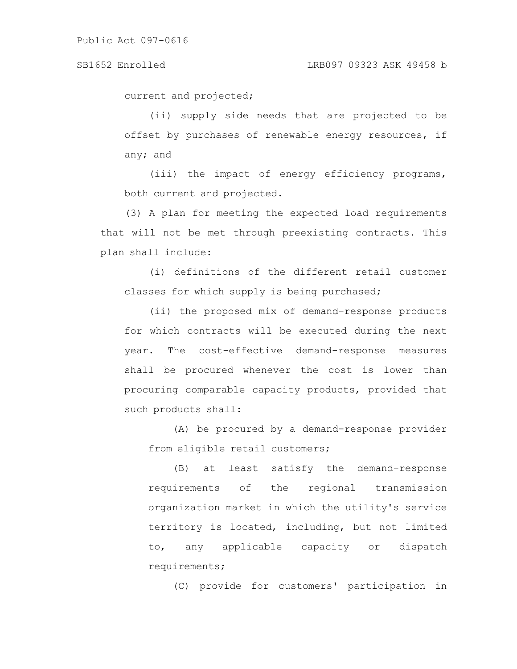current and projected;

(ii) supply side needs that are projected to be offset by purchases of renewable energy resources, if any; and

(iii) the impact of energy efficiency programs, both current and projected.

(3) A plan for meeting the expected load requirements that will not be met through preexisting contracts. This plan shall include:

(i) definitions of the different retail customer classes for which supply is being purchased;

(ii) the proposed mix of demand-response products for which contracts will be executed during the next year. The cost-effective demand-response measures shall be procured whenever the cost is lower than procuring comparable capacity products, provided that such products shall:

(A) be procured by a demand-response provider from eligible retail customers;

(B) at least satisfy the demand-response requirements of the regional transmission organization market in which the utility's service territory is located, including, but not limited to, any applicable capacity or dispatch requirements;

(C) provide for customers' participation in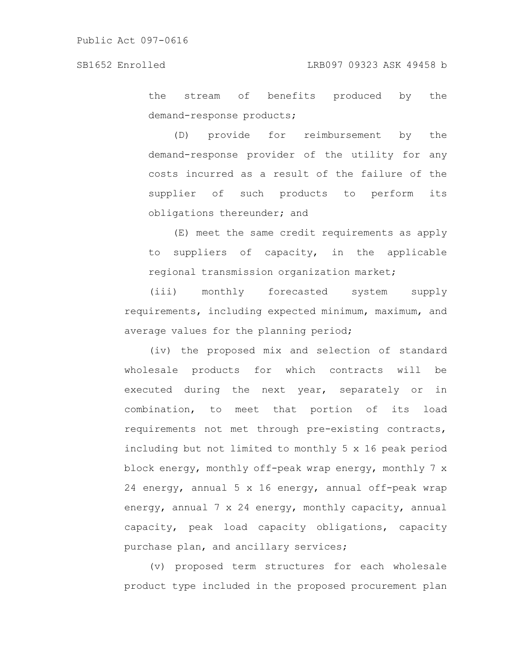the stream of benefits produced by the demand-response products;

(D) provide for reimbursement by the demand-response provider of the utility for any costs incurred as a result of the failure of the supplier of such products to perform its obligations thereunder; and

(E) meet the same credit requirements as apply to suppliers of capacity, in the applicable regional transmission organization market;

(iii) monthly forecasted system supply requirements, including expected minimum, maximum, and average values for the planning period;

(iv) the proposed mix and selection of standard wholesale products for which contracts will be executed during the next year, separately or in combination, to meet that portion of its load requirements not met through pre-existing contracts, including but not limited to monthly 5 x 16 peak period block energy, monthly off-peak wrap energy, monthly 7 x 24 energy, annual 5 x 16 energy, annual off-peak wrap energy, annual 7 x 24 energy, monthly capacity, annual capacity, peak load capacity obligations, capacity purchase plan, and ancillary services;

(v) proposed term structures for each wholesale product type included in the proposed procurement plan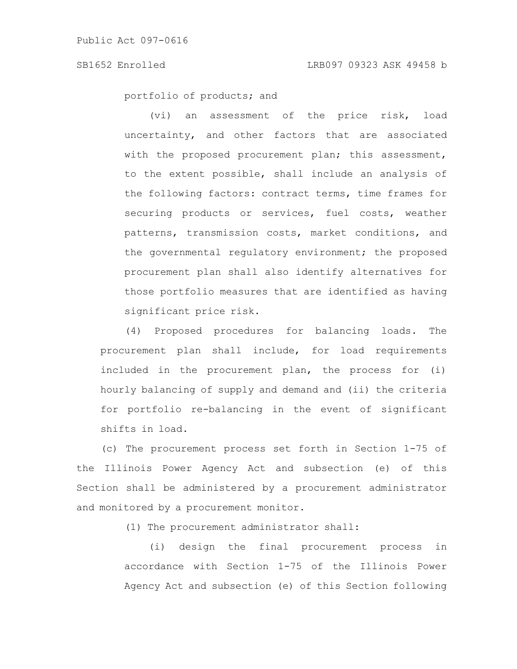portfolio of products; and

(vi) an assessment of the price risk, load uncertainty, and other factors that are associated with the proposed procurement plan; this assessment, to the extent possible, shall include an analysis of the following factors: contract terms, time frames for securing products or services, fuel costs, weather patterns, transmission costs, market conditions, and the governmental regulatory environment; the proposed procurement plan shall also identify alternatives for those portfolio measures that are identified as having significant price risk.

(4) Proposed procedures for balancing loads. The procurement plan shall include, for load requirements included in the procurement plan, the process for (i) hourly balancing of supply and demand and (ii) the criteria for portfolio re-balancing in the event of significant shifts in load.

(c) The procurement process set forth in Section 1-75 of the Illinois Power Agency Act and subsection (e) of this Section shall be administered by a procurement administrator and monitored by a procurement monitor.

(1) The procurement administrator shall:

(i) design the final procurement process in accordance with Section 1-75 of the Illinois Power Agency Act and subsection (e) of this Section following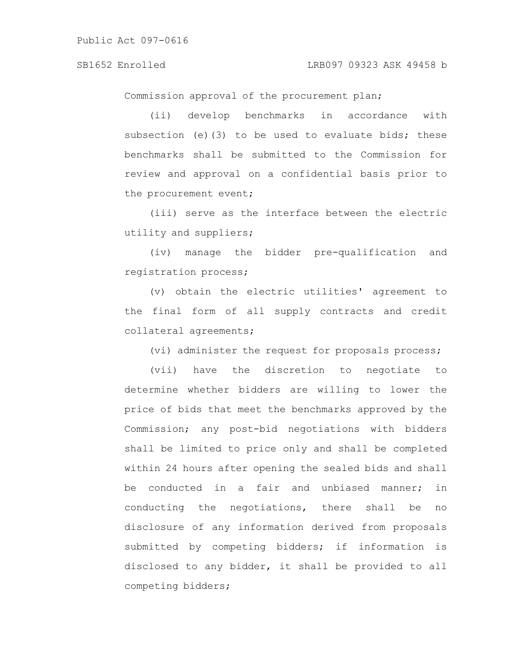Commission approval of the procurement plan;

(ii) develop benchmarks in accordance with subsection (e)(3) to be used to evaluate bids; these benchmarks shall be submitted to the Commission for review and approval on a confidential basis prior to the procurement event;

(iii) serve as the interface between the electric utility and suppliers;

(iv) manage the bidder pre-qualification and registration process;

(v) obtain the electric utilities' agreement to the final form of all supply contracts and credit collateral agreements;

(vi) administer the request for proposals process;

(vii) have the discretion to negotiate to determine whether bidders are willing to lower the price of bids that meet the benchmarks approved by the Commission; any post-bid negotiations with bidders shall be limited to price only and shall be completed within 24 hours after opening the sealed bids and shall be conducted in a fair and unbiased manner; in conducting the negotiations, there shall be no disclosure of any information derived from proposals submitted by competing bidders; if information is disclosed to any bidder, it shall be provided to all competing bidders;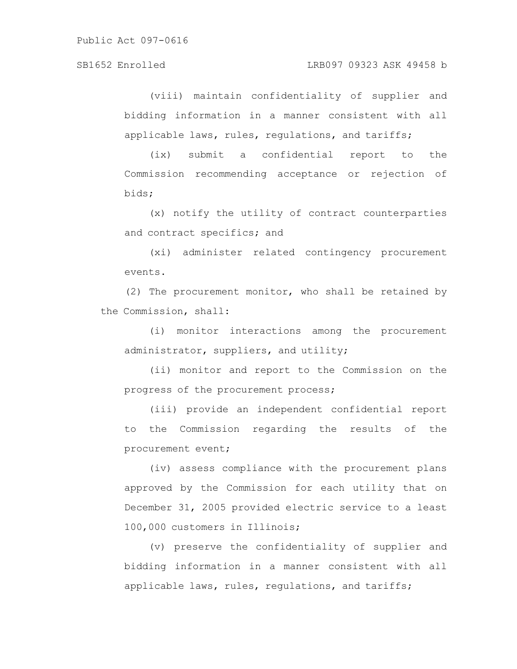### SB1652 Enrolled LRB097 09323 ASK 49458 b

(viii) maintain confidentiality of supplier and bidding information in a manner consistent with all applicable laws, rules, regulations, and tariffs;

(ix) submit a confidential report to the Commission recommending acceptance or rejection of bids;

(x) notify the utility of contract counterparties and contract specifics; and

(xi) administer related contingency procurement events.

(2) The procurement monitor, who shall be retained by the Commission, shall:

(i) monitor interactions among the procurement administrator, suppliers, and utility;

(ii) monitor and report to the Commission on the progress of the procurement process;

(iii) provide an independent confidential report to the Commission regarding the results of the procurement event;

(iv) assess compliance with the procurement plans approved by the Commission for each utility that on December 31, 2005 provided electric service to a least 100,000 customers in Illinois;

(v) preserve the confidentiality of supplier and bidding information in a manner consistent with all applicable laws, rules, regulations, and tariffs;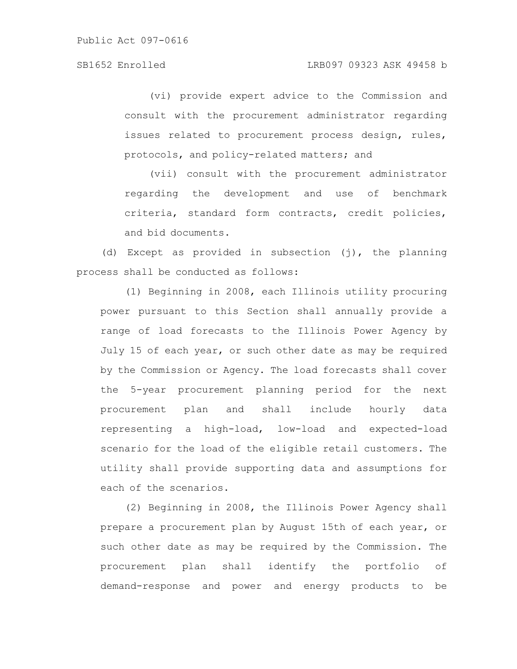(vi) provide expert advice to the Commission and consult with the procurement administrator regarding issues related to procurement process design, rules, protocols, and policy-related matters; and

(vii) consult with the procurement administrator regarding the development and use of benchmark criteria, standard form contracts, credit policies, and bid documents.

(d) Except as provided in subsection (j), the planning process shall be conducted as follows:

(1) Beginning in 2008, each Illinois utility procuring power pursuant to this Section shall annually provide a range of load forecasts to the Illinois Power Agency by July 15 of each year, or such other date as may be required by the Commission or Agency. The load forecasts shall cover the 5-year procurement planning period for the next procurement plan and shall include hourly data representing a high-load, low-load and expected-load scenario for the load of the eligible retail customers. The utility shall provide supporting data and assumptions for each of the scenarios.

(2) Beginning in 2008, the Illinois Power Agency shall prepare a procurement plan by August 15th of each year, or such other date as may be required by the Commission. The procurement plan shall identify the portfolio of demand-response and power and energy products to be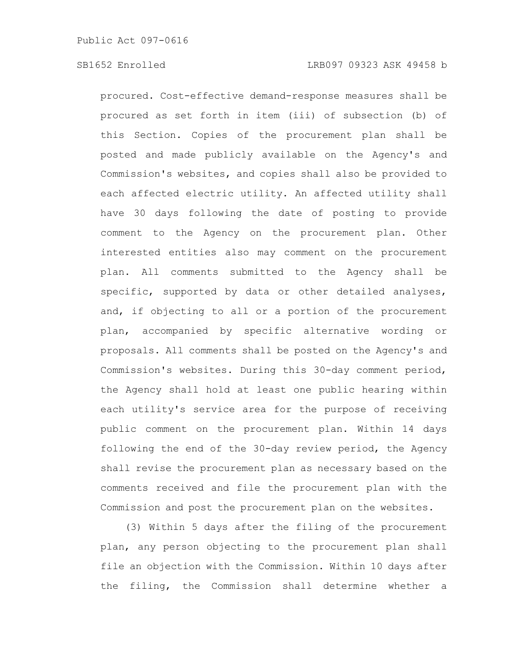procured. Cost-effective demand-response measures shall be procured as set forth in item (iii) of subsection (b) of this Section. Copies of the procurement plan shall be posted and made publicly available on the Agency's and Commission's websites, and copies shall also be provided to each affected electric utility. An affected utility shall have 30 days following the date of posting to provide comment to the Agency on the procurement plan. Other interested entities also may comment on the procurement plan. All comments submitted to the Agency shall be specific, supported by data or other detailed analyses, and, if objecting to all or a portion of the procurement plan, accompanied by specific alternative wording or proposals. All comments shall be posted on the Agency's and Commission's websites. During this 30-day comment period, the Agency shall hold at least one public hearing within each utility's service area for the purpose of receiving public comment on the procurement plan. Within 14 days following the end of the 30-day review period, the Agency shall revise the procurement plan as necessary based on the comments received and file the procurement plan with the Commission and post the procurement plan on the websites.

(3) Within 5 days after the filing of the procurement plan, any person objecting to the procurement plan shall file an objection with the Commission. Within 10 days after the filing, the Commission shall determine whether a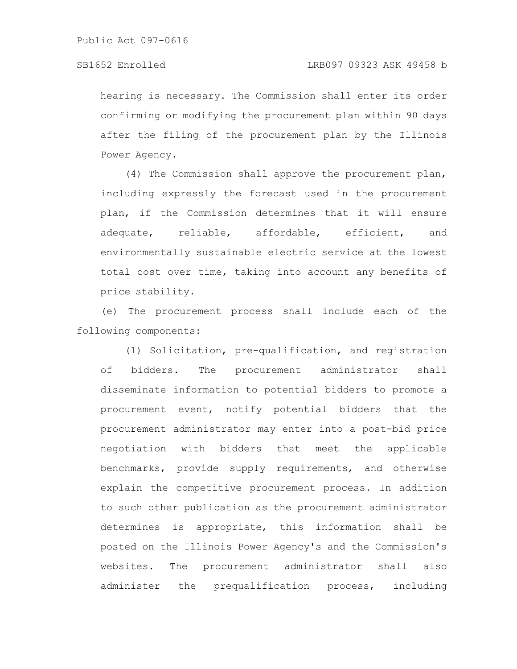hearing is necessary. The Commission shall enter its order confirming or modifying the procurement plan within 90 days after the filing of the procurement plan by the Illinois Power Agency.

(4) The Commission shall approve the procurement plan, including expressly the forecast used in the procurement plan, if the Commission determines that it will ensure adequate, reliable, affordable, efficient, and environmentally sustainable electric service at the lowest total cost over time, taking into account any benefits of price stability.

(e) The procurement process shall include each of the following components:

(1) Solicitation, pre-qualification, and registration of bidders. The procurement administrator shall disseminate information to potential bidders to promote a procurement event, notify potential bidders that the procurement administrator may enter into a post-bid price negotiation with bidders that meet the applicable benchmarks, provide supply requirements, and otherwise explain the competitive procurement process. In addition to such other publication as the procurement administrator determines is appropriate, this information shall be posted on the Illinois Power Agency's and the Commission's websites. The procurement administrator shall also administer the prequalification process, including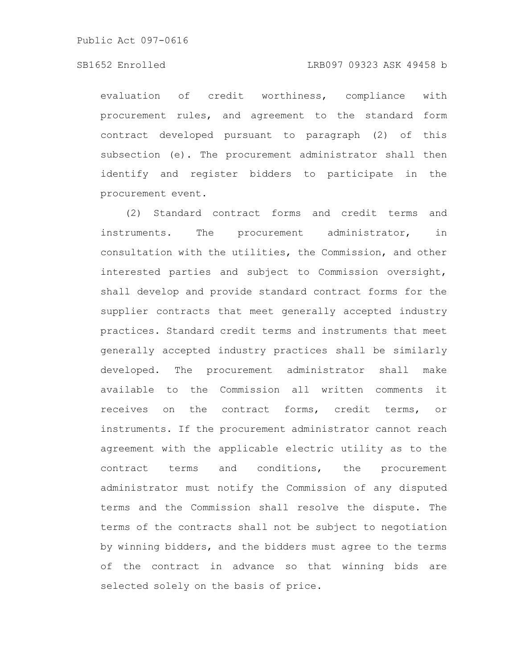### SB1652 Enrolled LRB097 09323 ASK 49458 b

evaluation of credit worthiness, compliance with procurement rules, and agreement to the standard form contract developed pursuant to paragraph (2) of this subsection (e). The procurement administrator shall then identify and register bidders to participate in the procurement event.

(2) Standard contract forms and credit terms and instruments. The procurement administrator, in consultation with the utilities, the Commission, and other interested parties and subject to Commission oversight, shall develop and provide standard contract forms for the supplier contracts that meet generally accepted industry practices. Standard credit terms and instruments that meet generally accepted industry practices shall be similarly developed. The procurement administrator shall make available to the Commission all written comments it receives on the contract forms, credit terms, or instruments. If the procurement administrator cannot reach agreement with the applicable electric utility as to the contract terms and conditions, the procurement administrator must notify the Commission of any disputed terms and the Commission shall resolve the dispute. The terms of the contracts shall not be subject to negotiation by winning bidders, and the bidders must agree to the terms of the contract in advance so that winning bids are selected solely on the basis of price.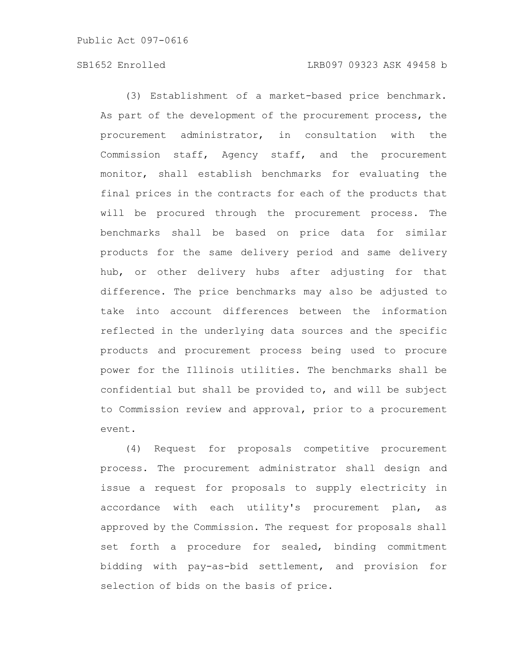Public Act 097-0616

# SB1652 Enrolled LRB097 09323 ASK 49458 b

(3) Establishment of a market-based price benchmark. As part of the development of the procurement process, the procurement administrator, in consultation with the Commission staff, Agency staff, and the procurement monitor, shall establish benchmarks for evaluating the final prices in the contracts for each of the products that will be procured through the procurement process. The benchmarks shall be based on price data for similar products for the same delivery period and same delivery hub, or other delivery hubs after adjusting for that difference. The price benchmarks may also be adjusted to take into account differences between the information reflected in the underlying data sources and the specific products and procurement process being used to procure power for the Illinois utilities. The benchmarks shall be confidential but shall be provided to, and will be subject to Commission review and approval, prior to a procurement event.

(4) Request for proposals competitive procurement process. The procurement administrator shall design and issue a request for proposals to supply electricity in accordance with each utility's procurement plan, as approved by the Commission. The request for proposals shall set forth a procedure for sealed, binding commitment bidding with pay-as-bid settlement, and provision for selection of bids on the basis of price.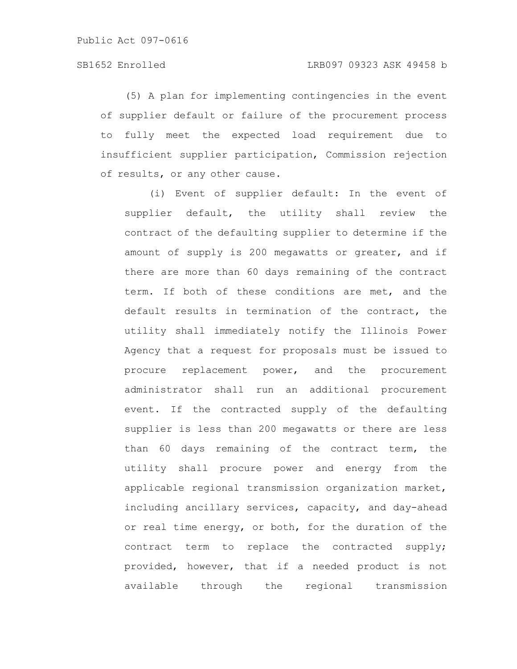(5) A plan for implementing contingencies in the event of supplier default or failure of the procurement process to fully meet the expected load requirement due to insufficient supplier participation, Commission rejection of results, or any other cause.

(i) Event of supplier default: In the event of supplier default, the utility shall review the contract of the defaulting supplier to determine if the amount of supply is 200 megawatts or greater, and if there are more than 60 days remaining of the contract term. If both of these conditions are met, and the default results in termination of the contract, the utility shall immediately notify the Illinois Power Agency that a request for proposals must be issued to procure replacement power, and the procurement administrator shall run an additional procurement event. If the contracted supply of the defaulting supplier is less than 200 megawatts or there are less than 60 days remaining of the contract term, the utility shall procure power and energy from the applicable regional transmission organization market, including ancillary services, capacity, and day-ahead or real time energy, or both, for the duration of the contract term to replace the contracted supply; provided, however, that if a needed product is not available through the regional transmission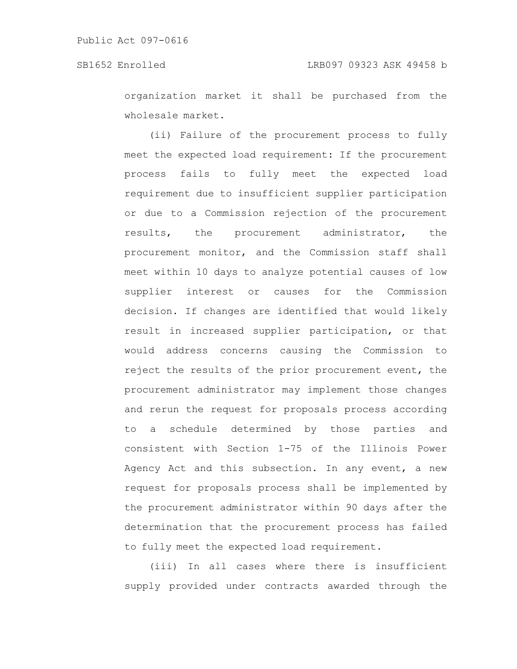organization market it shall be purchased from the wholesale market.

(ii) Failure of the procurement process to fully meet the expected load requirement: If the procurement process fails to fully meet the expected load requirement due to insufficient supplier participation or due to a Commission rejection of the procurement results, the procurement administrator, the procurement monitor, and the Commission staff shall meet within 10 days to analyze potential causes of low supplier interest or causes for the Commission decision. If changes are identified that would likely result in increased supplier participation, or that would address concerns causing the Commission to reject the results of the prior procurement event, the procurement administrator may implement those changes and rerun the request for proposals process according to a schedule determined by those parties and consistent with Section 1-75 of the Illinois Power Agency Act and this subsection. In any event, a new request for proposals process shall be implemented by the procurement administrator within 90 days after the determination that the procurement process has failed to fully meet the expected load requirement.

(iii) In all cases where there is insufficient supply provided under contracts awarded through the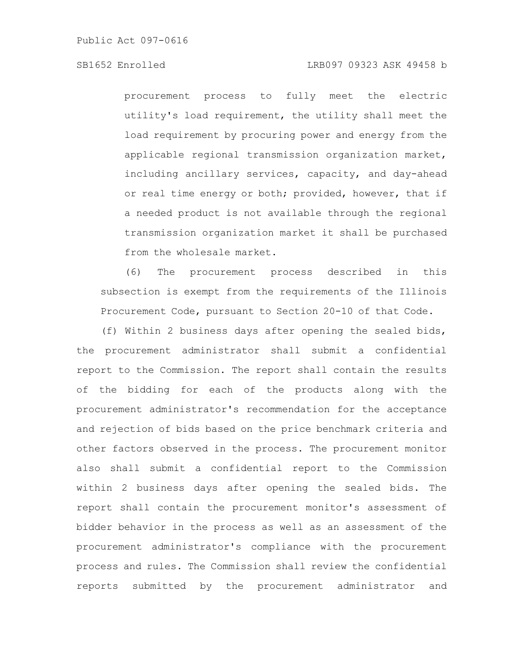# SB1652 Enrolled LRB097 09323 ASK 49458 b

procurement process to fully meet the electric utility's load requirement, the utility shall meet the load requirement by procuring power and energy from the applicable regional transmission organization market, including ancillary services, capacity, and day-ahead or real time energy or both; provided, however, that if a needed product is not available through the regional transmission organization market it shall be purchased from the wholesale market.

(6) The procurement process described in this subsection is exempt from the requirements of the Illinois Procurement Code, pursuant to Section 20-10 of that Code.

(f) Within 2 business days after opening the sealed bids, the procurement administrator shall submit a confidential report to the Commission. The report shall contain the results of the bidding for each of the products along with the procurement administrator's recommendation for the acceptance and rejection of bids based on the price benchmark criteria and other factors observed in the process. The procurement monitor also shall submit a confidential report to the Commission within 2 business days after opening the sealed bids. The report shall contain the procurement monitor's assessment of bidder behavior in the process as well as an assessment of the procurement administrator's compliance with the procurement process and rules. The Commission shall review the confidential reports submitted by the procurement administrator and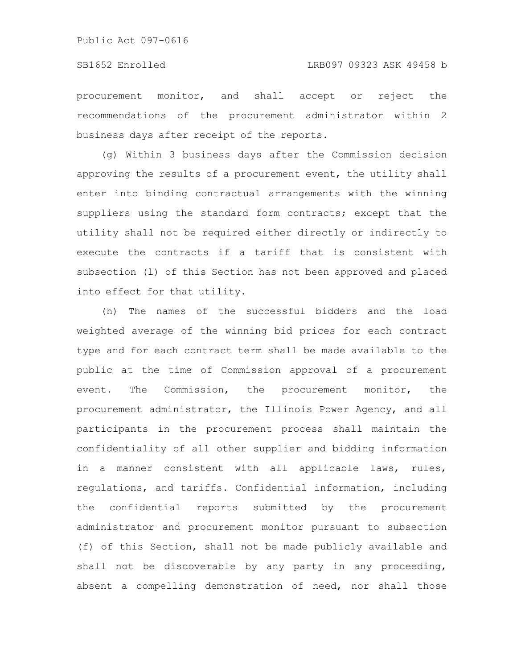procurement monitor, and shall accept or reject the recommendations of the procurement administrator within 2 business days after receipt of the reports.

(g) Within 3 business days after the Commission decision approving the results of a procurement event, the utility shall enter into binding contractual arrangements with the winning suppliers using the standard form contracts; except that the utility shall not be required either directly or indirectly to execute the contracts if a tariff that is consistent with subsection (l) of this Section has not been approved and placed into effect for that utility.

(h) The names of the successful bidders and the load weighted average of the winning bid prices for each contract type and for each contract term shall be made available to the public at the time of Commission approval of a procurement event. The Commission, the procurement monitor, the procurement administrator, the Illinois Power Agency, and all participants in the procurement process shall maintain the confidentiality of all other supplier and bidding information in a manner consistent with all applicable laws, rules, regulations, and tariffs. Confidential information, including the confidential reports submitted by the procurement administrator and procurement monitor pursuant to subsection (f) of this Section, shall not be made publicly available and shall not be discoverable by any party in any proceeding, absent a compelling demonstration of need, nor shall those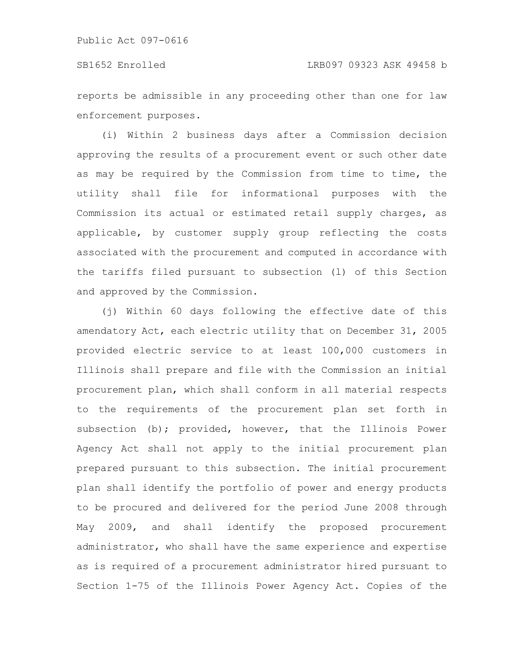reports be admissible in any proceeding other than one for law enforcement purposes.

(i) Within 2 business days after a Commission decision approving the results of a procurement event or such other date as may be required by the Commission from time to time, the utility shall file for informational purposes with the Commission its actual or estimated retail supply charges, as applicable, by customer supply group reflecting the costs associated with the procurement and computed in accordance with the tariffs filed pursuant to subsection (l) of this Section and approved by the Commission.

(j) Within 60 days following the effective date of this amendatory Act, each electric utility that on December 31, 2005 provided electric service to at least 100,000 customers in Illinois shall prepare and file with the Commission an initial procurement plan, which shall conform in all material respects to the requirements of the procurement plan set forth in subsection (b); provided, however, that the Illinois Power Agency Act shall not apply to the initial procurement plan prepared pursuant to this subsection. The initial procurement plan shall identify the portfolio of power and energy products to be procured and delivered for the period June 2008 through May 2009, and shall identify the proposed procurement administrator, who shall have the same experience and expertise as is required of a procurement administrator hired pursuant to Section 1-75 of the Illinois Power Agency Act. Copies of the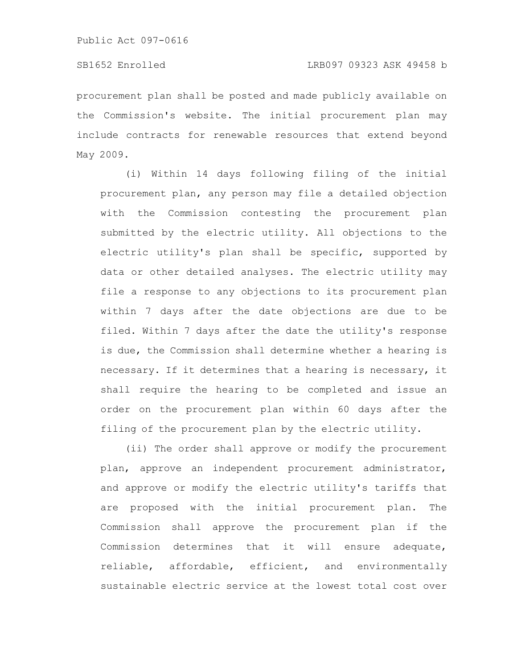procurement plan shall be posted and made publicly available on the Commission's website. The initial procurement plan may include contracts for renewable resources that extend beyond May 2009.

(i) Within 14 days following filing of the initial procurement plan, any person may file a detailed objection with the Commission contesting the procurement plan submitted by the electric utility. All objections to the electric utility's plan shall be specific, supported by data or other detailed analyses. The electric utility may file a response to any objections to its procurement plan within 7 days after the date objections are due to be filed. Within 7 days after the date the utility's response is due, the Commission shall determine whether a hearing is necessary. If it determines that a hearing is necessary, it shall require the hearing to be completed and issue an order on the procurement plan within 60 days after the filing of the procurement plan by the electric utility.

(ii) The order shall approve or modify the procurement plan, approve an independent procurement administrator, and approve or modify the electric utility's tariffs that are proposed with the initial procurement plan. The Commission shall approve the procurement plan if the Commission determines that it will ensure adequate, reliable, affordable, efficient, and environmentally sustainable electric service at the lowest total cost over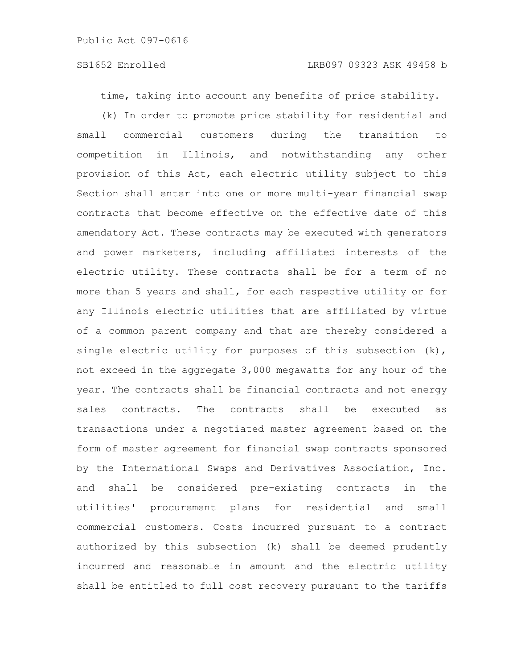time, taking into account any benefits of price stability.

(k) In order to promote price stability for residential and small commercial customers during the transition to competition in Illinois, and notwithstanding any other provision of this Act, each electric utility subject to this Section shall enter into one or more multi-year financial swap contracts that become effective on the effective date of this amendatory Act. These contracts may be executed with generators and power marketers, including affiliated interests of the electric utility. These contracts shall be for a term of no more than 5 years and shall, for each respective utility or for any Illinois electric utilities that are affiliated by virtue of a common parent company and that are thereby considered a single electric utility for purposes of this subsection  $(k)$ , not exceed in the aggregate 3,000 megawatts for any hour of the year. The contracts shall be financial contracts and not energy sales contracts. The contracts shall be executed as transactions under a negotiated master agreement based on the form of master agreement for financial swap contracts sponsored by the International Swaps and Derivatives Association, Inc. and shall be considered pre-existing contracts in the utilities' procurement plans for residential and small commercial customers. Costs incurred pursuant to a contract authorized by this subsection (k) shall be deemed prudently incurred and reasonable in amount and the electric utility shall be entitled to full cost recovery pursuant to the tariffs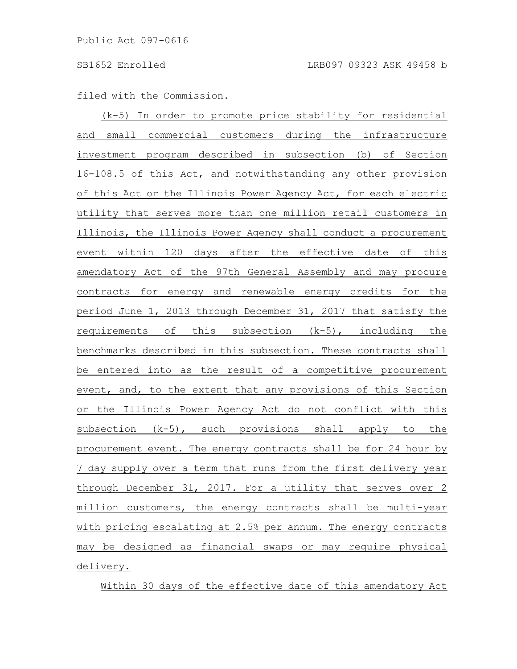filed with the Commission.

(k-5) In order to promote price stability for residential and small commercial customers during the infrastructure investment program described in subsection (b) of Section 16-108.5 of this Act, and notwithstanding any other provision of this Act or the Illinois Power Agency Act, for each electric utility that serves more than one million retail customers in Illinois, the Illinois Power Agency shall conduct a procurement event within 120 days after the effective date of this amendatory Act of the 97th General Assembly and may procure contracts for energy and renewable energy credits for the period June 1, 2013 through December 31, 2017 that satisfy the requirements of this subsection (k-5), including the benchmarks described in this subsection. These contracts shall be entered into as the result of a competitive procurement event, and, to the extent that any provisions of this Section or the Illinois Power Agency Act do not conflict with this subsection (k-5), such provisions shall apply to the procurement event. The energy contracts shall be for 24 hour by 7 day supply over a term that runs from the first delivery year through December 31, 2017. For a utility that serves over 2 million customers, the energy contracts shall be multi-year with pricing escalating at 2.5% per annum. The energy contracts may be designed as financial swaps or may require physical delivery.

Within 30 days of the effective date of this amendatory Act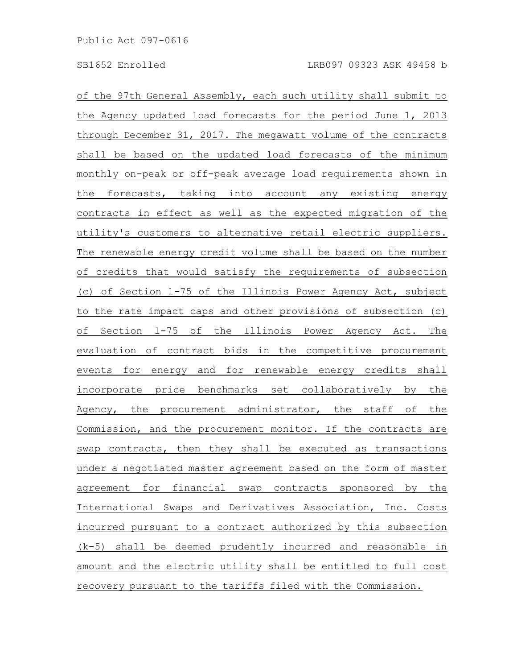of the 97th General Assembly, each such utility shall submit to the Agency updated load forecasts for the period June 1, 2013 through December 31, 2017. The megawatt volume of the contracts shall be based on the updated load forecasts of the minimum monthly on-peak or off-peak average load requirements shown in the forecasts, taking into account any existing energy contracts in effect as well as the expected migration of the utility's customers to alternative retail electric suppliers. The renewable energy credit volume shall be based on the number of credits that would satisfy the requirements of subsection (c) of Section 1-75 of the Illinois Power Agency Act, subject to the rate impact caps and other provisions of subsection (c) of Section 1-75 of the Illinois Power Agency Act. The evaluation of contract bids in the competitive procurement events for energy and for renewable energy credits shall incorporate price benchmarks set collaboratively by the Agency, the procurement administrator, the staff of the Commission, and the procurement monitor. If the contracts are swap contracts, then they shall be executed as transactions under a negotiated master agreement based on the form of master agreement for financial swap contracts sponsored by the International Swaps and Derivatives Association, Inc. Costs incurred pursuant to a contract authorized by this subsection (k-5) shall be deemed prudently incurred and reasonable in amount and the electric utility shall be entitled to full cost recovery pursuant to the tariffs filed with the Commission.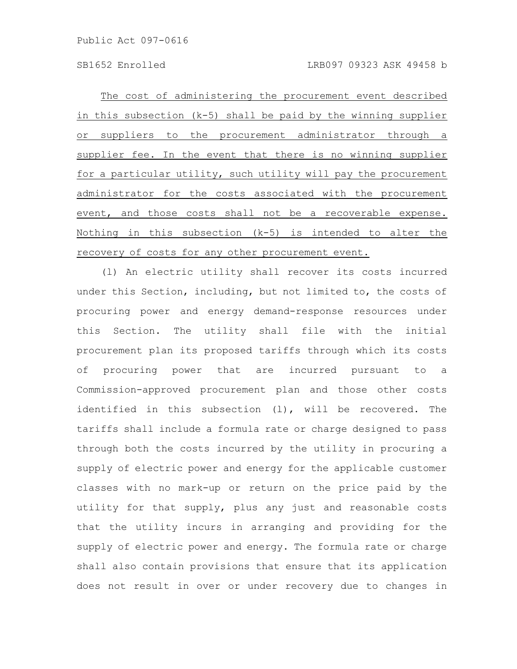The cost of administering the procurement event described in this subsection (k-5) shall be paid by the winning supplier or suppliers to the procurement administrator through a supplier fee. In the event that there is no winning supplier for a particular utility, such utility will pay the procurement administrator for the costs associated with the procurement event, and those costs shall not be a recoverable expense. Nothing in this subsection (k-5) is intended to alter the recovery of costs for any other procurement event.

(l) An electric utility shall recover its costs incurred under this Section, including, but not limited to, the costs of procuring power and energy demand-response resources under this Section. The utility shall file with the initial procurement plan its proposed tariffs through which its costs of procuring power that are incurred pursuant to a Commission-approved procurement plan and those other costs identified in this subsection (l), will be recovered. The tariffs shall include a formula rate or charge designed to pass through both the costs incurred by the utility in procuring a supply of electric power and energy for the applicable customer classes with no mark-up or return on the price paid by the utility for that supply, plus any just and reasonable costs that the utility incurs in arranging and providing for the supply of electric power and energy. The formula rate or charge shall also contain provisions that ensure that its application does not result in over or under recovery due to changes in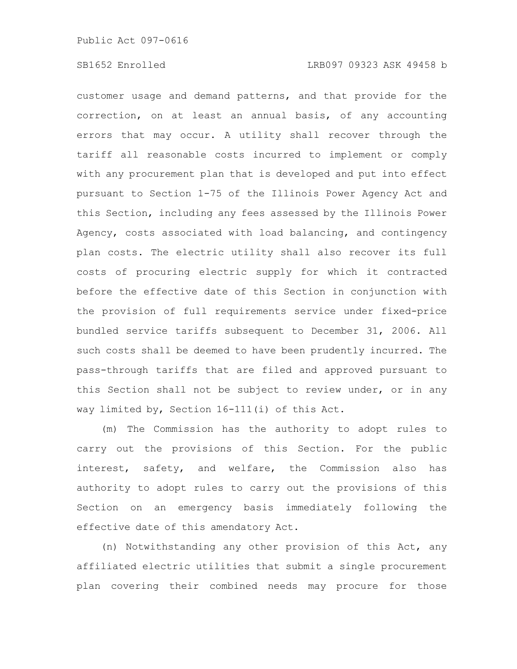customer usage and demand patterns, and that provide for the correction, on at least an annual basis, of any accounting errors that may occur. A utility shall recover through the tariff all reasonable costs incurred to implement or comply with any procurement plan that is developed and put into effect pursuant to Section 1-75 of the Illinois Power Agency Act and this Section, including any fees assessed by the Illinois Power Agency, costs associated with load balancing, and contingency plan costs. The electric utility shall also recover its full costs of procuring electric supply for which it contracted before the effective date of this Section in conjunction with the provision of full requirements service under fixed-price bundled service tariffs subsequent to December 31, 2006. All such costs shall be deemed to have been prudently incurred. The pass-through tariffs that are filed and approved pursuant to this Section shall not be subject to review under, or in any way limited by, Section 16-111(i) of this Act.

(m) The Commission has the authority to adopt rules to carry out the provisions of this Section. For the public interest, safety, and welfare, the Commission also has authority to adopt rules to carry out the provisions of this Section on an emergency basis immediately following the effective date of this amendatory Act.

(n) Notwithstanding any other provision of this Act, any affiliated electric utilities that submit a single procurement plan covering their combined needs may procure for those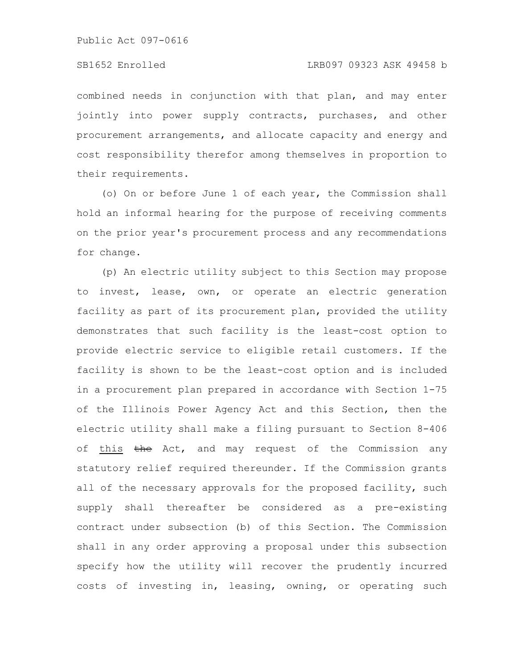combined needs in conjunction with that plan, and may enter jointly into power supply contracts, purchases, and other procurement arrangements, and allocate capacity and energy and cost responsibility therefor among themselves in proportion to their requirements.

(o) On or before June 1 of each year, the Commission shall hold an informal hearing for the purpose of receiving comments on the prior year's procurement process and any recommendations for change.

(p) An electric utility subject to this Section may propose to invest, lease, own, or operate an electric generation facility as part of its procurement plan, provided the utility demonstrates that such facility is the least-cost option to provide electric service to eligible retail customers. If the facility is shown to be the least-cost option and is included in a procurement plan prepared in accordance with Section 1-75 of the Illinois Power Agency Act and this Section, then the electric utility shall make a filing pursuant to Section 8-406 of this the Act, and may request of the Commission any statutory relief required thereunder. If the Commission grants all of the necessary approvals for the proposed facility, such supply shall thereafter be considered as a pre-existing contract under subsection (b) of this Section. The Commission shall in any order approving a proposal under this subsection specify how the utility will recover the prudently incurred costs of investing in, leasing, owning, or operating such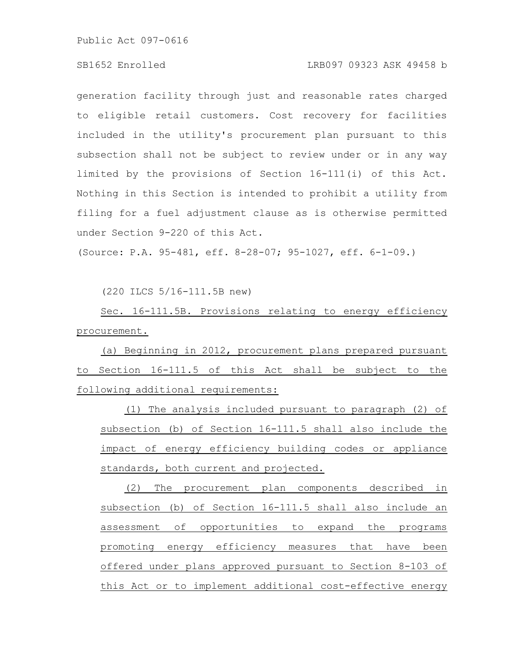# SB1652 Enrolled LRB097 09323 ASK 49458 b

generation facility through just and reasonable rates charged to eligible retail customers. Cost recovery for facilities included in the utility's procurement plan pursuant to this subsection shall not be subject to review under or in any way limited by the provisions of Section 16-111(i) of this Act. Nothing in this Section is intended to prohibit a utility from filing for a fuel adjustment clause as is otherwise permitted under Section 9-220 of this Act.

(Source: P.A. 95-481, eff. 8-28-07; 95-1027, eff. 6-1-09.)

(220 ILCS 5/16-111.5B new)

Sec. 16-111.5B. Provisions relating to energy efficiency procurement.

(a) Beginning in 2012, procurement plans prepared pursuant to Section 16-111.5 of this Act shall be subject to the following additional requirements:

(1) The analysis included pursuant to paragraph (2) of subsection (b) of Section 16-111.5 shall also include the impact of energy efficiency building codes or appliance standards, both current and projected.

(2) The procurement plan components described in subsection (b) of Section 16-111.5 shall also include an assessment of opportunities to expand the programs promoting energy efficiency measures that have been offered under plans approved pursuant to Section 8-103 of this Act or to implement additional cost-effective energy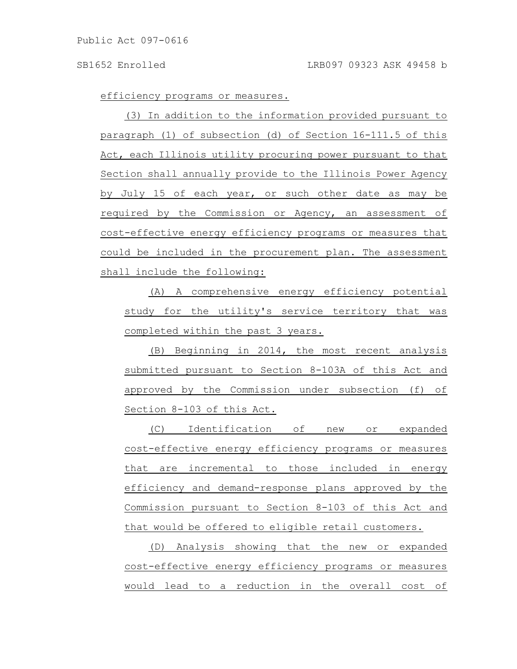efficiency programs or measures.

(3) In addition to the information provided pursuant to paragraph (1) of subsection (d) of Section 16-111.5 of this Act, each Illinois utility procuring power pursuant to that Section shall annually provide to the Illinois Power Agency by July 15 of each year, or such other date as may be required by the Commission or Agency, an assessment of cost-effective energy efficiency programs or measures that could be included in the procurement plan. The assessment shall include the following:

(A) A comprehensive energy efficiency potential study for the utility's service territory that was completed within the past 3 years.

(B) Beginning in 2014, the most recent analysis submitted pursuant to Section 8-103A of this Act and approved by the Commission under subsection (f) of Section 8-103 of this Act.

(C) Identification of new or expanded cost-effective energy efficiency programs or measures that are incremental to those included in energy efficiency and demand-response plans approved by the Commission pursuant to Section 8-103 of this Act and that would be offered to eligible retail customers.

(D) Analysis showing that the new or expanded cost-effective energy efficiency programs or measures would lead to a reduction in the overall cost of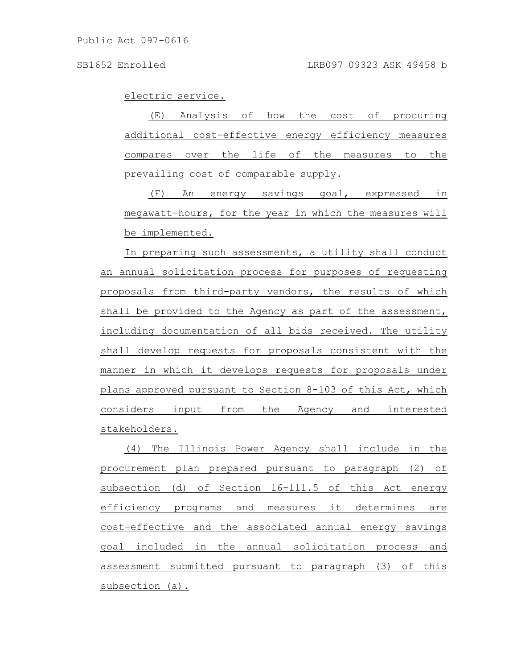electric service.

(E) Analysis of how the cost of procuring additional cost-effective energy efficiency measures compares over the life of the measures to the prevailing cost of comparable supply.

(F) An energy savings goal, expressed in megawatt-hours, for the year in which the measures will be implemented.

In preparing such assessments, a utility shall conduct an annual solicitation process for purposes of requesting proposals from third-party vendors, the results of which shall be provided to the Agency as part of the assessment, including documentation of all bids received. The utility shall develop requests for proposals consistent with the manner in which it develops requests for proposals under plans approved pursuant to Section 8-103 of this Act, which considers input from the Agency and interested stakeholders.

(4) The Illinois Power Agency shall include in the procurement plan prepared pursuant to paragraph (2) of subsection (d) of Section 16-111.5 of this Act energy efficiency programs and measures it determines are cost-effective and the associated annual energy savings goal included in the annual solicitation process and assessment submitted pursuant to paragraph (3) of this subsection (a).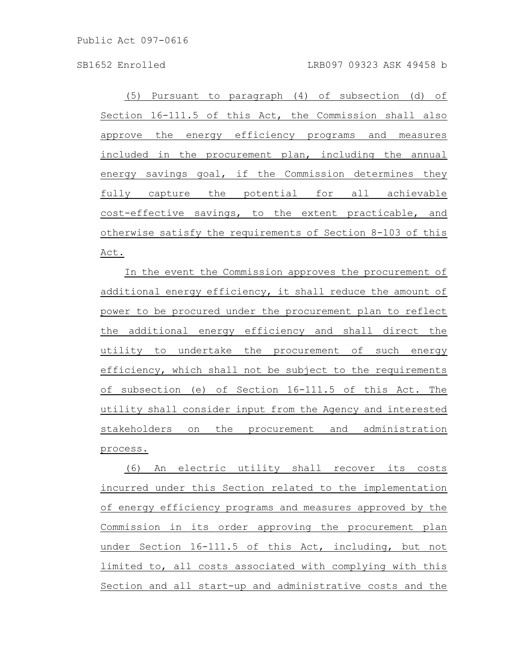(5) Pursuant to paragraph (4) of subsection (d) of Section 16-111.5 of this Act, the Commission shall also approve the energy efficiency programs and measures included in the procurement plan, including the annual energy savings goal, if the Commission determines they fully capture the potential for all achievable cost-effective savings, to the extent practicable, and otherwise satisfy the requirements of Section 8-103 of this Act.

In the event the Commission approves the procurement of additional energy efficiency, it shall reduce the amount of power to be procured under the procurement plan to reflect the additional energy efficiency and shall direct the utility to undertake the procurement of such energy efficiency, which shall not be subject to the requirements of subsection (e) of Section 16-111.5 of this Act. The utility shall consider input from the Agency and interested stakeholders on the procurement and administration process.

(6) An electric utility shall recover its costs incurred under this Section related to the implementation of energy efficiency programs and measures approved by the Commission in its order approving the procurement plan under Section 16-111.5 of this Act, including, but not limited to, all costs associated with complying with this Section and all start-up and administrative costs and the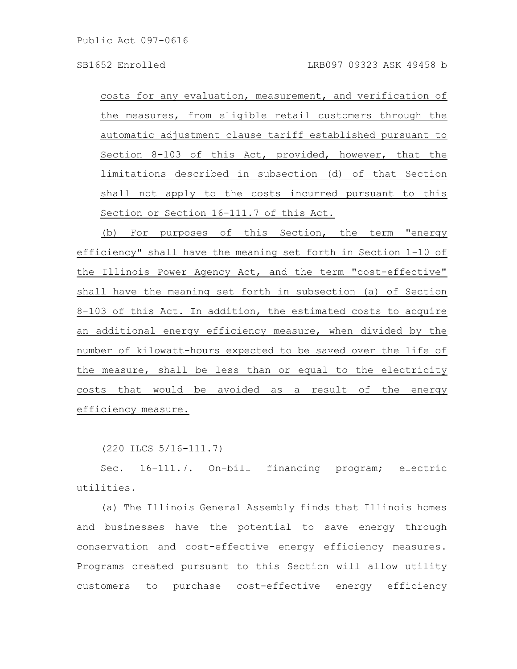costs for any evaluation, measurement, and verification of the measures, from eligible retail customers through the automatic adjustment clause tariff established pursuant to Section 8-103 of this Act, provided, however, that the limitations described in subsection (d) of that Section shall not apply to the costs incurred pursuant to this Section or Section 16-111.7 of this Act.

(b) For purposes of this Section, the term "energy efficiency" shall have the meaning set forth in Section 1-10 of the Illinois Power Agency Act, and the term "cost-effective" shall have the meaning set forth in subsection (a) of Section 8-103 of this Act. In addition, the estimated costs to acquire an additional energy efficiency measure, when divided by the number of kilowatt-hours expected to be saved over the life of the measure, shall be less than or equal to the electricity costs that would be avoided as a result of the energy efficiency measure.

(220 ILCS 5/16-111.7)

Sec. 16-111.7. On-bill financing program; electric utilities.

(a) The Illinois General Assembly finds that Illinois homes and businesses have the potential to save energy through conservation and cost-effective energy efficiency measures. Programs created pursuant to this Section will allow utility customers to purchase cost-effective energy efficiency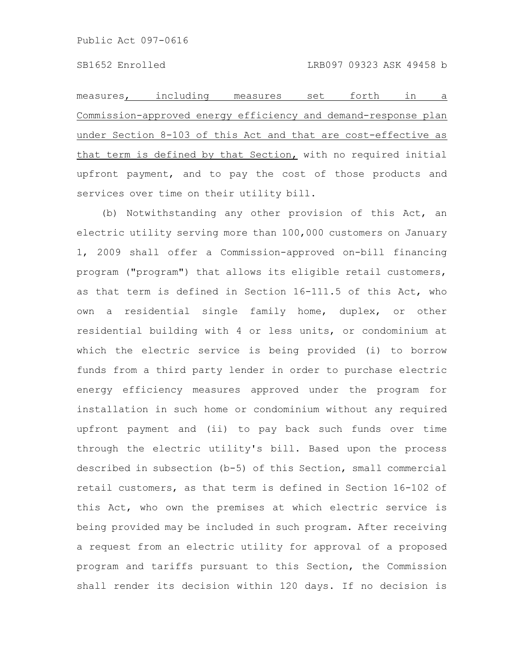measures, including measures set forth in a Commission-approved energy efficiency and demand-response plan under Section 8-103 of this Act and that are cost-effective as that term is defined by that Section, with no required initial upfront payment, and to pay the cost of those products and services over time on their utility bill.

(b) Notwithstanding any other provision of this Act, an electric utility serving more than 100,000 customers on January 1, 2009 shall offer a Commission-approved on-bill financing program ("program") that allows its eligible retail customers, as that term is defined in Section 16-111.5 of this Act, who own a residential single family home, duplex, or other residential building with 4 or less units, or condominium at which the electric service is being provided (i) to borrow funds from a third party lender in order to purchase electric energy efficiency measures approved under the program for installation in such home or condominium without any required upfront payment and (ii) to pay back such funds over time through the electric utility's bill. Based upon the process described in subsection (b-5) of this Section, small commercial retail customers, as that term is defined in Section 16-102 of this Act, who own the premises at which electric service is being provided may be included in such program. After receiving a request from an electric utility for approval of a proposed program and tariffs pursuant to this Section, the Commission shall render its decision within 120 days. If no decision is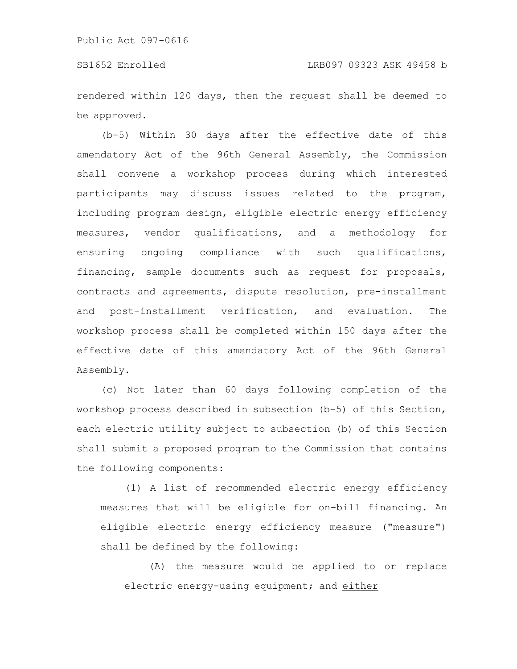rendered within 120 days, then the request shall be deemed to be approved.

(b-5) Within 30 days after the effective date of this amendatory Act of the 96th General Assembly, the Commission shall convene a workshop process during which interested participants may discuss issues related to the program, including program design, eligible electric energy efficiency measures, vendor qualifications, and a methodology for ensuring ongoing compliance with such qualifications, financing, sample documents such as request for proposals, contracts and agreements, dispute resolution, pre-installment and post-installment verification, and evaluation. The workshop process shall be completed within 150 days after the effective date of this amendatory Act of the 96th General Assembly.

(c) Not later than 60 days following completion of the workshop process described in subsection (b-5) of this Section, each electric utility subject to subsection (b) of this Section shall submit a proposed program to the Commission that contains the following components:

(1) A list of recommended electric energy efficiency measures that will be eligible for on-bill financing. An eligible electric energy efficiency measure ("measure") shall be defined by the following:

(A) the measure would be applied to or replace electric energy-using equipment; and either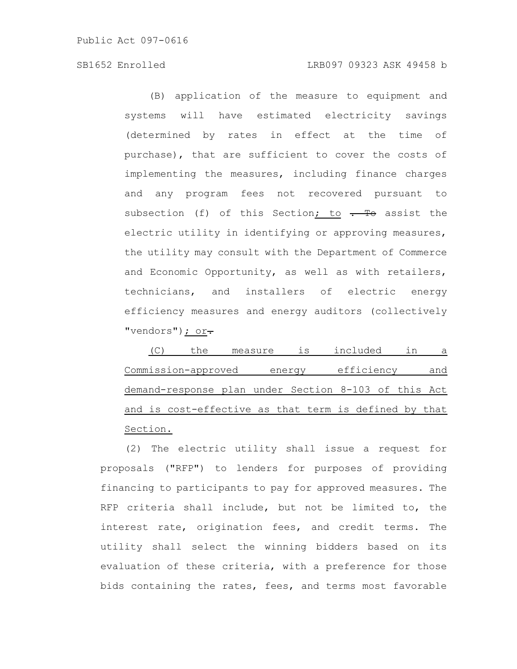# SB1652 Enrolled LRB097 09323 ASK 49458 b

(B) application of the measure to equipment and systems will have estimated electricity savings (determined by rates in effect at the time of purchase), that are sufficient to cover the costs of implementing the measures, including finance charges and any program fees not recovered pursuant to subsection (f) of this Section; to  $\frac{1}{\sqrt{1-\frac{1}{\sqrt{1-\frac{1}{\sqrt{1-\frac{1}{\sqrt{1-\frac{1}{\sqrt{1-\frac{1}{\sqrt{1-\frac{1}{\sqrt{1-\frac{1}{\sqrt{1-\frac{1}{\sqrt{1-\frac{1}{\sqrt{1-\frac{1}{\sqrt{1-\frac{1}{\sqrt{1-\frac{1}{\sqrt{1-\frac{1}{\sqrt{1-\frac{1}{\sqrt{1-\frac{1}{\sqrt{1-\frac{1}{\sqrt{1-\frac{1}{\sqrt{1-\frac{1}{\sqrt{1-\frac{1}{\sqrt{1-\frac{1}{$ electric utility in identifying or approving measures, the utility may consult with the Department of Commerce and Economic Opportunity, as well as with retailers, technicians, and installers of electric energy efficiency measures and energy auditors (collectively "vendors") ; or-

(C) the measure is included in a Commission-approved energy efficiency and demand-response plan under Section 8-103 of this Act and is cost-effective as that term is defined by that Section.

(2) The electric utility shall issue a request for proposals ("RFP") to lenders for purposes of providing financing to participants to pay for approved measures. The RFP criteria shall include, but not be limited to, the interest rate, origination fees, and credit terms. The utility shall select the winning bidders based on its evaluation of these criteria, with a preference for those bids containing the rates, fees, and terms most favorable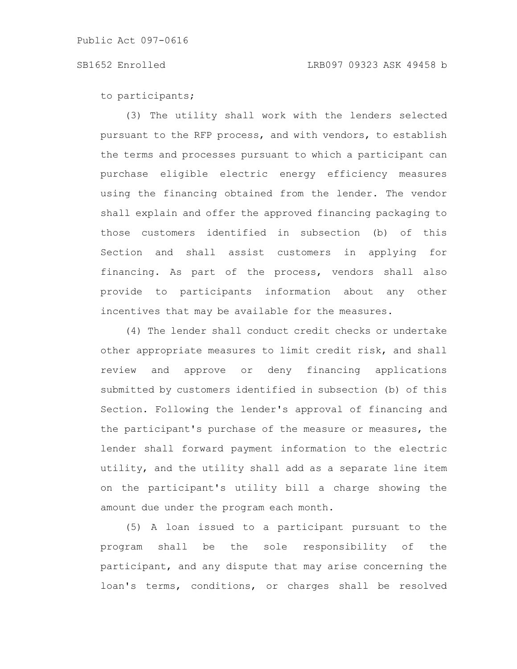to participants;

(3) The utility shall work with the lenders selected pursuant to the RFP process, and with vendors, to establish the terms and processes pursuant to which a participant can purchase eligible electric energy efficiency measures using the financing obtained from the lender. The vendor shall explain and offer the approved financing packaging to those customers identified in subsection (b) of this Section and shall assist customers in applying for financing. As part of the process, vendors shall also provide to participants information about any other incentives that may be available for the measures.

(4) The lender shall conduct credit checks or undertake other appropriate measures to limit credit risk, and shall review and approve or deny financing applications submitted by customers identified in subsection (b) of this Section. Following the lender's approval of financing and the participant's purchase of the measure or measures, the lender shall forward payment information to the electric utility, and the utility shall add as a separate line item on the participant's utility bill a charge showing the amount due under the program each month.

(5) A loan issued to a participant pursuant to the program shall be the sole responsibility of the participant, and any dispute that may arise concerning the loan's terms, conditions, or charges shall be resolved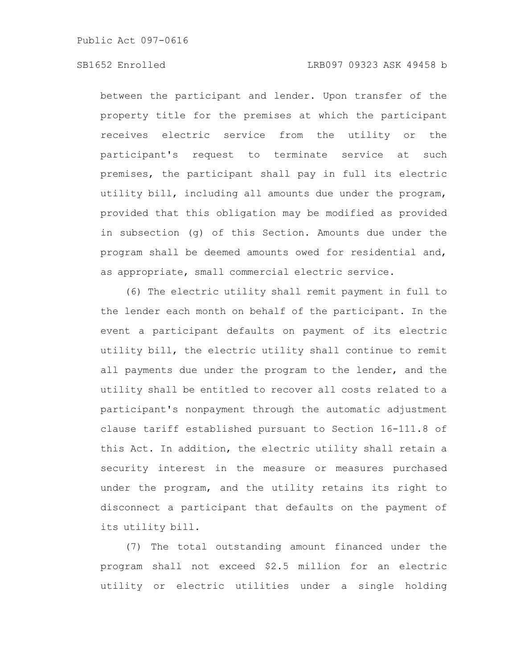# SB1652 Enrolled LRB097 09323 ASK 49458 b

between the participant and lender. Upon transfer of the property title for the premises at which the participant receives electric service from the utility or the participant's request to terminate service at such premises, the participant shall pay in full its electric utility bill, including all amounts due under the program, provided that this obligation may be modified as provided in subsection (g) of this Section. Amounts due under the program shall be deemed amounts owed for residential and, as appropriate, small commercial electric service.

(6) The electric utility shall remit payment in full to the lender each month on behalf of the participant. In the event a participant defaults on payment of its electric utility bill, the electric utility shall continue to remit all payments due under the program to the lender, and the utility shall be entitled to recover all costs related to a participant's nonpayment through the automatic adjustment clause tariff established pursuant to Section 16-111.8 of this Act. In addition, the electric utility shall retain a security interest in the measure or measures purchased under the program, and the utility retains its right to disconnect a participant that defaults on the payment of its utility bill.

(7) The total outstanding amount financed under the program shall not exceed \$2.5 million for an electric utility or electric utilities under a single holding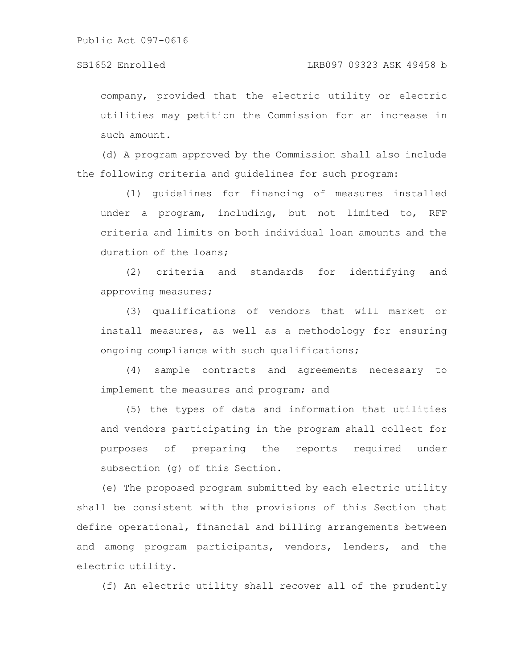## SB1652 Enrolled LRB097 09323 ASK 49458 b

company, provided that the electric utility or electric utilities may petition the Commission for an increase in such amount.

(d) A program approved by the Commission shall also include the following criteria and guidelines for such program:

(1) guidelines for financing of measures installed under a program, including, but not limited to, RFP criteria and limits on both individual loan amounts and the duration of the loans;

(2) criteria and standards for identifying and approving measures;

(3) qualifications of vendors that will market or install measures, as well as a methodology for ensuring ongoing compliance with such qualifications;

(4) sample contracts and agreements necessary to implement the measures and program; and

(5) the types of data and information that utilities and vendors participating in the program shall collect for purposes of preparing the reports required under subsection (g) of this Section.

(e) The proposed program submitted by each electric utility shall be consistent with the provisions of this Section that define operational, financial and billing arrangements between and among program participants, vendors, lenders, and the electric utility.

(f) An electric utility shall recover all of the prudently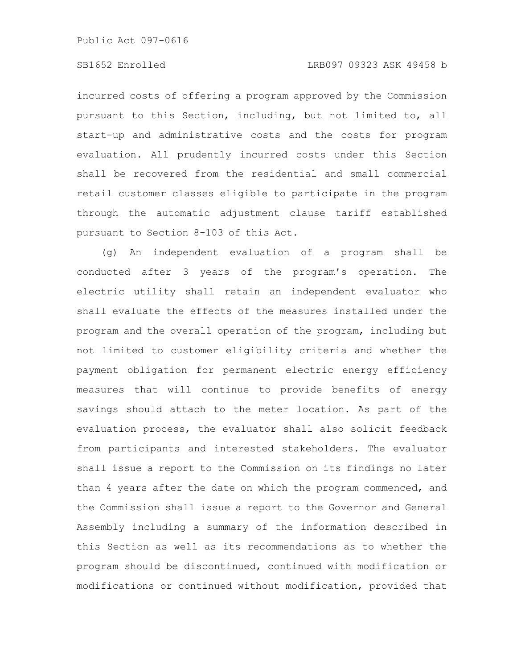incurred costs of offering a program approved by the Commission pursuant to this Section, including, but not limited to, all start-up and administrative costs and the costs for program evaluation. All prudently incurred costs under this Section shall be recovered from the residential and small commercial retail customer classes eligible to participate in the program through the automatic adjustment clause tariff established pursuant to Section 8-103 of this Act.

(g) An independent evaluation of a program shall be conducted after 3 years of the program's operation. The electric utility shall retain an independent evaluator who shall evaluate the effects of the measures installed under the program and the overall operation of the program, including but not limited to customer eligibility criteria and whether the payment obligation for permanent electric energy efficiency measures that will continue to provide benefits of energy savings should attach to the meter location. As part of the evaluation process, the evaluator shall also solicit feedback from participants and interested stakeholders. The evaluator shall issue a report to the Commission on its findings no later than 4 years after the date on which the program commenced, and the Commission shall issue a report to the Governor and General Assembly including a summary of the information described in this Section as well as its recommendations as to whether the program should be discontinued, continued with modification or modifications or continued without modification, provided that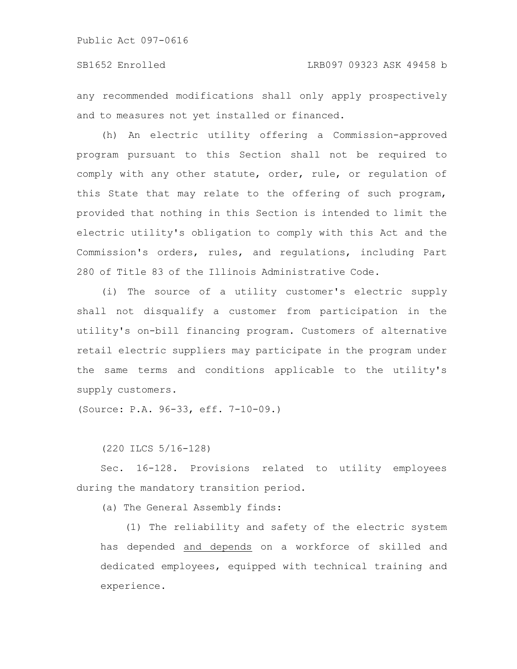any recommended modifications shall only apply prospectively and to measures not yet installed or financed.

(h) An electric utility offering a Commission-approved program pursuant to this Section shall not be required to comply with any other statute, order, rule, or regulation of this State that may relate to the offering of such program, provided that nothing in this Section is intended to limit the electric utility's obligation to comply with this Act and the Commission's orders, rules, and regulations, including Part 280 of Title 83 of the Illinois Administrative Code.

(i) The source of a utility customer's electric supply shall not disqualify a customer from participation in the utility's on-bill financing program. Customers of alternative retail electric suppliers may participate in the program under the same terms and conditions applicable to the utility's supply customers.

(Source: P.A. 96-33, eff. 7-10-09.)

(220 ILCS 5/16-128)

Sec. 16-128. Provisions related to utility employees during the mandatory transition period.

(a) The General Assembly finds:

(1) The reliability and safety of the electric system has depended and depends on a workforce of skilled and dedicated employees, equipped with technical training and experience.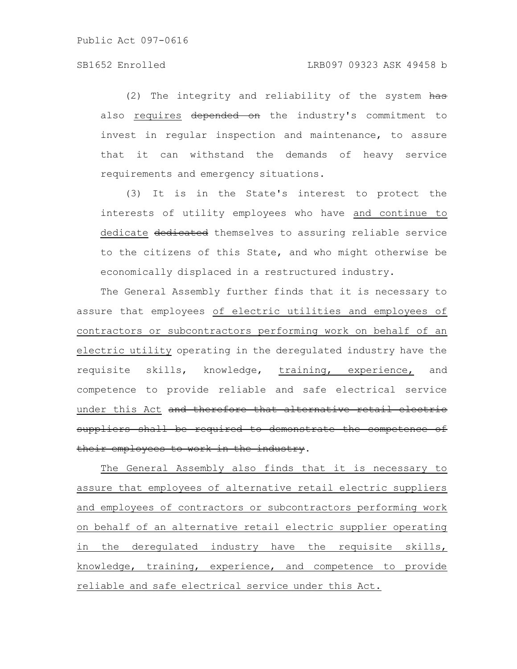(2) The integrity and reliability of the system has also requires depended on the industry's commitment to invest in regular inspection and maintenance, to assure that it can withstand the demands of heavy service requirements and emergency situations.

(3) It is in the State's interest to protect the interests of utility employees who have and continue to dedicate dedicated themselves to assuring reliable service to the citizens of this State, and who might otherwise be economically displaced in a restructured industry.

The General Assembly further finds that it is necessary to assure that employees of electric utilities and employees of contractors or subcontractors performing work on behalf of an electric utility operating in the deregulated industry have the requisite skills, knowledge, training, experience, and competence to provide reliable and safe electrical service under this Act and therefore that alternative retail electric suppliers shall be required to demonstrate the competence their employees to work in the industry.

The General Assembly also finds that it is necessary to assure that employees of alternative retail electric suppliers and employees of contractors or subcontractors performing work on behalf of an alternative retail electric supplier operating in the deregulated industry have the requisite skills, knowledge, training, experience, and competence to provide reliable and safe electrical service under this Act.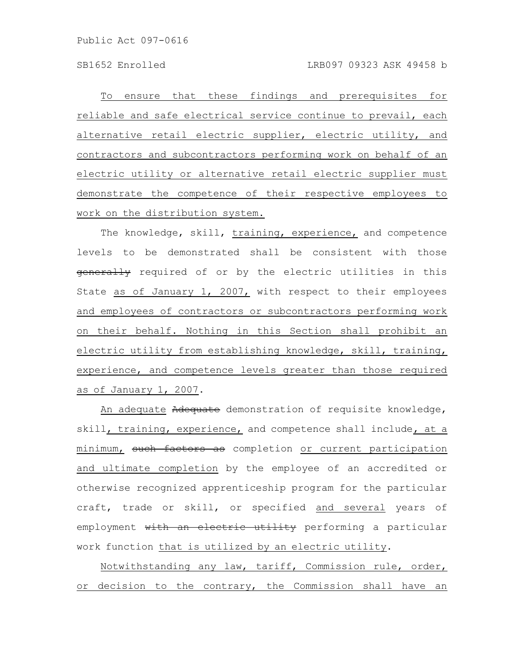To ensure that these findings and prerequisites for reliable and safe electrical service continue to prevail, each alternative retail electric supplier, electric utility, and contractors and subcontractors performing work on behalf of an electric utility or alternative retail electric supplier must demonstrate the competence of their respective employees to work on the distribution system.

The knowledge, skill, training, experience, and competence levels to be demonstrated shall be consistent with those generally required of or by the electric utilities in this State as of January 1, 2007, with respect to their employees and employees of contractors or subcontractors performing work on their behalf. Nothing in this Section shall prohibit an electric utility from establishing knowledge, skill, training, experience, and competence levels greater than those required as of January 1, 2007.

An adequate Adequate demonstration of requisite knowledge, skill, training, experience, and competence shall include, at a minimum, such factors as completion or current participation and ultimate completion by the employee of an accredited or otherwise recognized apprenticeship program for the particular craft, trade or skill, or specified and several years of employment with an electric utility performing a particular work function that is utilized by an electric utility.

Notwithstanding any law, tariff, Commission rule, order, or decision to the contrary, the Commission shall have an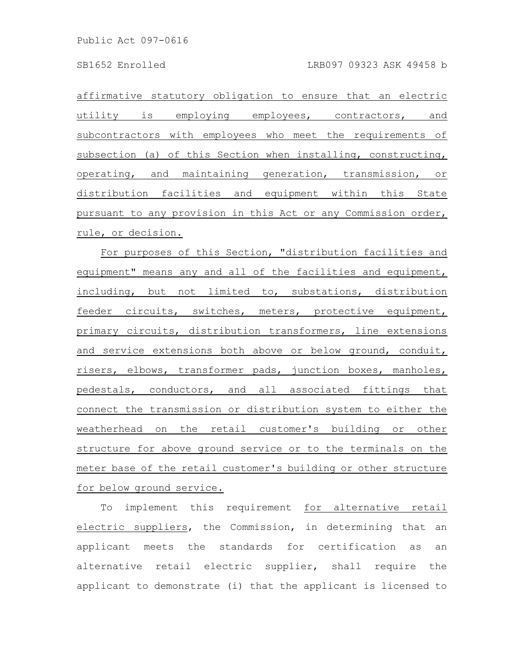affirmative statutory obligation to ensure that an electric utility is employing employees, contractors, and subcontractors with employees who meet the requirements of subsection (a) of this Section when installing, constructing, operating, and maintaining generation, transmission, or distribution facilities and equipment within this State pursuant to any provision in this Act or any Commission order, rule, or decision.

For purposes of this Section, "distribution facilities and equipment" means any and all of the facilities and equipment, including, but not limited to, substations, distribution feeder circuits, switches, meters, protective equipment, primary circuits, distribution transformers, line extensions and service extensions both above or below ground, conduit, risers, elbows, transformer pads, junction boxes, manholes, pedestals, conductors, and all associated fittings that connect the transmission or distribution system to either the weatherhead on the retail customer's building or other structure for above ground service or to the terminals on the meter base of the retail customer's building or other structure for below ground service.

To implement this requirement for alternative retail electric suppliers, the Commission, in determining that an applicant meets the standards for certification as an alternative retail electric supplier, shall require the applicant to demonstrate (i) that the applicant is licensed to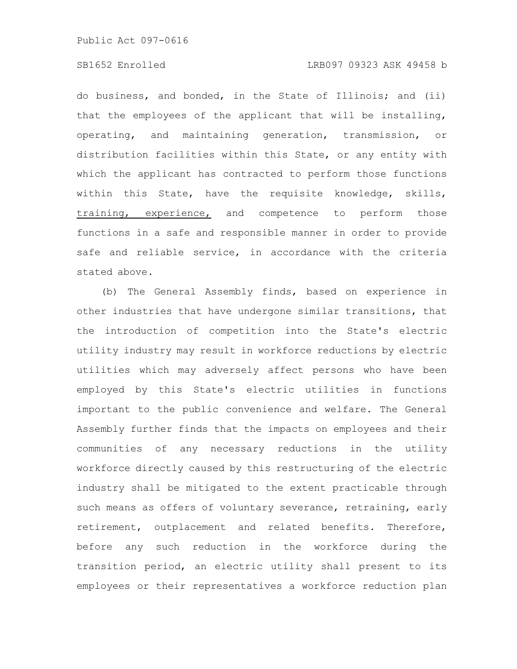# SB1652 Enrolled LRB097 09323 ASK 49458 b

do business, and bonded, in the State of Illinois; and (ii) that the employees of the applicant that will be installing, operating, and maintaining generation, transmission, or distribution facilities within this State, or any entity with which the applicant has contracted to perform those functions within this State, have the requisite knowledge, skills, training, experience, and competence to perform those functions in a safe and responsible manner in order to provide safe and reliable service, in accordance with the criteria stated above.

(b) The General Assembly finds, based on experience in other industries that have undergone similar transitions, that the introduction of competition into the State's electric utility industry may result in workforce reductions by electric utilities which may adversely affect persons who have been employed by this State's electric utilities in functions important to the public convenience and welfare. The General Assembly further finds that the impacts on employees and their communities of any necessary reductions in the utility workforce directly caused by this restructuring of the electric industry shall be mitigated to the extent practicable through such means as offers of voluntary severance, retraining, early retirement, outplacement and related benefits. Therefore, before any such reduction in the workforce during the transition period, an electric utility shall present to its employees or their representatives a workforce reduction plan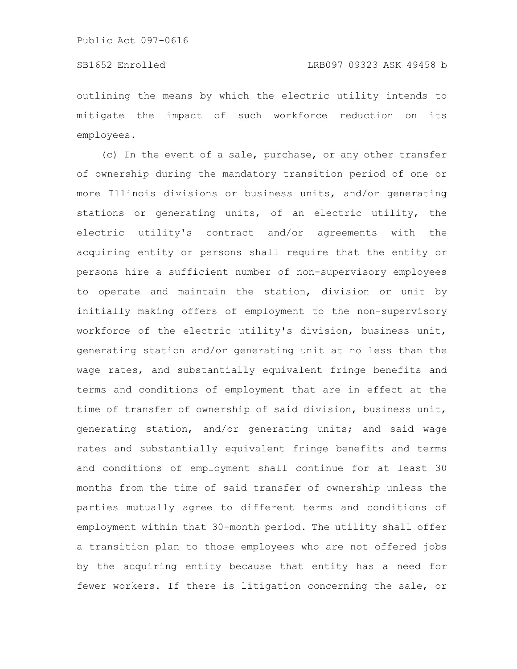# SB1652 Enrolled LRB097 09323 ASK 49458 b

outlining the means by which the electric utility intends to mitigate the impact of such workforce reduction on its employees.

(c) In the event of a sale, purchase, or any other transfer of ownership during the mandatory transition period of one or more Illinois divisions or business units, and/or generating stations or generating units, of an electric utility, the electric utility's contract and/or agreements with the acquiring entity or persons shall require that the entity or persons hire a sufficient number of non-supervisory employees to operate and maintain the station, division or unit by initially making offers of employment to the non-supervisory workforce of the electric utility's division, business unit, generating station and/or generating unit at no less than the wage rates, and substantially equivalent fringe benefits and terms and conditions of employment that are in effect at the time of transfer of ownership of said division, business unit, generating station, and/or generating units; and said wage rates and substantially equivalent fringe benefits and terms and conditions of employment shall continue for at least 30 months from the time of said transfer of ownership unless the parties mutually agree to different terms and conditions of employment within that 30-month period. The utility shall offer a transition plan to those employees who are not offered jobs by the acquiring entity because that entity has a need for fewer workers. If there is litigation concerning the sale, or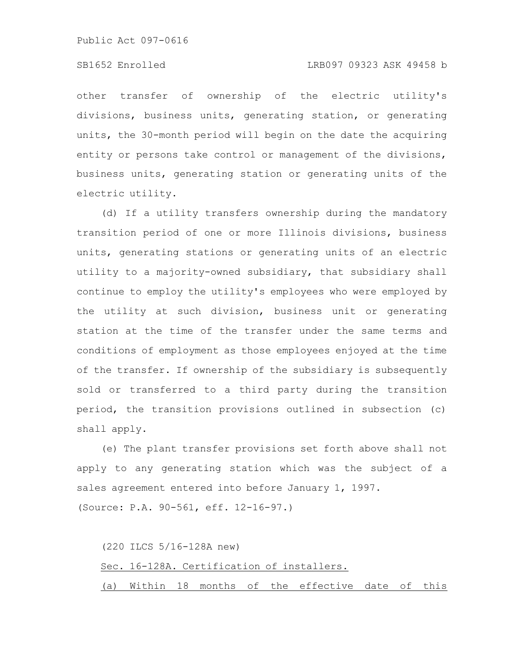# SB1652 Enrolled LRB097 09323 ASK 49458 b

other transfer of ownership of the electric utility's divisions, business units, generating station, or generating units, the 30-month period will begin on the date the acquiring entity or persons take control or management of the divisions, business units, generating station or generating units of the electric utility.

(d) If a utility transfers ownership during the mandatory transition period of one or more Illinois divisions, business units, generating stations or generating units of an electric utility to a majority-owned subsidiary, that subsidiary shall continue to employ the utility's employees who were employed by the utility at such division, business unit or generating station at the time of the transfer under the same terms and conditions of employment as those employees enjoyed at the time of the transfer. If ownership of the subsidiary is subsequently sold or transferred to a third party during the transition period, the transition provisions outlined in subsection (c) shall apply.

(e) The plant transfer provisions set forth above shall not apply to any generating station which was the subject of a sales agreement entered into before January 1, 1997.

(Source: P.A. 90-561, eff. 12-16-97.)

|  | (220 ILCS 5/16-128A new) |  |                                                    |  |  |
|--|--------------------------|--|----------------------------------------------------|--|--|
|  |                          |  | Sec. 16-128A. Certification of installers.         |  |  |
|  |                          |  | (a) Within 18 months of the effective date of this |  |  |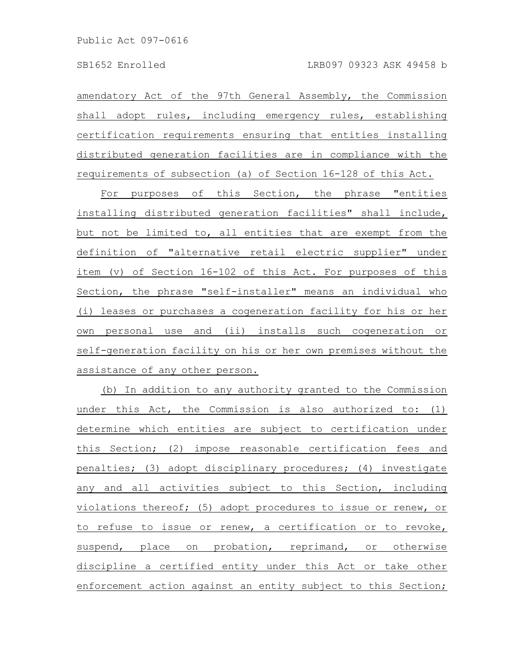amendatory Act of the 97th General Assembly, the Commission shall adopt rules, including emergency rules, establishing certification requirements ensuring that entities installing distributed generation facilities are in compliance with the requirements of subsection (a) of Section 16-128 of this Act.

For purposes of this Section, the phrase "entities installing distributed generation facilities" shall include, but not be limited to, all entities that are exempt from the definition of "alternative retail electric supplier" under item (v) of Section 16-102 of this Act. For purposes of this Section, the phrase "self-installer" means an individual who (i) leases or purchases a cogeneration facility for his or her own personal use and (ii) installs such cogeneration or self-generation facility on his or her own premises without the assistance of any other person.

(b) In addition to any authority granted to the Commission under this Act, the Commission is also authorized to: (1) determine which entities are subject to certification under this Section; (2) impose reasonable certification fees and penalties; (3) adopt disciplinary procedures; (4) investigate any and all activities subject to this Section, including violations thereof; (5) adopt procedures to issue or renew, or to refuse to issue or renew, a certification or to revoke, suspend, place on probation, reprimand, or otherwise discipline a certified entity under this Act or take other enforcement action against an entity subject to this Section;